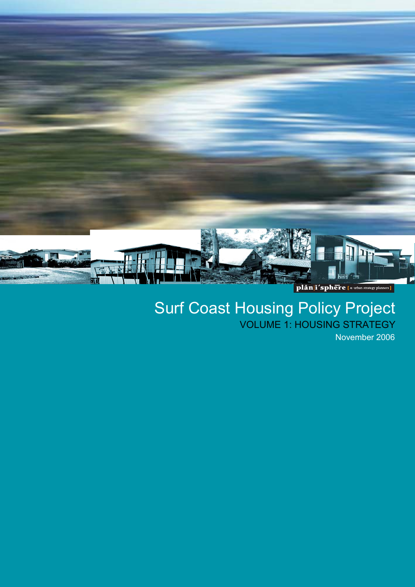

# VOLUME 1: HOUSING STRATEGYSurf Coast Housing Policy Project

November 2006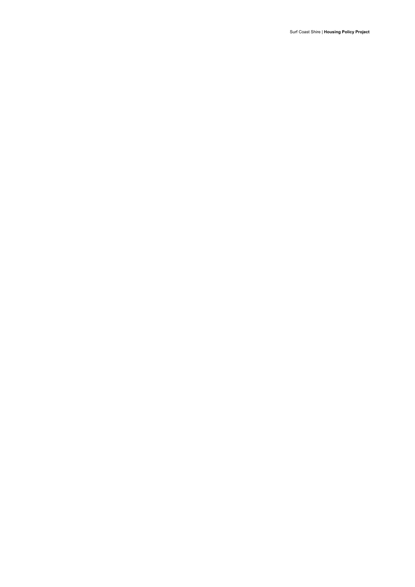Surf Coast Shire | **Housing Policy Project**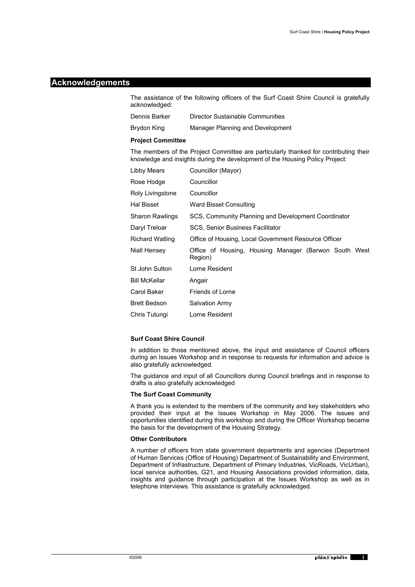#### **Acknowledgements**

The assistance of the following officers of the Surf Coast Shire Council is gratefully acknowledged:

| Dennis Barker | Director Sustainable Communities |
|---------------|----------------------------------|
|               |                                  |

| Manager Planning and Development<br>Brydon King |  |
|-------------------------------------------------|--|
|-------------------------------------------------|--|

#### **Project Committee**

The members of the Project Committee are particularly thanked for contributing their knowledge and insights during the development of the Housing Policy Project:

| Libby Mears            | Councillor (Mayor)                                               |  |  |  |  |  |
|------------------------|------------------------------------------------------------------|--|--|--|--|--|
| Rose Hodge             | Councillor                                                       |  |  |  |  |  |
| Roly Livingstone       | Councillor                                                       |  |  |  |  |  |
| <b>Hal Bisset</b>      | Ward Bisset Consulting                                           |  |  |  |  |  |
| <b>Sharon Rawlings</b> | SCS, Community Planning and Development Coordinator              |  |  |  |  |  |
| Daryl Treloar          | SCS, Senior Business Facilitator                                 |  |  |  |  |  |
| <b>Richard Watling</b> | Office of Housing, Local Government Resource Officer             |  |  |  |  |  |
| Niall Hensey           | Office of Housing, Housing Manager (Barwon South West<br>Region) |  |  |  |  |  |
| St John Sutton         | Lorne Resident                                                   |  |  |  |  |  |
| <b>Bill McKellar</b>   | Angair                                                           |  |  |  |  |  |
| Carol Baker            | Friends of Lorne                                                 |  |  |  |  |  |
| <b>Brett Bedson</b>    | <b>Salvation Army</b>                                            |  |  |  |  |  |
| Chris Tutungi          | Lorne Resident                                                   |  |  |  |  |  |

#### **Surf Coast Shire Council**

In addition to those mentioned above, the input and assistance of Council officers during an Issues Workshop and in response to requests for information and advice is also gratefully acknowledged.

The guidance and input of all Councillors during Council briefings and in response to drafts is also gratefully acknowledged

#### **The Surf Coast Community**

A thank you is extended to the members of the community and key stakeholders who provided their input at the Issues Workshop in May 2006. The issues and opportunities identified during this workshop and during the Officer Workshop became the basis for the development of the Housing Strategy.

#### **Other Contributors**

A number of officers from state government departments and agencies (Department of Human Services (Office of Housing) Department of Sustainability and Environment, Department of Infrastructure, Department of Primary Industries, VicRoads, VicUrban), local service authorities, G21, and Housing Associations provided information, data, insights and guidance through participation at the Issues Workshop as well as in telephone interviews. This assistance is gratefully acknowledged.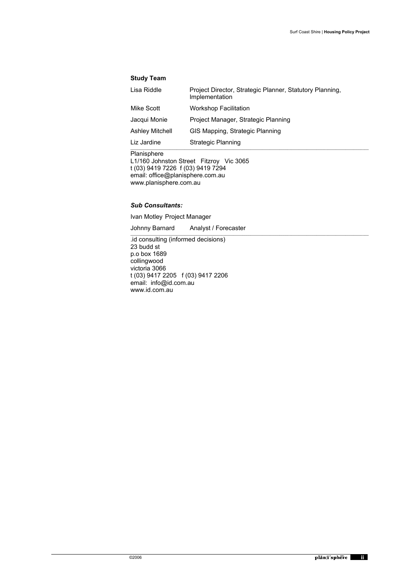#### **Study Team**

| Lisa Riddle            | Project Director, Strategic Planner, Statutory Planning,<br>Implementation |
|------------------------|----------------------------------------------------------------------------|
| Mike Scott             | <b>Workshop Facilitation</b>                                               |
| Jacqui Monie           | Project Manager, Strategic Planning                                        |
| <b>Ashley Mitchell</b> | GIS Mapping, Strategic Planning                                            |

 $\_$  , and the set of the set of the set of the set of the set of the set of the set of the set of the set of the set of the set of the set of the set of the set of the set of the set of the set of the set of the set of th

Liz Jardine Strategic Planning

 $\_$  , and the set of the set of the set of the set of the set of the set of the set of the set of the set of the set of the set of the set of the set of the set of the set of the set of the set of the set of the set of th **Planisphere** 

L1/160 Johnston Street Fitzroy Vic 3065 t (03) 9419 7226 f (03) 9419 7294 email: office@planisphere.com.au www.planisphere.com.au

#### *Sub Consultants:*

Ivan Motley Project Manager

Johnny Barnard Analyst / Forecaster

.id consulting (informed decisions) 23 budd st p.o box 1689 collingwood victoria 3066 t (03) 9417 2205 f (03) 9417 2206 email: info@id.com.au www.id.com.au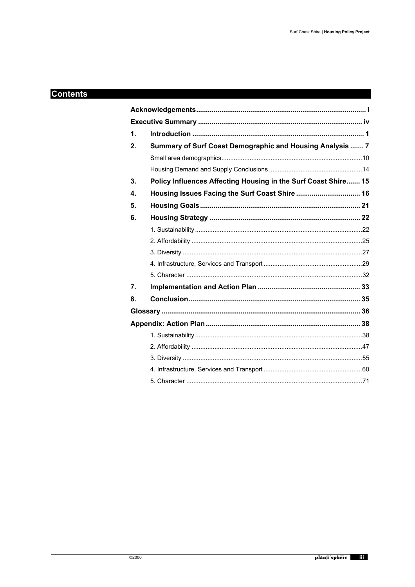## **Contents**

| 1.                 |                                                                |  |  |  |  |
|--------------------|----------------------------------------------------------------|--|--|--|--|
| 2.                 | Summary of Surf Coast Demographic and Housing Analysis  7      |  |  |  |  |
|                    |                                                                |  |  |  |  |
|                    |                                                                |  |  |  |  |
| 3 <sub>1</sub>     | Policy Influences Affecting Housing in the Surf Coast Shire 15 |  |  |  |  |
| $\boldsymbol{4}$ . |                                                                |  |  |  |  |
| 5.                 |                                                                |  |  |  |  |
| 6.                 |                                                                |  |  |  |  |
|                    |                                                                |  |  |  |  |
|                    |                                                                |  |  |  |  |
|                    |                                                                |  |  |  |  |
|                    |                                                                |  |  |  |  |
|                    |                                                                |  |  |  |  |
| 7.                 |                                                                |  |  |  |  |
| 8.                 |                                                                |  |  |  |  |
|                    |                                                                |  |  |  |  |
|                    |                                                                |  |  |  |  |
|                    |                                                                |  |  |  |  |
|                    |                                                                |  |  |  |  |
|                    |                                                                |  |  |  |  |
|                    |                                                                |  |  |  |  |
|                    |                                                                |  |  |  |  |
|                    |                                                                |  |  |  |  |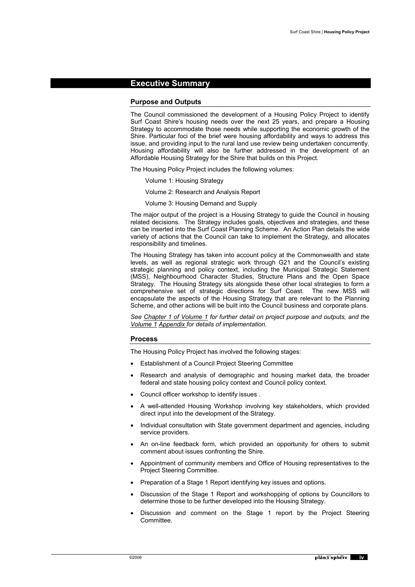#### **Executive Summary**

#### **Purpose and Outputs**

The Council commissioned the development of a Housing Policy Project to identify Surf Coast Shire's housing needs over the next 25 years, and prepare a Housing Strategy to accommodate those needs while supporting the economic growth of the Shire. Particular foci of the brief were housing affordability and ways to address this issue, and providing input to the rural land use review being undertaken concurrently. Housing affordability will also be further addressed in the development of an Affordable Housing Strategy for the Shire that builds on this Project.

The Housing Policy Project includes the following volumes:

Volume 1: Housing Strategy

Volume 2: Research and Analysis Report

Volume 3: Housing Demand and Supply

The major output of the project is a Housing Strategy to guide the Council in housing related decisions. The Strategy includes goals, objectives and strategies, and these can be inserted into the Surf Coast Planning Scheme. An Action Plan details the wide variety of actions that the Council can take to implement the Strategy, and allocates responsibility and timelines.

The Housing Strategy has taken into account policy at the Commonwealth and state levels, as well as regional strategic work through G21 and the Council's existing strategic planning and policy context, including the Municipal Strategic Statement (MSS), Neighbourhood Character Studies, Structure Plans and the Open Space Strategy. The Housing Strategy sits alongside these other local strategies to form a comprehensive set of strategic directions for Surf Coast. The new MSS will encapsulate the aspects of the Housing Strategy that are relevant to the Planning Scheme, and other actions will be built into the Council business and corporate plans.

*See Chapter 1 of Volume 1 for further detail on project purpose and outputs, and the Volume 1 Appendix for details of implementation.* 

#### **Process**

The Housing Policy Project has involved the following stages:

- Establishment of a Council Project Steering Committee
- Research and analysis of demographic and housing market data, the broader federal and state housing policy context and Council policy context.
- Council officer workshop to identify issues.
- A well-attended Housing Workshop involving key stakeholders, which provided direct input into the development of the Strategy.
- Individual consultation with State government department and agencies, including service providers.
- An on-line feedback form, which provided an opportunity for others to submit comment about issues confronting the Shire.
- x Appointment of community members and Office of Housing representatives to the Project Steering Committee.
- Preparation of a Stage 1 Report identifying key issues and options.
- Discussion of the Stage 1 Report and workshopping of options by Councillors to determine those to be further developed into the Housing Strategy.
- Discussion and comment on the Stage 1 report by the Project Steering Committee.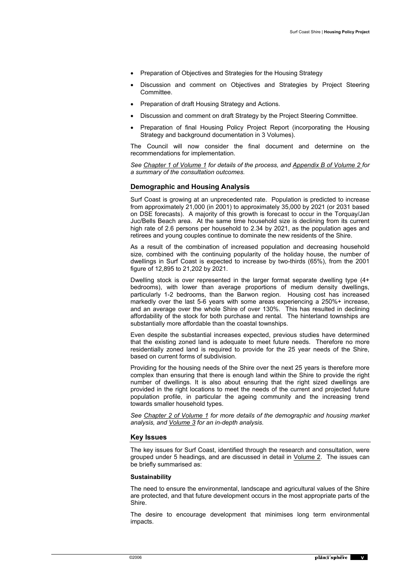- Preparation of Objectives and Strategies for the Housing Strategy
- Discussion and comment on Objectives and Strategies by Project Steering Committee.
- Preparation of draft Housing Strategy and Actions.
- Discussion and comment on draft Strategy by the Project Steering Committee.
- Preparation of final Housing Policy Project Report (incorporating the Housing Strategy and background documentation in 3 Volumes).

The Council will now consider the final document and determine on the recommendations for implementation.

*See Chapter 1 of Volume 1 for details of the process, and Appendix B of Volume 2 for a summary of the consultation outcomes.* 

#### **Demographic and Housing Analysis**

Surf Coast is growing at an unprecedented rate. Population is predicted to increase from approximately 21,000 (in 2001) to approximately 35,000 by 2021 (or 2031 based on DSE forecasts). A majority of this growth is forecast to occur in the Torquay/Jan Juc/Bells Beach area. At the same time household size is declining from its current high rate of 2.6 persons per household to 2.34 by 2021, as the population ages and retirees and young couples continue to dominate the new residents of the Shire.

As a result of the combination of increased population and decreasing household size, combined with the continuing popularity of the holiday house, the number of dwellings in Surf Coast is expected to increase by two-thirds (65%), from the 2001 figure of 12,895 to 21,202 by 2021.

Dwelling stock is over represented in the larger format separate dwelling type (4+ bedrooms), with lower than average proportions of medium density dwellings, particularly 1-2 bedrooms, than the Barwon region. Housing cost has increased markedly over the last 5-6 years with some areas experiencing a 250%+ increase, and an average over the whole Shire of over 130%. This has resulted in declining affordability of the stock for both purchase and rental. The hinterland townships are substantially more affordable than the coastal townships.

Even despite the substantial increases expected, previous studies have determined that the existing zoned land is adequate to meet future needs. Therefore no more residentially zoned land is required to provide for the 25 year needs of the Shire, based on current forms of subdivision.

Providing for the housing needs of the Shire over the next 25 years is therefore more complex than ensuring that there is enough land within the Shire to provide the right number of dwellings. It is also about ensuring that the right sized dwellings are provided in the right locations to meet the needs of the current and projected future population profile, in particular the ageing community and the increasing trend towards smaller household types.

*See Chapter 2 of Volume 1 for more details of the demographic and housing market analysis, and Volume 3 for an in-depth analysis.* 

#### **Key Issues**

The key issues for Surf Coast, identified through the research and consultation, were grouped under 5 headings, and are discussed in detail in Volume 2. The issues can be briefly summarised as:

#### **Sustainability**

The need to ensure the environmental, landscape and agricultural values of the Shire are protected, and that future development occurs in the most appropriate parts of the Shire.

The desire to encourage development that minimises long term environmental impacts.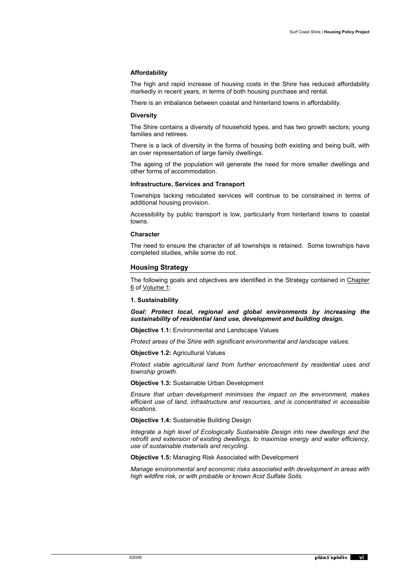#### **Affordability**

The high and rapid increase of housing costs in the Shire has reduced affordability markedly in recent years, in terms of both housing purchase and rental.

There is an imbalance between coastal and hinterland towns in affordability.

#### **Diversity**

The Shire contains a diversity of household types, and has two growth sectors; young families and retirees.

There is a lack of diversity in the forms of housing both existing and being built, with an over representation of large family dwellings.

The ageing of the population will generate the need for more smaller dwellings and other forms of accommodation.

#### **Infrastructure, Services and Transport**

Townships lacking reticulated services will continue to be constrained in terms of additional housing provision.

Accessibility by public transport is low, particularly from hinterland towns to coastal towns.

#### **Character**

The need to ensure the character of all townships is retained. Some townships have completed studies, while some do not.

#### **Housing Strategy**

The following goals and objectives are identified in the Strategy contained in Chapter 6 of Volume 1:

#### **1. Sustainability**

*Goal: Protect local, regional and global environments by increasing the sustainability of residential land use, development and building design.* 

**Objective 1.1:** Environmental and Landscape Values

*Protect areas of the Shire with significant environmental and landscape values.* 

**Objective 1.2:** Agricultural Values

*Protect viable agricultural land from further encroachment by residential uses and township growth.*

**Objective 1.3:** Sustainable Urban Development

*Ensure that urban development minimises the impact on the environment, makes efficient use of land, infrastructure and resources, and is concentrated in accessible locations.*

**Objective 1.4:** Sustainable Building Design

*Integrate a high level of Ecologically Sustainable Design into new dwellings and the retrofit and extension of existing dwellings, to maximise energy and water efficiency, use of sustainable materials and recycling.* 

**Objective 1.5:** Managing Risk Associated with Development

*Manage environmental and economic risks associated with development in areas with high wildfire risk, or with probable or known Acid Sulfate Soils.*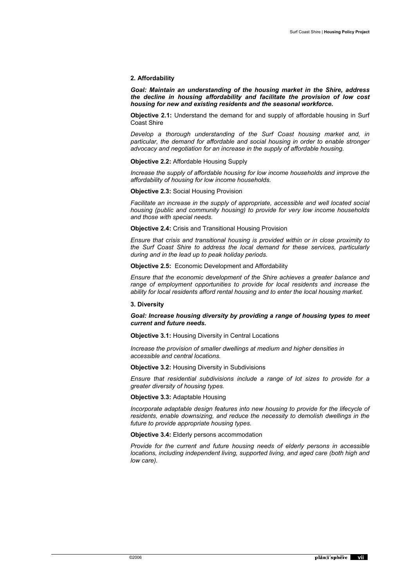#### **2. Affordability**

*Goal: Maintain an understanding of the housing market in the Shire, address the decline in housing affordability and facilitate the provision of low cost housing for new and existing residents and the seasonal workforce.*

**Objective 2.1:** Understand the demand for and supply of affordable housing in Surf Coast Shire

*Develop a thorough understanding of the Surf Coast housing market and, in particular, the demand for affordable and social housing in order to enable stronger advocacy and negotiation for an increase in the supply of affordable housing.* 

**Objective 2.2:** Affordable Housing Supply

*Increase the supply of affordable housing for low income households and improve the affordability of housing for low income households.* 

**Objective 2.3:** Social Housing Provision

*Facilitate an increase in the supply of appropriate, accessible and well located social housing (public and community housing) to provide for very low income households and those with special needs.* 

**Objective 2.4:** Crisis and Transitional Housing Provision

*Ensure that crisis and transitional housing is provided within or in close proximity to the Surf Coast Shire to address the local demand for these services, particularly during and in the lead up to peak holiday periods.* 

**Objective 2.5:** Economic Development and Affordability

*Ensure that the economic development of the Shire achieves a greater balance and range of employment opportunities to provide for local residents and increase the ability for local residents afford rental housing and to enter the local housing market.* 

#### **3. Diversity**

*Goal: Increase housing diversity by providing a range of housing types to meet current and future needs.* 

**Objective 3.1:** Housing Diversity in Central Locations

*Increase the provision of smaller dwellings at medium and higher densities in accessible and central locations.* 

**Objective 3.2:** Housing Diversity in Subdivisions

*Ensure that residential subdivisions include a range of lot sizes to provide for a greater diversity of housing types.* 

**Objective 3.3:** Adaptable Housing

*Incorporate adaptable design features into new housing to provide for the lifecycle of residents, enable downsizing, and reduce the necessity to demolish dwellings in the future to provide appropriate housing types.* 

**Objective 3.4:** Elderly persons accommodation

*Provide for the current and future housing needs of elderly persons in accessible locations, including independent living, supported living, and aged care (both high and low care).*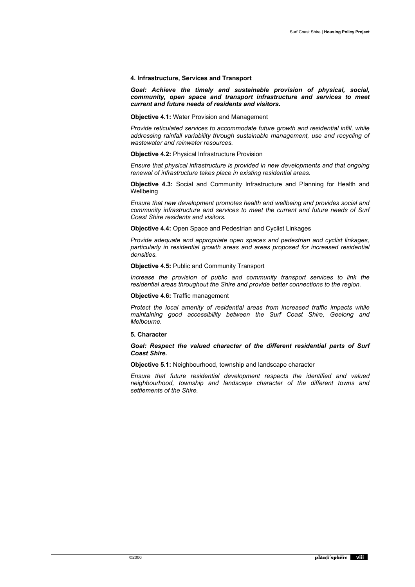#### **4. Infrastructure, Services and Transport**

*Goal: Achieve the timely and sustainable provision of physical, social, community, open space and transport infrastructure and services to meet current and future needs of residents and visitors.* 

**Objective 4.1:** Water Provision and Management

*Provide reticulated services to accommodate future growth and residential infill, while addressing rainfall variability through sustainable management, use and recycling of wastewater and rainwater resources.* 

**Objective 4.2:** Physical Infrastructure Provision

*Ensure that physical infrastructure is provided in new developments and that ongoing renewal of infrastructure takes place in existing residential areas.* 

**Objective 4.3:** Social and Community Infrastructure and Planning for Health and **Wellbeing** 

*Ensure that new development promotes health and wellbeing and provides social and community infrastructure and services to meet the current and future needs of Surf Coast Shire residents and visitors.* 

**Objective 4.4:** Open Space and Pedestrian and Cyclist Linkages

*Provide adequate and appropriate open spaces and pedestrian and cyclist linkages, particularly in residential growth areas and areas proposed for increased residential densities.* 

**Objective 4.5:** Public and Community Transport

*Increase the provision of public and community transport services to link the residential areas throughout the Shire and provide better connections to the region.* 

**Objective 4.6:** Traffic management

*Protect the local amenity of residential areas from increased traffic impacts while maintaining good accessibility between the Surf Coast Shire, Geelong and Melbourne.*

#### **5. Character**

Goal: Respect the valued character of the different residential parts of Surf *Coast Shire.* 

**Objective 5.1:** Neighbourhood, township and landscape character

*Ensure that future residential development respects the identified and valued neighbourhood, township and landscape character of the different towns and settlements of the Shire.*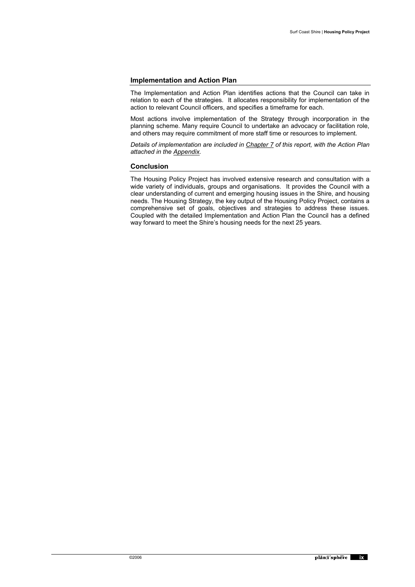#### **Implementation and Action Plan**

The Implementation and Action Plan identifies actions that the Council can take in relation to each of the strategies. It allocates responsibility for implementation of the action to relevant Council officers, and specifies a timeframe for each.

Most actions involve implementation of the Strategy through incorporation in the planning scheme. Many require Council to undertake an advocacy or facilitation role, and others may require commitment of more staff time or resources to implement.

*Details of implementation are included in Chapter 7 of this report, with the Action Plan attached in the Appendix.*

#### **Conclusion**

The Housing Policy Project has involved extensive research and consultation with a wide variety of individuals, groups and organisations. It provides the Council with a clear understanding of current and emerging housing issues in the Shire, and housing needs. The Housing Strategy, the key output of the Housing Policy Project, contains a comprehensive set of goals, objectives and strategies to address these issues. Coupled with the detailed Implementation and Action Plan the Council has a defined way forward to meet the Shire's housing needs for the next 25 years.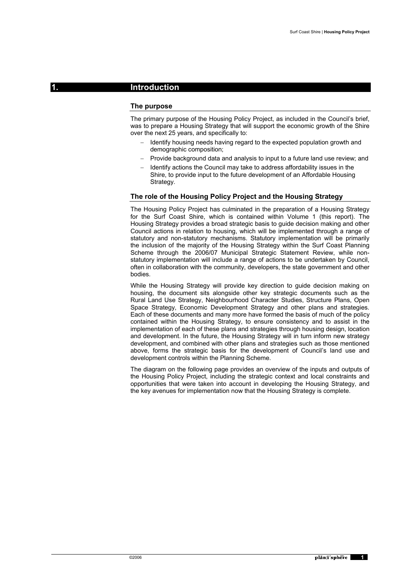### **1. Introduction**

#### **The purpose**

The primary purpose of the Housing Policy Project, as included in the Council's brief, was to prepare a Housing Strategy that will support the economic growth of the Shire over the next 25 years, and specifically to:

- $-I$  Identify housing needs having regard to the expected population growth and demographic composition;
- Provide background data and analysis to input to a future land use review; and
- Identify actions the Council may take to address affordability issues in the Shire, to provide input to the future development of an Affordable Housing Strategy.

#### **The role of the Housing Policy Project and the Housing Strategy**

The Housing Policy Project has culminated in the preparation of a Housing Strategy for the Surf Coast Shire, which is contained within Volume 1 (this report). The Housing Strategy provides a broad strategic basis to guide decision making and other Council actions in relation to housing, which will be implemented through a range of statutory and non-statutory mechanisms. Statutory implementation will be primarily the inclusion of the majority of the Housing Strategy within the Surf Coast Planning Scheme through the 2006/07 Municipal Strategic Statement Review, while nonstatutory implementation will include a range of actions to be undertaken by Council, often in collaboration with the community, developers, the state government and other bodies.

While the Housing Strategy will provide key direction to guide decision making on housing, the document sits alongside other key strategic documents such as the Rural Land Use Strategy, Neighbourhood Character Studies, Structure Plans, Open Space Strategy, Economic Development Strategy and other plans and strategies. Each of these documents and many more have formed the basis of much of the policy contained within the Housing Strategy, to ensure consistency and to assist in the implementation of each of these plans and strategies through housing design, location and development. In the future, the Housing Strategy will in turn inform new strategy development, and combined with other plans and strategies such as those mentioned above, forms the strategic basis for the development of Council's land use and development controls within the Planning Scheme.

The diagram on the following page provides an overview of the inputs and outputs of the Housing Policy Project, including the strategic context and local constraints and opportunities that were taken into account in developing the Housing Strategy, and the key avenues for implementation now that the Housing Strategy is complete.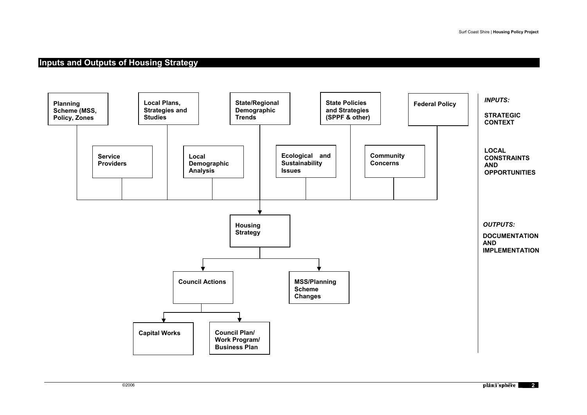### **Inputs and Outputs of Housing Strategy**

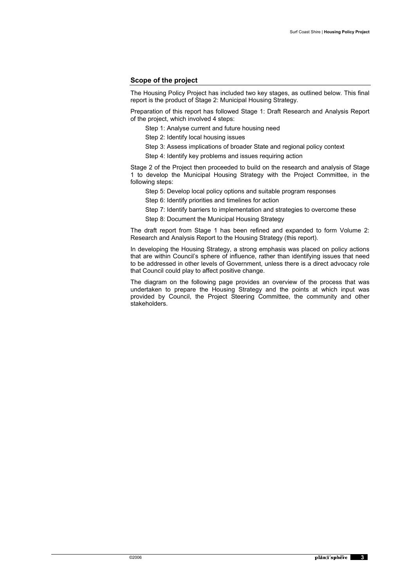#### **Scope of the project**

The Housing Policy Project has included two key stages, as outlined below. This final report is the product of Stage 2: Municipal Housing Strategy.

Preparation of this report has followed Stage 1: Draft Research and Analysis Report of the project, which involved 4 steps:

Step 1: Analyse current and future housing need

Step 2: Identify local housing issues

Step 3: Assess implications of broader State and regional policy context

Step 4: Identify key problems and issues requiring action

Stage 2 of the Project then proceeded to build on the research and analysis of Stage 1 to develop the Municipal Housing Strategy with the Project Committee, in the following steps:

Step 5: Develop local policy options and suitable program responses

Step 6: Identify priorities and timelines for action

Step 7: Identify barriers to implementation and strategies to overcome these

Step 8: Document the Municipal Housing Strategy

The draft report from Stage 1 has been refined and expanded to form Volume 2: Research and Analysis Report to the Housing Strategy (this report).

In developing the Housing Strategy, a strong emphasis was placed on policy actions that are within Council's sphere of influence, rather than identifying issues that need to be addressed in other levels of Government, unless there is a direct advocacy role that Council could play to affect positive change.

The diagram on the following page provides an overview of the process that was undertaken to prepare the Housing Strategy and the points at which input was provided by Council, the Project Steering Committee, the community and other stakeholders.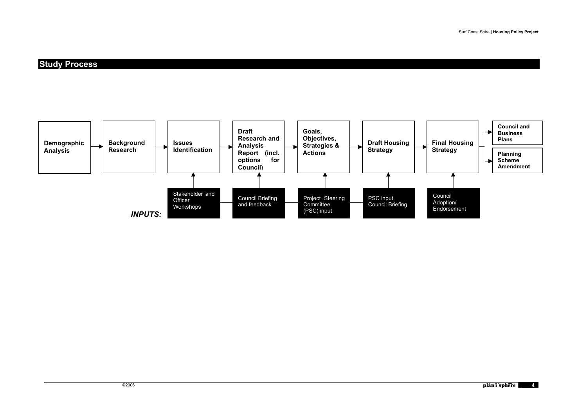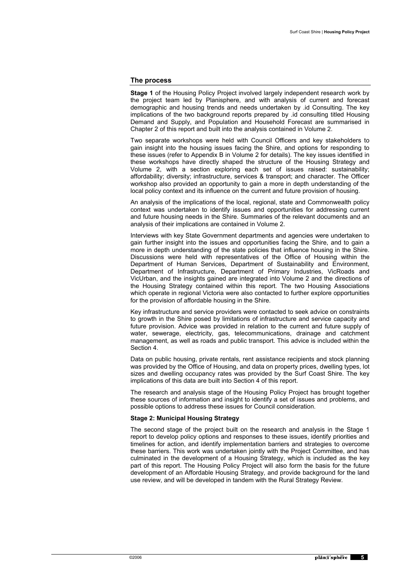#### **The process**

**Stage 1** of the Housing Policy Project involved largely independent research work by the project team led by Planisphere, and with analysis of current and forecast demographic and housing trends and needs undertaken by .id Consulting. The key implications of the two background reports prepared by .id consulting titled Housing Demand and Supply, and Population and Household Forecast are summarised in Chapter 2 of this report and built into the analysis contained in Volume 2.

Two separate workshops were held with Council Officers and key stakeholders to gain insight into the housing issues facing the Shire, and options for responding to these issues (refer to Appendix B in Volume 2 for details). The key issues identified in these workshops have directly shaped the structure of the Housing Strategy and Volume 2, with a section exploring each set of issues raised: sustainability; affordability; diversity; infrastructure, services & transport; and character. The Officer workshop also provided an opportunity to gain a more in depth understanding of the local policy context and its influence on the current and future provision of housing.

An analysis of the implications of the local, regional, state and Commonwealth policy context was undertaken to identify issues and opportunities for addressing current and future housing needs in the Shire. Summaries of the relevant documents and an analysis of their implications are contained in Volume 2.

Interviews with key State Government departments and agencies were undertaken to gain further insight into the issues and opportunities facing the Shire, and to gain a more in depth understanding of the state policies that influence housing in the Shire. Discussions were held with representatives of the Office of Housing within the Department of Human Services, Department of Sustainability and Environment, Department of Infrastructure, Department of Primary Industries, VicRoads and VicUrban, and the insights gained are integrated into Volume 2 and the directions of the Housing Strategy contained within this report. The two Housing Associations which operate in regional Victoria were also contacted to further explore opportunities for the provision of affordable housing in the Shire.

Key infrastructure and service providers were contacted to seek advice on constraints to growth in the Shire posed by limitations of infrastructure and service capacity and future provision. Advice was provided in relation to the current and future supply of water, sewerage, electricity, gas, telecommunications, drainage and catchment management, as well as roads and public transport. This advice is included within the Section 4.

Data on public housing, private rentals, rent assistance recipients and stock planning was provided by the Office of Housing, and data on property prices, dwelling types, lot sizes and dwelling occupancy rates was provided by the Surf Coast Shire. The key implications of this data are built into Section 4 of this report.

The research and analysis stage of the Housing Policy Project has brought together these sources of information and insight to identify a set of issues and problems, and possible options to address these issues for Council consideration.

#### **Stage 2: Municipal Housing Strategy**

The second stage of the project built on the research and analysis in the Stage 1 report to develop policy options and responses to these issues, identify priorities and timelines for action, and identify implementation barriers and strategies to overcome these barriers. This work was undertaken jointly with the Project Committee, and has culminated in the development of a Housing Strategy, which is included as the key part of this report. The Housing Policy Project will also form the basis for the future development of an Affordable Housing Strategy, and provide background for the land use review, and will be developed in tandem with the Rural Strategy Review.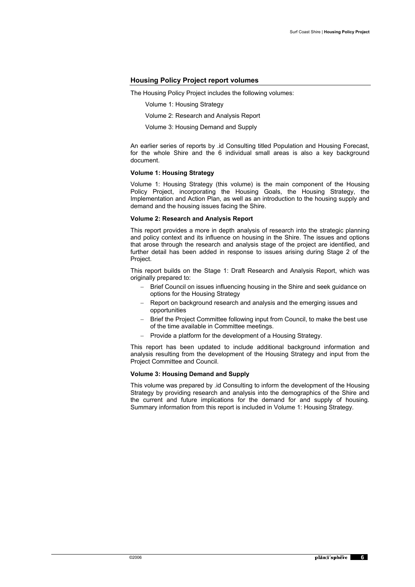#### **Housing Policy Project report volumes**

The Housing Policy Project includes the following volumes:

Volume 1: Housing Strategy

Volume 2: Research and Analysis Report

Volume 3: Housing Demand and Supply

An earlier series of reports by .id Consulting titled Population and Housing Forecast, for the whole Shire and the 6 individual small areas is also a key background document.

#### **Volume 1: Housing Strategy**

Volume 1: Housing Strategy (this volume) is the main component of the Housing Policy Project, incorporating the Housing Goals, the Housing Strategy, the Implementation and Action Plan, as well as an introduction to the housing supply and demand and the housing issues facing the Shire.

#### **Volume 2: Research and Analysis Report**

This report provides a more in depth analysis of research into the strategic planning and policy context and its influence on housing in the Shire. The issues and options that arose through the research and analysis stage of the project are identified, and further detail has been added in response to issues arising during Stage 2 of the Project.

This report builds on the Stage 1: Draft Research and Analysis Report, which was originally prepared to:

- Brief Council on issues influencing housing in the Shire and seek guidance on options for the Housing Strategy
- Report on background research and analysis and the emerging issues and opportunities
- Brief the Project Committee following input from Council, to make the best use of the time available in Committee meetings.
- Provide a platform for the development of a Housing Strategy.

This report has been updated to include additional background information and analysis resulting from the development of the Housing Strategy and input from the Project Committee and Council.

#### **Volume 3: Housing Demand and Supply**

This volume was prepared by .id Consulting to inform the development of the Housing Strategy by providing research and analysis into the demographics of the Shire and the current and future implications for the demand for and supply of housing. Summary information from this report is included in Volume 1: Housing Strategy.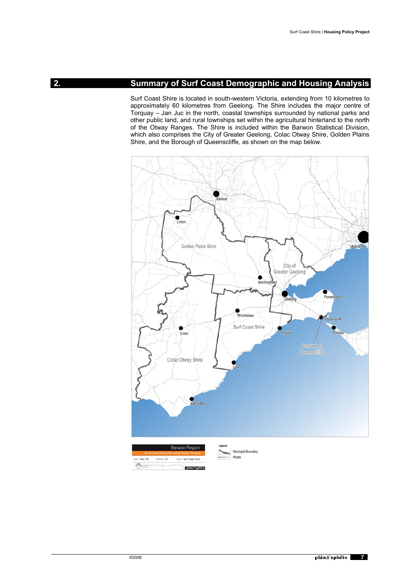### **2. Summary of Surf Coast Demographic and Housing Analysis**

Surf Coast Shire is located in south-western Victoria, extending from 10 kilometres to approximately 60 kilometres from Geelong. The Shire includes the major centre of Torquay – Jan Juc in the north, coastal townships surrounded by national parks and other public land, and rural townships set within the agricultural hinterland to the north of the Otway Ranges. The Shire is included within the Barwon Statistical Division, which also comprises the City of Greater Geelong, Colac Otway Shire, Golden Plains Shire, and the Borough of Queenscliffe, as shown on the map below.

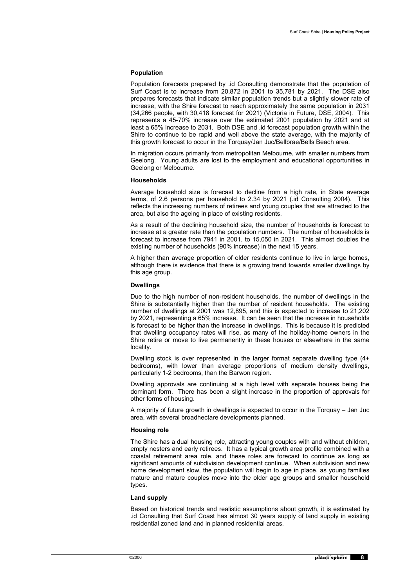#### **Population**

Population forecasts prepared by .id Consulting demonstrate that the population of Surf Coast is to increase from 20,872 in 2001 to 35,781 by 2021. The DSE also prepares forecasts that indicate similar population trends but a slightly slower rate of increase, with the Shire forecast to reach approximately the same population in 2031 (34,266 people, with 30,418 forecast for 2021) (Victoria in Future, DSE, 2004). This represents a 45-70% increase over the estimated 2001 population by 2021 and at least a 65% increase to 2031. Both DSE and .id forecast population growth within the Shire to continue to be rapid and well above the state average, with the majority of this growth forecast to occur in the Torquay/Jan Juc/Bellbrae/Bells Beach area.

In migration occurs primarily from metropolitan Melbourne, with smaller numbers from Geelong. Young adults are lost to the employment and educational opportunities in Geelong or Melbourne.

#### **Households**

Average household size is forecast to decline from a high rate, in State average terms, of 2.6 persons per household to 2.34 by 2021 (.id Consulting 2004). This reflects the increasing numbers of retirees and young couples that are attracted to the area, but also the ageing in place of existing residents.

As a result of the declining household size, the number of households is forecast to increase at a greater rate than the population numbers. The number of households is forecast to increase from 7941 in 2001, to 15,050 in 2021. This almost doubles the existing number of households (90% increase) in the next 15 years.

A higher than average proportion of older residents continue to live in large homes, although there is evidence that there is a growing trend towards smaller dwellings by this age group.

#### **Dwellings**

Due to the high number of non-resident households, the number of dwellings in the Shire is substantially higher than the number of resident households. The existing number of dwellings at 2001 was 12,895, and this is expected to increase to 21,202 by 2021, representing a 65% increase. It can be seen that the increase in households is forecast to be higher than the increase in dwellings. This is because it is predicted that dwelling occupancy rates will rise, as many of the holiday-home owners in the Shire retire or move to live permanently in these houses or elsewhere in the same locality.

Dwelling stock is over represented in the larger format separate dwelling type (4+ bedrooms), with lower than average proportions of medium density dwellings, particularly 1-2 bedrooms, than the Barwon region.

Dwelling approvals are continuing at a high level with separate houses being the dominant form. There has been a slight increase in the proportion of approvals for other forms of housing.

A majority of future growth in dwellings is expected to occur in the Torquay – Jan Juc area, with several broadhectare developments planned.

#### **Housing role**

The Shire has a dual housing role, attracting young couples with and without children, empty nesters and early retirees. It has a typical growth area profile combined with a coastal retirement area role, and these roles are forecast to continue as long as significant amounts of subdivision development continue. When subdivision and new home development slow, the population will begin to age in place, as young families mature and mature couples move into the older age groups and smaller household types.

#### **Land supply**

Based on historical trends and realistic assumptions about growth, it is estimated by .id Consulting that Surf Coast has almost 30 years supply of land supply in existing residential zoned land and in planned residential areas.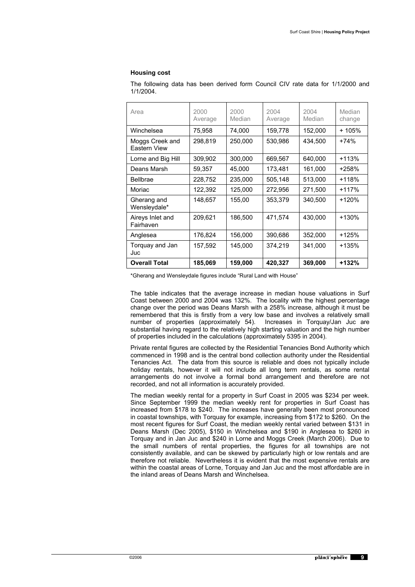#### **Housing cost**

The following data has been derived form Council CIV rate data for 1/1/2000 and 1/1/2004.

| Area                            | 2000<br>Average | 2000<br>Median | 2004<br>Average | 2004<br>Median | Median<br>change |
|---------------------------------|-----------------|----------------|-----------------|----------------|------------------|
| Winchelsea                      | 75,958          | 74,000         | 159,778         | 152,000        | + 105%           |
| Moggs Creek and<br>Eastern View | 298,819         | 250,000        | 530,986         | 434,500        | $+74%$           |
| Lorne and Big Hill              | 309,902         | 300,000        | 669,567         | 640,000        | $+113%$          |
| Deans Marsh                     | 59,357          | 45,000         | 173,481         | 161,000        | $+258%$          |
| <b>Bellbrae</b>                 | 228,752         | 235,000        | 505,148         | 513,000        | $+118%$          |
| Moriac                          | 122,392         | 125,000        | 272,956         | 271,500        | $+117%$          |
| Gherang and<br>Wensleydale*     | 148,657         | 155,00         | 353,379         | 340,500        | $+120%$          |
| Aireys Inlet and<br>Fairhaven   | 209,621         | 186,500        | 471,574         | 430,000        | $+130%$          |
| Anglesea                        | 176,824         | 156,000        | 390,686         | 352,000        | $+125%$          |
| Torquay and Jan<br>Juc          | 157,592         | 145,000        | 374,219         | 341,000        | +135%            |
| <b>Overall Total</b>            | 185,069         | 159,000        | 420,327         | 369,000        | $+132%$          |

\*Gherang and Wensleydale figures include "Rural Land with House"

The table indicates that the average increase in median house valuations in Surf Coast between 2000 and 2004 was 132%. The locality with the highest percentage change over the period was Deans Marsh with a 258% increase, although it must be remembered that this is firstly from a very low base and involves a relatively small number of properties (approximately 54). Increases in Torquay/Jan Juc are substantial having regard to the relatively high starting valuation and the high number of properties included in the calculations (approximately 5395 in 2004).

Private rental figures are collected by the Residential Tenancies Bond Authority which commenced in 1998 and is the central bond collection authority under the Residential Tenancies Act. The data from this source is reliable and does not typically include holiday rentals, however it will not include all long term rentals, as some rental arrangements do not involve a formal bond arrangement and therefore are not recorded, and not all information is accurately provided.

The median weekly rental for a property in Surf Coast in 2005 was \$234 per week. Since September 1999 the median weekly rent for properties in Surf Coast has increased from \$178 to \$240. The increases have generally been most pronounced in coastal townships, with Torquay for example, increasing from \$172 to \$260. On the most recent figures for Surf Coast, the median weekly rental varied between \$131 in Deans Marsh (Dec 2005), \$150 in Winchelsea and \$190 in Anglesea to \$260 in Torquay and in Jan Juc and \$240 in Lorne and Moggs Creek (March 2006). Due to the small numbers of rental properties, the figures for all townships are not consistently available, and can be skewed by particularly high or low rentals and are therefore not reliable. Nevertheless it is evident that the most expensive rentals are within the coastal areas of Lorne, Torquay and Jan Juc and the most affordable are in the inland areas of Deans Marsh and Winchelsea.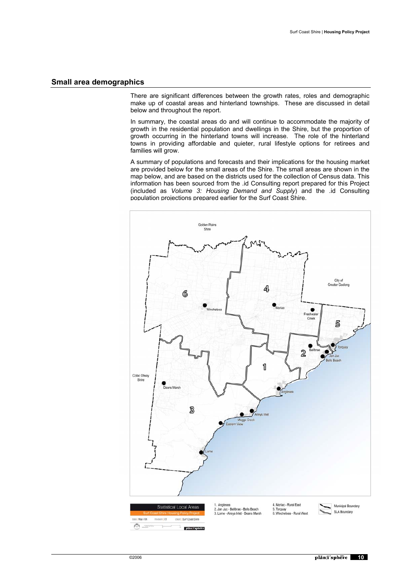#### **Small area demographics**

There are significant differences between the growth rates, roles and demographic make up of coastal areas and hinterland townships. These are discussed in detail below and throughout the report.

In summary, the coastal areas do and will continue to accommodate the majority of growth in the residential population and dwellings in the Shire, but the proportion of growth occurring in the hinterland towns will increase. The role of the hinterland towns in providing affordable and quieter, rural lifestyle options for retirees and families will grow.

A summary of populations and forecasts and their implications for the housing market are provided below for the small areas of the Shire. The small areas are shown in the map below, and are based on the districts used for the collection of Census data. This information has been sourced from the .id Consulting report prepared for this Project (included as *Volume 3: Housing Demand and Supply*) and the .id Consulting population projections prepared earlier for the Surf Coast Shire.

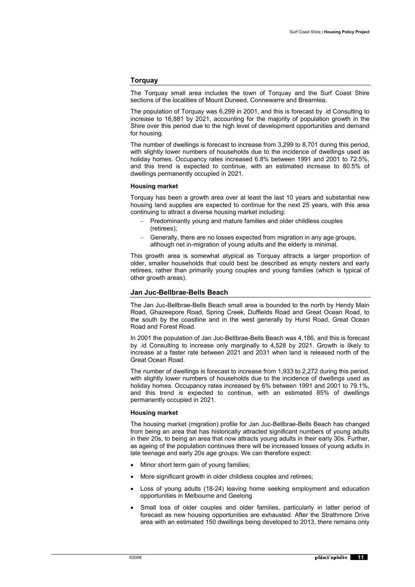#### **Torquay**

The Torquay small area includes the town of Torquay and the Surf Coast Shire sections of the localities of Mount Duneed, Connewarre and Breamlea.

The population of Torquay was 6,299 in 2001, and this is forecast by .id Consulting to increase to 16,881 by 2021, accounting for the majority of population growth in the Shire over this period due to the high level of development opportunities and demand for housing.

The number of dwellings is forecast to increase from 3,299 to 8,701 during this period, with slightly lower numbers of households due to the incidence of dwellings used as holiday homes. Occupancy rates increased 6.8% between 1991 and 2001 to 72.5%, and this trend is expected to continue, with an estimated increase to 80.5% of dwellings permanently occupied in 2021.

#### **Housing market**

Torquay has been a growth area over at least the last 10 years and substantial new housing land supplies are expected to continue for the next 25 years, with this area continuing to attract a diverse housing market including:

- Predominantly young and mature families and older childless couples (retirees);
- Generally, there are no losses expected from migration in any age groups, although net in-migration of young adults and the elderly is minimal.

This growth area is somewhat atypical as Torquay attracts a larger proportion of older, smaller households that could best be described as empty nesters and early retirees, rather than primarily young couples and young families (which is typical of other growth areas).

#### **Jan Juc-Bellbrae-Bells Beach**

The Jan Juc-Bellbrae-Bells Beach small area is bounded to the north by Hendy Main Road, Ghazeepore Road, Spring Creek, Duffields Road and Great Ocean Road, to the south by the coastline and in the west generally by Hurst Road, Great Ocean Road and Forest Road.

In 2001 the population of Jan Juc-Bellbrae-Bells Beach was 4,186, and this is forecast by .id Consulting to increase only marginally to 4,528 by 2021. Growth is likely to increase at a faster rate between 2021 and 2031 when land is released north of the Great Ocean Road.

The number of dwellings is forecast to increase from 1,933 to 2,272 during this period, with slightly lower numbers of households due to the incidence of dwellings used as holiday homes. Occupancy rates increased by 6% between 1991 and 2001 to 79.1%, and this trend is expected to continue, with an estimated 85% of dwellings permanently occupied in 2021.

#### **Housing market**

The housing market (migration) profile for Jan Juc-Bellbrae-Bells Beach has changed from being an area that has historically attracted significant numbers of young adults in their 20s, to being an area that now attracts young adults in their early 30s. Further, as ageing of the population continues there will be increased losses of young adults in late teenage and early 20s age groups. We can therefore expect:

- Minor short term gain of young families;
- More significant growth in older childless couples and retirees;
- Loss of young adults (18-24) leaving home seeking employment and education opportunities in Melbourne and Geelong
- Small loss of older couples and older families, particularly in latter period of forecast as new housing opportunities are exhausted. After the Strathmore Drive area with an estimated 150 dwellings being developed to 2013, there remains only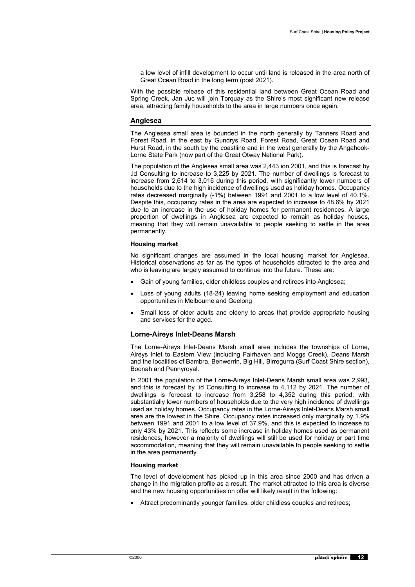a low level of infill development to occur until land is released in the area north of Great Ocean Road in the long term (post 2021).

With the possible release of this residential land between Great Ocean Road and Spring Creek, Jan Juc will join Torquay as the Shire's most significant new release area, attracting family households to the area in large numbers once again.

#### **Anglesea**

The Anglesea small area is bounded in the north generally by Tanners Road and Forest Road, in the east by Gundrys Road, Forest Road, Great Ocean Road and Hurst Road, in the south by the coastline and in the west generally by the Angahook-Lorne State Park (now part of the Great Otway National Park).

The population of the Anglesea small area was 2,443 ion 2001, and this is forecast by .id Consulting to increase to 3,225 by 2021. The number of dwellings is forecast to increase from 2,614 to 3,016 during this period, with significantly lower numbers of households due to the high incidence of dwellings used as holiday homes. Occupancy rates decreased marginally (-1%) between 1991 and 2001 to a low level of 40.1%. Despite this, occupancy rates in the area are expected to increase to 48.6% by 2021 due to an increase in the use of holiday homes for permanent residences. A large proportion of dwellings in Anglesea are expected to remain as holiday houses, meaning that they will remain unavailable to people seeking to settle in the area permanently.

#### **Housing market**

No significant changes are assumed in the local housing market for Anglesea. Historical observations as far as the types of households attracted to the area and who is leaving are largely assumed to continue into the future. These are:

- Gain of young families, older childless couples and retirees into Anglesea;
- Loss of young adults (18-24) leaving home seeking employment and education opportunities in Melbourne and Geelong
- Small loss of older adults and elderly to areas that provide appropriate housing and services for the aged.

#### **Lorne-Aireys Inlet-Deans Marsh**

The Lorne-Aireys Inlet-Deans Marsh small area includes the townships of Lorne, Aireys Inlet to Eastern View (including Fairhaven and Moggs Creek), Deans Marsh and the localities of Bambra, Benwerrin, Big Hill, Birregurra (Surf Coast Shire section), Boonah and Pennyroyal.

In 2001 the population of the Lorne-Aireys Inlet-Deans Marsh small area was 2,993, and this is forecast by .id Consulting to increase to 4,112 by 2021. The number of dwellings is forecast to increase from 3,258 to 4,352 during this period, with substantially lower numbers of households due to the very high incidence of dwellings used as holiday homes. Occupancy rates in the Lorne-Aireys Inlet-Deans Marsh small area are the lowest in the Shire. Occupancy rates increased only marginally by 1.9% between 1991 and 2001 to a low level of 37.9%, and this is expected to increase to only 43% by 2021. This reflects some increase in holiday homes used as permanent residences, however a majority of dwellings will still be used for holiday or part time accommodation, meaning that they will remain unavailable to people seeking to settle in the area permanently.

#### **Housing market**

The level of development has picked up in this area since 2000 and has driven a change in the migration profile as a result. The market attracted to this area is diverse and the new housing opportunities on offer will likely result in the following:

• Attract predominantly younger families, older childless couples and retirees;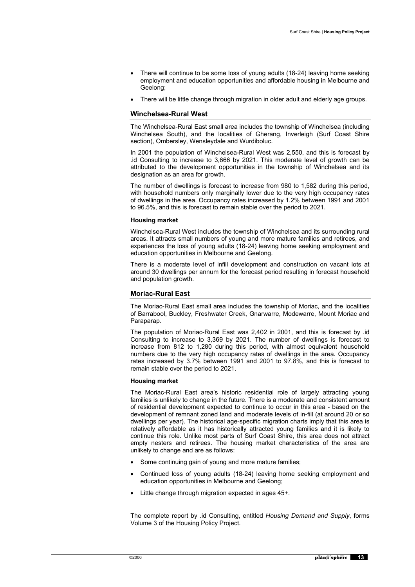- There will continue to be some loss of young adults (18-24) leaving home seeking employment and education opportunities and affordable housing in Melbourne and Geelong;
- There will be little change through migration in older adult and elderly age groups.

#### **Winchelsea-Rural West**

The Winchelsea-Rural East small area includes the township of Winchelsea (including Winchelsea South), and the localities of Gherang, Inverleigh (Surf Coast Shire section), Ombersley, Wensleydale and Wurdiboluc.

In 2001 the population of Winchelsea-Rural West was 2,550, and this is forecast by .id Consulting to increase to 3,666 by 2021. This moderate level of growth can be attributed to the development opportunities in the township of Winchelsea and its designation as an area for growth.

The number of dwellings is forecast to increase from 980 to 1,582 during this period, with household numbers only marginally lower due to the very high occupancy rates of dwellings in the area. Occupancy rates increased by 1.2% between 1991 and 2001 to 96.5%, and this is forecast to remain stable over the period to 2021.

#### **Housing market**

Winchelsea-Rural West includes the township of Winchelsea and its surrounding rural areas. It attracts small numbers of young and more mature families and retirees, and experiences the loss of young adults (18-24) leaving home seeking employment and education opportunities in Melbourne and Geelong.

There is a moderate level of infill development and construction on vacant lots at around 30 dwellings per annum for the forecast period resulting in forecast household and population growth.

#### **Moriac-Rural East**

The Moriac-Rural East small area includes the township of Moriac, and the localities of Barrabool, Buckley, Freshwater Creek, Gnarwarre, Modewarre, Mount Moriac and Paraparap.

The population of Moriac-Rural East was 2,402 in 2001, and this is forecast by .id Consulting to increase to 3,369 by 2021. The number of dwellings is forecast to increase from 812 to 1,280 during this period, with almost equivalent household numbers due to the very high occupancy rates of dwellings in the area. Occupancy rates increased by 3.7% between 1991 and 2001 to 97.8%, and this is forecast to remain stable over the period to 2021.

#### **Housing market**

The Moriac-Rural East area's historic residential role of largely attracting young families is unlikely to change in the future. There is a moderate and consistent amount of residential development expected to continue to occur in this area - based on the development of remnant zoned land and moderate levels of in-fill (at around 20 or so dwellings per year). The historical age-specific migration charts imply that this area is relatively affordable as it has historically attracted young families and it is likely to continue this role. Unlike most parts of Surf Coast Shire, this area does not attract empty nesters and retirees. The housing market characteristics of the area are unlikely to change and are as follows:

- Some continuing gain of young and more mature families;
- Continued loss of young adults (18-24) leaving home seeking employment and education opportunities in Melbourne and Geelong;
- Little change through migration expected in ages 45+.

The complete report by .id Consulting, entitled *Housing Demand and Supply*, forms Volume 3 of the Housing Policy Project.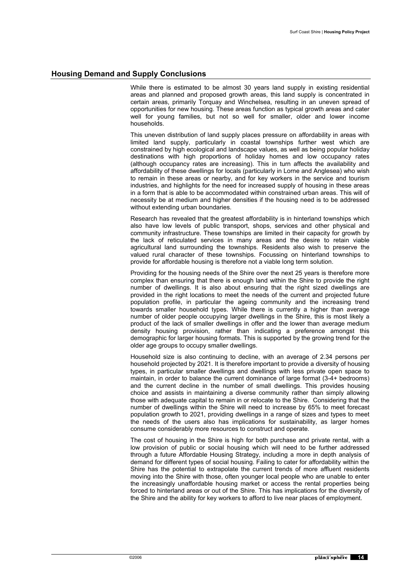#### **Housing Demand and Supply Conclusions**

While there is estimated to be almost 30 years land supply in existing residential areas and planned and proposed growth areas, this land supply is concentrated in certain areas, primarily Torquay and Winchelsea, resulting in an uneven spread of opportunities for new housing. These areas function as typical growth areas and cater well for young families, but not so well for smaller, older and lower income households.

This uneven distribution of land supply places pressure on affordability in areas with limited land supply, particularly in coastal townships further west which are constrained by high ecological and landscape values, as well as being popular holiday destinations with high proportions of holiday homes and low occupancy rates (although occupancy rates are increasing). This in turn affects the availability and affordability of these dwellings for locals (particularly in Lorne and Anglesea) who wish to remain in these areas or nearby, and for key workers in the service and tourism industries, and highlights for the need for increased supply of housing in these areas in a form that is able to be accommodated within constrained urban areas. This will of necessity be at medium and higher densities if the housing need is to be addressed without extending urban boundaries.

Research has revealed that the greatest affordability is in hinterland townships which also have low levels of public transport, shops, services and other physical and community infrastructure. These townships are limited in their capacity for growth by the lack of reticulated services in many areas and the desire to retain viable agricultural land surrounding the townships. Residents also wish to preserve the valued rural character of these townships. Focussing on hinterland townships to provide for affordable housing is therefore not a viable long term solution.

Providing for the housing needs of the Shire over the next 25 years is therefore more complex than ensuring that there is enough land within the Shire to provide the right number of dwellings. It is also about ensuring that the right sized dwellings are provided in the right locations to meet the needs of the current and projected future population profile, in particular the ageing community and the increasing trend towards smaller household types. While there is currently a higher than average number of older people occupying larger dwellings in the Shire, this is most likely a product of the lack of smaller dwellings in offer and the lower than average medium density housing provision, rather than indicating a preference amongst this demographic for larger housing formats. This is supported by the growing trend for the older age groups to occupy smaller dwellings.

Household size is also continuing to decline, with an average of 2.34 persons per household projected by 2021. It is therefore important to provide a diversity of housing types, in particular smaller dwellings and dwellings with less private open space to maintain, in order to balance the current dominance of large format (3-4+ bedrooms) and the current decline in the number of small dwellings. This provides housing choice and assists in maintaining a diverse community rather than simply allowing those with adequate capital to remain in or relocate to the Shire. Considering that the number of dwellings within the Shire will need to increase by 65% to meet forecast population growth to 2021, providing dwellings in a range of sizes and types to meet the needs of the users also has implications for sustainability, as larger homes consume considerably more resources to construct and operate.

The cost of housing in the Shire is high for both purchase and private rental, with a low provision of public or social housing which will need to be further addressed through a future Affordable Housing Strategy, including a more in depth analysis of demand for different types of social housing. Failing to cater for affordability within the Shire has the potential to extrapolate the current trends of more affluent residents moving into the Shire with those, often younger local people who are unable to enter the increasingly unaffordable housing market or access the rental properties being forced to hinterland areas or out of the Shire. This has implications for the diversity of the Shire and the ability for key workers to afford to live near places of employment.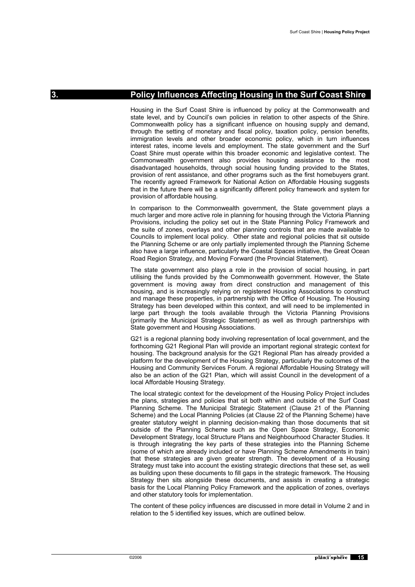### **3. Policy Influences Affecting Housing in the Surf Coast Shire**

Housing in the Surf Coast Shire is influenced by policy at the Commonwealth and state level, and by Council's own policies in relation to other aspects of the Shire. Commonwealth policy has a significant influence on housing supply and demand, through the setting of monetary and fiscal policy, taxation policy, pension benefits, immigration levels and other broader economic policy, which in turn influences interest rates, income levels and employment. The state government and the Surf Coast Shire must operate within this broader economic and legislative context. The Commonwealth government also provides housing assistance to the most disadvantaged households, through social housing funding provided to the States, provision of rent assistance, and other programs such as the first homebuyers grant. The recently agreed Framework for National Action on Affordable Housing suggests that in the future there will be a significantly different policy framework and system for provision of affordable housing.

In comparison to the Commonwealth government, the State government plays a much larger and more active role in planning for housing through the Victoria Planning Provisions, including the policy set out in the State Planning Policy Framework and the suite of zones, overlays and other planning controls that are made available to Councils to implement local policy. Other state and regional policies that sit outside the Planning Scheme or are only partially implemented through the Planning Scheme also have a large influence, particularly the Coastal Spaces initiative, the Great Ocean Road Region Strategy, and Moving Forward (the Provincial Statement).

The state government also plays a role in the provision of social housing, in part utilising the funds provided by the Commonwealth government. However, the State government is moving away from direct construction and management of this housing, and is increasingly relying on registered Housing Associations to construct and manage these properties, in partnership with the Office of Housing. The Housing Strategy has been developed within this context, and will need to be implemented in large part through the tools available through the Victoria Planning Provisions (primarily the Municipal Strategic Statement) as well as through partnerships with State government and Housing Associations.

G21 is a regional planning body involving representation of local government, and the forthcoming G21 Regional Plan will provide an important regional strategic context for housing. The background analysis for the G21 Regional Plan has already provided a platform for the development of the Housing Strategy, particularly the outcomes of the Housing and Community Services Forum. A regional Affordable Housing Strategy will also be an action of the G21 Plan, which will assist Council in the development of a local Affordable Housing Strategy.

The local strategic context for the development of the Housing Policy Project includes the plans, strategies and policies that sit both within and outside of the Surf Coast Planning Scheme. The Municipal Strategic Statement (Clause 21 of the Planning Scheme) and the Local Planning Policies (at Clause 22 of the Planning Scheme) have greater statutory weight in planning decision-making than those documents that sit outside of the Planning Scheme such as the Open Space Strategy, Economic Development Strategy, local Structure Plans and Neighbourhood Character Studies. It is through integrating the key parts of these strategies into the Planning Scheme (some of which are already included or have Planning Scheme Amendments in train) that these strategies are given greater strength. The development of a Housing Strategy must take into account the existing strategic directions that these set, as well as building upon these documents to fill gaps in the strategic framework. The Housing Strategy then sits alongside these documents, and assists in creating a strategic basis for the Local Planning Policy Framework and the application of zones, overlays and other statutory tools for implementation.

The content of these policy influences are discussed in more detail in Volume 2 and in relation to the 5 identified key issues, which are outlined below.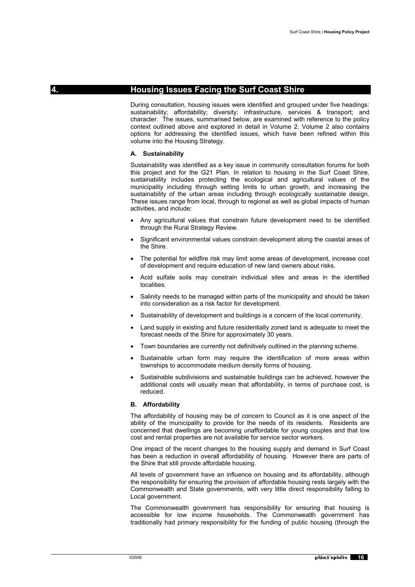### **4. Housing Issues Facing the Surf Coast Shire**

During consultation, housing issues were identified and grouped under five headings: sustainability; affordability; diversity; infrastructure, services & transport; and character. The issues, summarised below, are examined with reference to the policy context outlined above and explored in detail in Volume 2. Volume 2 also contains options for addressing the identified issues, which have been refined within this volume into the Housing Strategy.

#### **A. Sustainability**

Sustainability was identified as a key issue in community consultation forums for both this project and for the G21 Plan. In relation to housing in the Surf Coast Shire, sustainability includes protecting the ecological and agricultural values of the municipality including through setting limits to urban growth, and increasing the sustainability of the urban areas including through ecologically sustainable design. These issues range from local, through to regional as well as global impacts of human activities, and include:

- x Any agricultural values that constrain future development need to be identified through the Rural Strategy Review.
- Significant environmental values constrain development along the coastal areas of the Shire.
- The potential for wildfire risk may limit some areas of development, increase cost of development and require education of new land owners about risks.
- Acid sulfate soils may constrain individual sites and areas in the identified localities.
- Salinity needs to be managed within parts of the municipality and should be taken into consideration as a risk factor for development.
- Sustainability of development and buildings is a concern of the local community.
- Land supply in existing and future residentially zoned land is adequate to meet the forecast needs of the Shire for approximately 30 years.
- Town boundaries are currently not definitively outlined in the planning scheme.
- Sustainable urban form may require the identification of more areas within townships to accommodate medium density forms of housing.
- Sustainable subdivisions and sustainable buildings can be achieved, however the additional costs will usually mean that affordability, in terms of purchase cost, is reduced.

#### **B. Affordability**

The affordability of housing may be of concern to Council as it is one aspect of the ability of the municipality to provide for the needs of its residents. Residents are concerned that dwellings are becoming unaffordable for young couples and that low cost and rental properties are not available for service sector workers.

One impact of the recent changes to the housing supply and demand in Surf Coast has been a reduction in overall affordability of housing. However there are parts of the Shire that still provide affordable housing.

All levels of government have an influence on housing and its affordability, although the responsibility for ensuring the provision of affordable housing rests largely with the Commonwealth and State governments, with very little direct responsibility falling to Local government.

The Commonwealth government has responsibility for ensuring that housing is accessible for low income households. The Commonwealth government has traditionally had primary responsibility for the funding of public housing (through the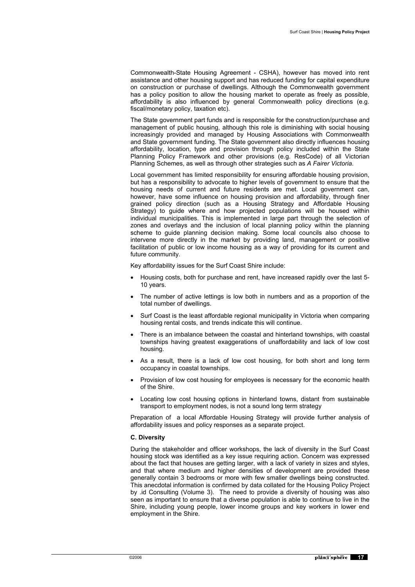Commonwealth-State Housing Agreement - CSHA), however has moved into rent assistance and other housing support and has reduced funding for capital expenditure on construction or purchase of dwellings. Although the Commonwealth government has a policy position to allow the housing market to operate as freely as possible, affordability is also influenced by general Commonwealth policy directions (e.g. fiscal/monetary policy, taxation etc).

The State government part funds and is responsible for the construction/purchase and management of public housing, although this role is diminishing with social housing increasingly provided and managed by Housing Associations with Commonwealth and State government funding. The State government also directly influences housing affordability, location, type and provision through policy included within the State Planning Policy Framework and other provisions (e.g. ResCode) of all Victorian Planning Schemes, as well as through other strategies such as *A Fairer Victoria*.

Local government has limited responsibility for ensuring affordable housing provision, but has a responsibility to advocate to higher levels of government to ensure that the housing needs of current and future residents are met. Local government can, however, have some influence on housing provision and affordability, through finer grained policy direction (such as a Housing Strategy and Affordable Housing Strategy) to guide where and how projected populations will be housed within individual municipalities. This is implemented in large part through the selection of zones and overlays and the inclusion of local planning policy within the planning scheme to guide planning decision making. Some local councils also choose to intervene more directly in the market by providing land, management or positive facilitation of public or low income housing as a way of providing for its current and future community.

Key affordability issues for the Surf Coast Shire include:

- Housing costs, both for purchase and rent, have increased rapidly over the last 5-10 years.
- The number of active lettings is low both in numbers and as a proportion of the total number of dwellings.
- Surf Coast is the least affordable regional municipality in Victoria when comparing housing rental costs, and trends indicate this will continue.
- There is an imbalance between the coastal and hinterland townships, with coastal townships having greatest exaggerations of unaffordability and lack of low cost housing.
- As a result, there is a lack of low cost housing, for both short and long term occupancy in coastal townships.
- Provision of low cost housing for employees is necessary for the economic health of the Shire.
- Locating low cost housing options in hinterland towns, distant from sustainable transport to employment nodes, is not a sound long term strategy

Preparation of a local Affordable Housing Strategy will provide further analysis of affordability issues and policy responses as a separate project.

#### **C. Diversity**

During the stakeholder and officer workshops, the lack of diversity in the Surf Coast housing stock was identified as a key issue requiring action. Concern was expressed about the fact that houses are getting larger, with a lack of variety in sizes and styles, and that where medium and higher densities of development are provided these generally contain 3 bedrooms or more with few smaller dwellings being constructed. This anecdotal information is confirmed by data collated for the Housing Policy Project by .id Consulting (Volume 3). The need to provide a diversity of housing was also seen as important to ensure that a diverse population is able to continue to live in the Shire, including young people, lower income groups and key workers in lower end employment in the Shire.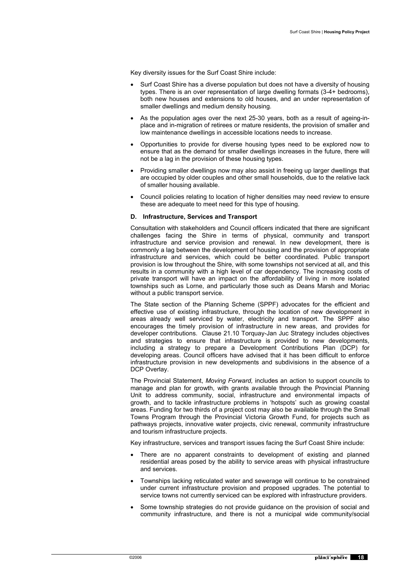Key diversity issues for the Surf Coast Shire include:

- Surf Coast Shire has a diverse population but does not have a diversity of housing types. There is an over representation of large dwelling formats (3-4+ bedrooms), both new houses and extensions to old houses, and an under representation of smaller dwellings and medium density housing.
- As the population ages over the next 25-30 years, both as a result of ageing-inplace and in-migration of retirees or mature residents, the provision of smaller and low maintenance dwellings in accessible locations needs to increase.
- Opportunities to provide for diverse housing types need to be explored now to ensure that as the demand for smaller dwellings increases in the future, there will not be a lag in the provision of these housing types.
- Providing smaller dwellings now may also assist in freeing up larger dwellings that are occupied by older couples and other small households, due to the relative lack of smaller housing available.
- Council policies relating to location of higher densities may need review to ensure these are adequate to meet need for this type of housing.

#### **D. Infrastructure, Services and Transport**

Consultation with stakeholders and Council officers indicated that there are significant challenges facing the Shire in terms of physical, community and transport infrastructure and service provision and renewal. In new development, there is commonly a lag between the development of housing and the provision of appropriate infrastructure and services, which could be better coordinated. Public transport provision is low throughout the Shire, with some townships not serviced at all, and this results in a community with a high level of car dependency. The increasing costs of private transport will have an impact on the affordability of living in more isolated townships such as Lorne, and particularly those such as Deans Marsh and Moriac without a public transport service.

The State section of the Planning Scheme (SPPF) advocates for the efficient and effective use of existing infrastructure, through the location of new development in areas already well serviced by water, electricity and transport. The SPPF also encourages the timely provision of infrastructure in new areas, and provides for developer contributions. Clause 21.10 Torquay-Jan Juc Strategy includes objectives and strategies to ensure that infrastructure is provided to new developments, including a strategy to prepare a Development Contributions Plan (DCP) for developing areas. Council officers have advised that it has been difficult to enforce infrastructure provision in new developments and subdivisions in the absence of a DCP Overlay.

The Provincial Statement, *Moving Forward,* includes an action to support councils to manage and plan for growth, with grants available through the Provincial Planning Unit to address community, social, infrastructure and environmental impacts of growth, and to tackle infrastructure problems in 'hotspots' such as growing coastal areas. Funding for two thirds of a project cost may also be available through the Small Towns Program through the Provincial Victoria Growth Fund, for projects such as pathways projects, innovative water projects, civic renewal, community infrastructure and tourism infrastructure projects.

Key infrastructure, services and transport issues facing the Surf Coast Shire include:

- There are no apparent constraints to development of existing and planned residential areas posed by the ability to service areas with physical infrastructure and services.
- Townships lacking reticulated water and sewerage will continue to be constrained under current infrastructure provision and proposed upgrades. The potential to service towns not currently serviced can be explored with infrastructure providers.
- Some township strategies do not provide guidance on the provision of social and community infrastructure, and there is not a municipal wide community/social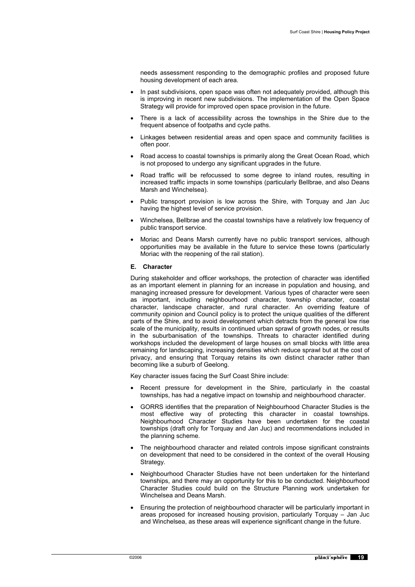needs assessment responding to the demographic profiles and proposed future housing development of each area.

- In past subdivisions, open space was often not adequately provided, although this is improving in recent new subdivisions. The implementation of the Open Space Strategy will provide for improved open space provision in the future.
- There is a lack of accessibility across the townships in the Shire due to the frequent absence of footpaths and cycle paths.
- Linkages between residential areas and open space and community facilities is often poor.
- Road access to coastal townships is primarily along the Great Ocean Road, which is not proposed to undergo any significant upgrades in the future.
- Road traffic will be refocussed to some degree to inland routes, resulting in increased traffic impacts in some townships (particularly Bellbrae, and also Deans Marsh and Winchelsea).
- Public transport provision is low across the Shire, with Torquay and Jan Juc having the highest level of service provision.
- x Winchelsea, Bellbrae and the coastal townships have a relatively low frequency of public transport service.
- Moriac and Deans Marsh currently have no public transport services, although opportunities may be available in the future to service these towns (particularly Moriac with the reopening of the rail station).

#### **E. Character**

During stakeholder and officer workshops, the protection of character was identified as an important element in planning for an increase in population and housing, and managing increased pressure for development. Various types of character were seen as important, including neighbourhood character, township character, coastal character, landscape character, and rural character. An overriding feature of community opinion and Council policy is to protect the unique qualities of the different parts of the Shire, and to avoid development which detracts from the general low rise scale of the municipality, results in continued urban sprawl of growth nodes, or results in the suburbanisation of the townships. Threats to character identified during workshops included the development of large houses on small blocks with little area remaining for landscaping, increasing densities which reduce sprawl but at the cost of privacy, and ensuring that Torquay retains its own distinct character rather than becoming like a suburb of Geelong.

Key character issues facing the Surf Coast Shire include:

- Recent pressure for development in the Shire, particularly in the coastal townships, has had a negative impact on township and neighbourhood character.
- GORRS identifies that the preparation of Neighbourhood Character Studies is the most effective way of protecting this character in coastal townships. Neighbourhood Character Studies have been undertaken for the coastal townships (draft only for Torquay and Jan Juc) and recommendations included in the planning scheme.
- The neighbourhood character and related controls impose significant constraints on development that need to be considered in the context of the overall Housing Strategy.
- Neighbourhood Character Studies have not been undertaken for the hinterland townships, and there may an opportunity for this to be conducted. Neighbourhood Character Studies could build on the Structure Planning work undertaken for Winchelsea and Deans Marsh.
- Ensuring the protection of neighbourhood character will be particularly important in areas proposed for increased housing provision, particularly Torquay – Jan Juc and Winchelsea, as these areas will experience significant change in the future.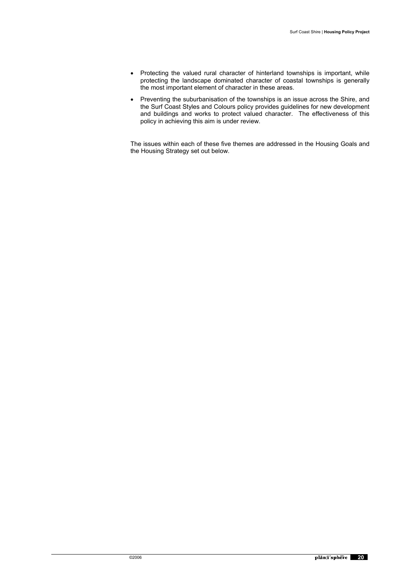- Protecting the valued rural character of hinterland townships is important, while protecting the landscape dominated character of coastal townships is generally the most important element of character in these areas.
- Preventing the suburbanisation of the townships is an issue across the Shire, and the Surf Coast Styles and Colours policy provides guidelines for new development and buildings and works to protect valued character. The effectiveness of this policy in achieving this aim is under review.

The issues within each of these five themes are addressed in the Housing Goals and the Housing Strategy set out below.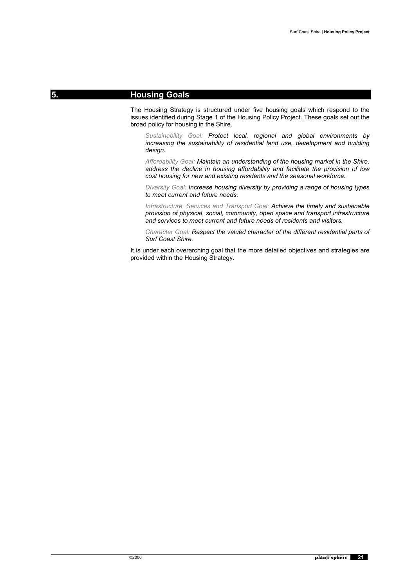### **5. Housing Goals**

The Housing Strategy is structured under five housing goals which respond to the issues identified during Stage 1 of the Housing Policy Project. These goals set out the broad policy for housing in the Shire.

*Sustainability Goal: Protect local, regional and global environments by increasing the sustainability of residential land use, development and building design.* 

*Affordability Goal: Maintain an understanding of the housing market in the Shire, address the decline in housing affordability and facilitate the provision of low cost housing for new and existing residents and the seasonal workforce.* 

*Diversity Goal: Increase housing diversity by providing a range of housing types to meet current and future needs.* 

*Infrastructure, Services and Transport Goal: Achieve the timely and sustainable provision of physical, social, community, open space and transport infrastructure and services to meet current and future needs of residents and visitors.* 

*Character Goal: Respect the valued character of the different residential parts of Surf Coast Shire.* 

It is under each overarching goal that the more detailed objectives and strategies are provided within the Housing Strategy.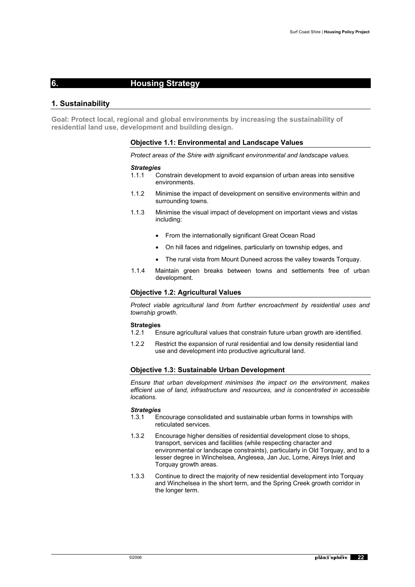### **6. Housing Strategy**

#### **1. Sustainability**

**Goal: Protect local, regional and global environments by increasing the sustainability of residential land use, development and building design.** 

#### **Objective 1.1: Environmental and Landscape Values**

*Protect areas of the Shire with significant environmental and landscape values.* 

- *Strategies*  1.1.1 Constrain development to avoid expansion of urban areas into sensitive environments.
- 1.1.2 Minimise the impact of development on sensitive environments within and surrounding towns.
- 1.1.3 Minimise the visual impact of development on important views and vistas including:
	- From the internationally significant Great Ocean Road
	- On hill faces and ridgelines, particularly on township edges, and
	- The rural vista from Mount Duneed across the valley towards Torquay.
- 1.1.4 Maintain green breaks between towns and settlements free of urban development.

#### **Objective 1.2: Agricultural Values**

*Protect viable agricultural land from further encroachment by residential uses and township growth.*

#### **Strategies**

- 1.2.1 Ensure agricultural values that constrain future urban growth are identified.
- 1.2.2 Restrict the expansion of rural residential and low density residential land use and development into productive agricultural land.

#### **Objective 1.3: Sustainable Urban Development**

*Ensure that urban development minimises the impact on the environment, makes efficient use of land, infrastructure and resources, and is concentrated in accessible locations.*

#### *Strategies*

- 1.3.1 Encourage consolidated and sustainable urban forms in townships with reticulated services.
- 1.3.2 Encourage higher densities of residential development close to shops, transport, services and facilities (while respecting character and environmental or landscape constraints), particularly in Old Torquay, and to a lesser degree in Winchelsea, Anglesea, Jan Juc, Lorne, Aireys Inlet and Torquay growth areas.
- 1.3.3 Continue to direct the majority of new residential development into Torquay and Winchelsea in the short term, and the Spring Creek growth corridor in the longer term.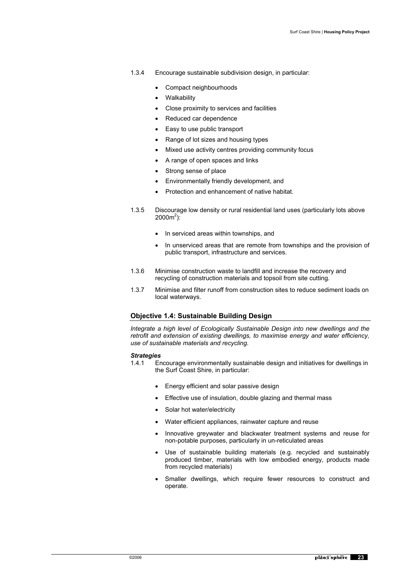- 1.3.4 Encourage sustainable subdivision design, in particular:
	- Compact neighbourhoods
	- Walkability
	- Close proximity to services and facilities
	- Reduced car dependence
	- Easy to use public transport
	- Range of lot sizes and housing types
	- Mixed use activity centres providing community focus
	- x A range of open spaces and links
	- Strong sense of place
	- Environmentally friendly development, and
	- Protection and enhancement of native habitat.
- 1.3.5 Discourage low density or rural residential land uses (particularly lots above  $2000m^2$ ):
	- In serviced areas within townships, and
	- In unserviced areas that are remote from townships and the provision of public transport, infrastructure and services.
- 1.3.6 Minimise construction waste to landfill and increase the recovery and recycling of construction materials and topsoil from site cutting.
- 1.3.7 Minimise and filter runoff from construction sites to reduce sediment loads on local waterways.

#### **Objective 1.4: Sustainable Building Design**

*Integrate a high level of Ecologically Sustainable Design into new dwellings and the retrofit and extension of existing dwellings, to maximise energy and water efficiency, use of sustainable materials and recycling.* 

#### *Strategies*

- 1.4.1 Encourage environmentally sustainable design and initiatives for dwellings in the Surf Coast Shire, in particular:
	- Energy efficient and solar passive design
	- Effective use of insulation, double glazing and thermal mass
	- Solar hot water/electricity
	- Water efficient appliances, rainwater capture and reuse
	- Innovative greywater and blackwater treatment systems and reuse for non-potable purposes, particularly in un-reticulated areas
	- Use of sustainable building materials (e.g. recycled and sustainably produced timber, materials with low embodied energy, products made from recycled materials)
	- Smaller dwellings, which require fewer resources to construct and operate.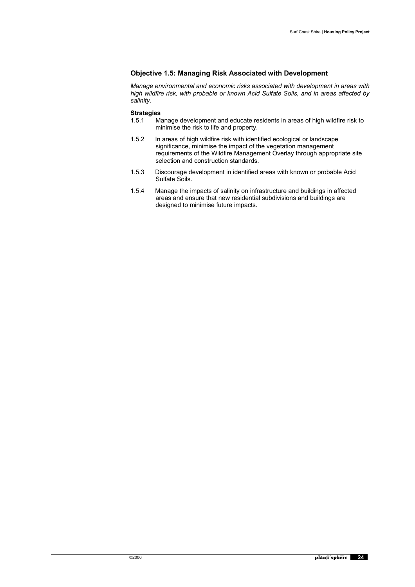#### **Objective 1.5: Managing Risk Associated with Development**

*Manage environmental and economic risks associated with development in areas with high wildfire risk, with probable or known Acid Sulfate Soils, and in areas affected by salinity.* 

# **Strategies**<br>1.5.1 Ma

- Manage development and educate residents in areas of high wildfire risk to minimise the risk to life and property.
- 1.5.2 In areas of high wildfire risk with identified ecological or landscape significance, minimise the impact of the vegetation management requirements of the Wildfire Management Overlay through appropriate site selection and construction standards.
- 1.5.3 Discourage development in identified areas with known or probable Acid Sulfate Soils.
- 1.5.4 Manage the impacts of salinity on infrastructure and buildings in affected areas and ensure that new residential subdivisions and buildings are designed to minimise future impacts.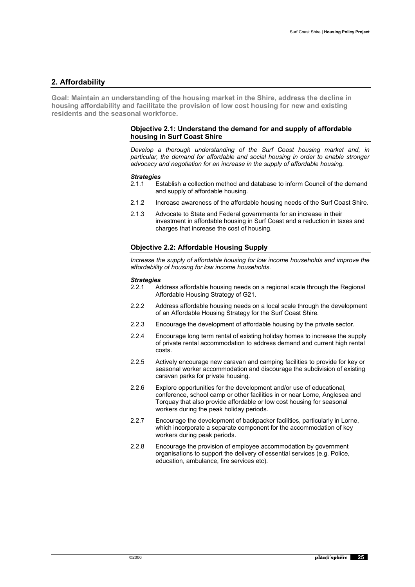### **2. Affordability**

**Goal: Maintain an understanding of the housing market in the Shire, address the decline in housing affordability and facilitate the provision of low cost housing for new and existing residents and the seasonal workforce.** 

#### **Objective 2.1: Understand the demand for and supply of affordable housing in Surf Coast Shire**

*Develop a thorough understanding of the Surf Coast housing market and, in particular, the demand for affordable and social housing in order to enable stronger advocacy and negotiation for an increase in the supply of affordable housing.* 

#### *Strategies*

- 2.1.1 Establish a collection method and database to inform Council of the demand and supply of affordable housing.
- 2.1.2 Increase awareness of the affordable housing needs of the Surf Coast Shire.
- 2.1.3 Advocate to State and Federal governments for an increase in their investment in affordable housing in Surf Coast and a reduction in taxes and charges that increase the cost of housing.

#### **Objective 2.2: Affordable Housing Supply**

*Increase the supply of affordable housing for low income households and improve the affordability of housing for low income households.* 

#### *Strategies*

- 2.2.1 Address affordable housing needs on a regional scale through the Regional Affordable Housing Strategy of G21.
- 2.2.2 Address affordable housing needs on a local scale through the development of an Affordable Housing Strategy for the Surf Coast Shire.
- 2.2.3 Encourage the development of affordable housing by the private sector.
- 2.2.4 Encourage long term rental of existing holiday homes to increase the supply of private rental accommodation to address demand and current high rental costs.
- 2.2.5 Actively encourage new caravan and camping facilities to provide for key or seasonal worker accommodation and discourage the subdivision of existing caravan parks for private housing.
- 2.2.6 Explore opportunities for the development and/or use of educational, conference, school camp or other facilities in or near Lorne, Anglesea and Torquay that also provide affordable or low cost housing for seasonal workers during the peak holiday periods.
- 2.2.7 Encourage the development of backpacker facilities, particularly in Lorne, which incorporate a separate component for the accommodation of key workers during peak periods.
- 2.2.8 Encourage the provision of employee accommodation by government organisations to support the delivery of essential services (e.g. Police, education, ambulance, fire services etc).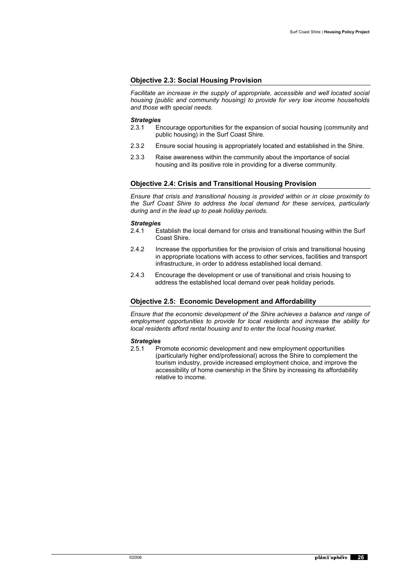### **Objective 2.3: Social Housing Provision**

*Facilitate an increase in the supply of appropriate, accessible and well located social housing (public and community housing) to provide for very low income households and those with special needs.* 

#### *Strategies*

- 2.3.1 Encourage opportunities for the expansion of social housing (community and public housing) in the Surf Coast Shire.
- 2.3.2 Ensure social housing is appropriately located and established in the Shire.
- 2.3.3 Raise awareness within the community about the importance of social housing and its positive role in providing for a diverse community.

### **Objective 2.4: Crisis and Transitional Housing Provision**

*Ensure that crisis and transitional housing is provided within or in close proximity to the Surf Coast Shire to address the local demand for these services, particularly during and in the lead up to peak holiday periods.* 

#### *Strategies*

- 2.4.1 Establish the local demand for crisis and transitional housing within the Surf Coast Shire.
- 2.4.2 Increase the opportunities for the provision of crisis and transitional housing in appropriate locations with access to other services, facilities and transport infrastructure, in order to address established local demand.
- 2.4.3 Encourage the development or use of transitional and crisis housing to address the established local demand over peak holiday periods.

### **Objective 2.5: Economic Development and Affordability**

*Ensure that the economic development of the Shire achieves a balance and range of employment opportunities to provide for local residents and increase the ability for local residents afford rental housing and to enter the local housing market.* 

#### *Strategies*

2.5.1 Promote economic development and new employment opportunities (particularly higher end/professional) across the Shire to complement the tourism industry, provide increased employment choice, and improve the accessibility of home ownership in the Shire by increasing its affordability relative to income.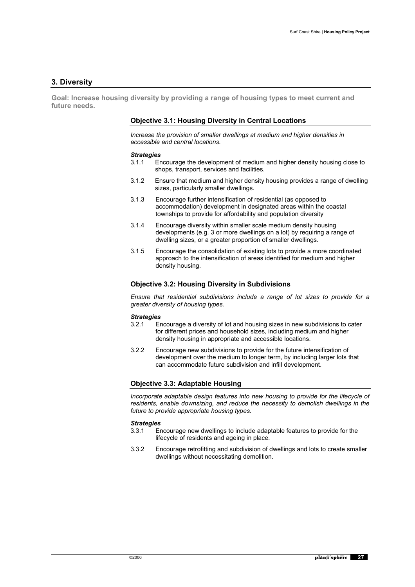### **3. Diversity**

**Goal: Increase housing diversity by providing a range of housing types to meet current and future needs.** 

### **Objective 3.1: Housing Diversity in Central Locations**

*Increase the provision of smaller dwellings at medium and higher densities in accessible and central locations.* 

#### *Strategies*

- 3.1.1 Encourage the development of medium and higher density housing close to shops, transport, services and facilities.
- 3.1.2 Ensure that medium and higher density housing provides a range of dwelling sizes, particularly smaller dwellings.
- 3.1.3 Encourage further intensification of residential (as opposed to accommodation) development in designated areas within the coastal townships to provide for affordability and population diversity
- 3.1.4 Encourage diversity within smaller scale medium density housing developments (e.g. 3 or more dwellings on a lot) by requiring a range of dwelling sizes, or a greater proportion of smaller dwellings.
- 3.1.5 Encourage the consolidation of existing lots to provide a more coordinated approach to the intensification of areas identified for medium and higher density housing.

#### **Objective 3.2: Housing Diversity in Subdivisions**

*Ensure that residential subdivisions include a range of lot sizes to provide for a greater diversity of housing types.* 

#### *Strategies*

- 3.2.1 Encourage a diversity of lot and housing sizes in new subdivisions to cater for different prices and household sizes, including medium and higher density housing in appropriate and accessible locations.
- 3.2.2 Encourage new subdivisions to provide for the future intensification of development over the medium to longer term, by including larger lots that can accommodate future subdivision and infill development.

#### **Objective 3.3: Adaptable Housing**

*Incorporate adaptable design features into new housing to provide for the lifecycle of residents, enable downsizing, and reduce the necessity to demolish dwellings in the future to provide appropriate housing types.* 

- Encourage new dwellings to include adaptable features to provide for the lifecycle of residents and ageing in place.
- 3.3.2 Encourage retrofitting and subdivision of dwellings and lots to create smaller dwellings without necessitating demolition.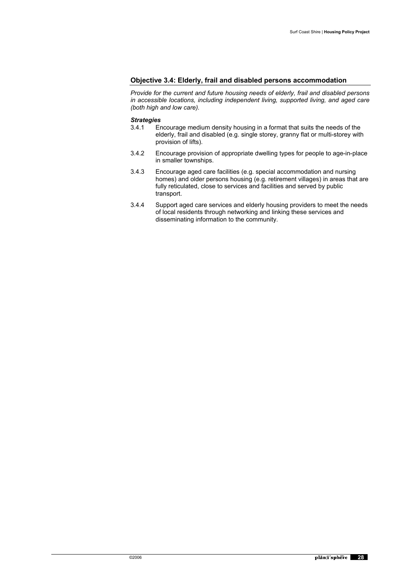### **Objective 3.4: Elderly, frail and disabled persons accommodation**

*Provide for the current and future housing needs of elderly, frail and disabled persons in accessible locations, including independent living, supported living, and aged care (both high and low care).* 

# **Strategies**<br>3.4.1 Er

- 3.4.1 Encourage medium density housing in a format that suits the needs of the elderly, frail and disabled (e.g. single storey, granny flat or multi-storey with provision of lifts).
- 3.4.2 Encourage provision of appropriate dwelling types for people to age-in-place in smaller townships.
- 3.4.3 Encourage aged care facilities (e.g. special accommodation and nursing homes) and older persons housing (e.g. retirement villages) in areas that are fully reticulated, close to services and facilities and served by public transport.
- 3.4.4 Support aged care services and elderly housing providers to meet the needs of local residents through networking and linking these services and disseminating information to the community.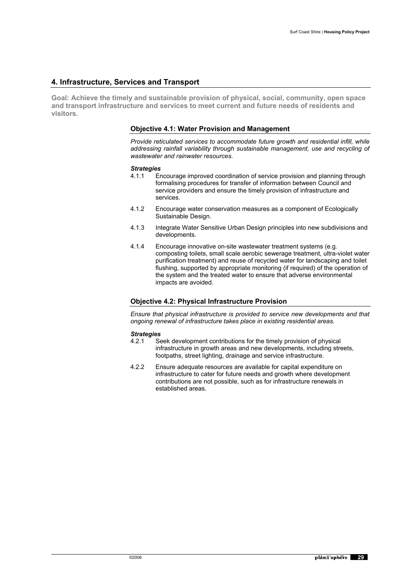# **4. Infrastructure, Services and Transport**

**Goal: Achieve the timely and sustainable provision of physical, social, community, open space and transport infrastructure and services to meet current and future needs of residents and visitors.** 

### **Objective 4.1: Water Provision and Management**

*Provide reticulated services to accommodate future growth and residential infill, while addressing rainfall variability through sustainable management, use and recycling of wastewater and rainwater resources.* 

#### *Strategies*

- 4.1.1 Encourage improved coordination of service provision and planning through formalising procedures for transfer of information between Council and service providers and ensure the timely provision of infrastructure and services.
- 4.1.2 Encourage water conservation measures as a component of Ecologically Sustainable Design.
- 4.1.3 Integrate Water Sensitive Urban Design principles into new subdivisions and developments.
- 4.1.4 Encourage innovative on-site wastewater treatment systems (e.g. composting toilets, small scale aerobic sewerage treatment, ultra-violet water purification treatment) and reuse of recycled water for landscaping and toilet flushing, supported by appropriate monitoring (if required) of the operation of the system and the treated water to ensure that adverse environmental impacts are avoided.

### **Objective 4.2: Physical Infrastructure Provision**

*Ensure that physical infrastructure is provided to service new developments and that ongoing renewal of infrastructure takes place in existing residential areas.* 

- Seek development contributions for the timely provision of physical infrastructure in growth areas and new developments, including streets, footpaths, street lighting, drainage and service infrastructure.
- 4.2.2 Ensure adequate resources are available for capital expenditure on infrastructure to cater for future needs and growth where development contributions are not possible, such as for infrastructure renewals in established areas.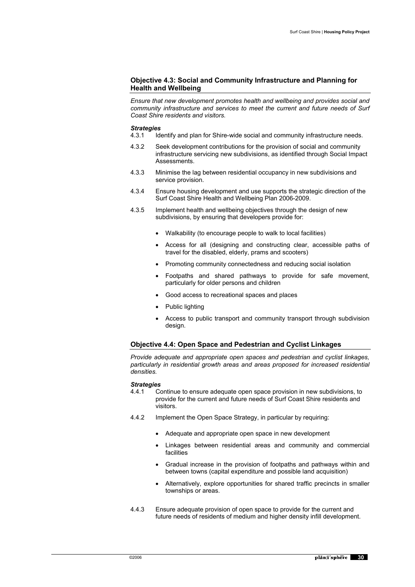### **Objective 4.3: Social and Community Infrastructure and Planning for Health and Wellbeing**

*Ensure that new development promotes health and wellbeing and provides social and community infrastructure and services to meet the current and future needs of Surf Coast Shire residents and visitors.* 

#### *Strategies*

- 4.3.1 Identify and plan for Shire-wide social and community infrastructure needs.
- 4.3.2 Seek development contributions for the provision of social and community infrastructure servicing new subdivisions, as identified through Social Impact Assessments.
- 4.3.3 Minimise the lag between residential occupancy in new subdivisions and service provision.
- 4.3.4 Ensure housing development and use supports the strategic direction of the Surf Coast Shire Health and Wellbeing Plan 2006-2009.
- 4.3.5 Implement health and wellbeing objectives through the design of new subdivisions, by ensuring that developers provide for:
	- Walkability (to encourage people to walk to local facilities)
	- Access for all (designing and constructing clear, accessible paths of travel for the disabled, elderly, prams and scooters)
	- Promoting community connectedness and reducing social isolation
	- Footpaths and shared pathways to provide for safe movement, particularly for older persons and children
	- Good access to recreational spaces and places
	- Public lighting
	- Access to public transport and community transport through subdivision design.

### **Objective 4.4: Open Space and Pedestrian and Cyclist Linkages**

*Provide adequate and appropriate open spaces and pedestrian and cyclist linkages, particularly in residential growth areas and areas proposed for increased residential densities.* 

- Continue to ensure adequate open space provision in new subdivisions, to provide for the current and future needs of Surf Coast Shire residents and visitors.
- 4.4.2 Implement the Open Space Strategy, in particular by requiring:
	- Adequate and appropriate open space in new development
	- Linkages between residential areas and community and commercial facilities
	- Gradual increase in the provision of footpaths and pathways within and between towns (capital expenditure and possible land acquisition)
	- Alternatively, explore opportunities for shared traffic precincts in smaller townships or areas.
- 4.4.3 Ensure adequate provision of open space to provide for the current and future needs of residents of medium and higher density infill development.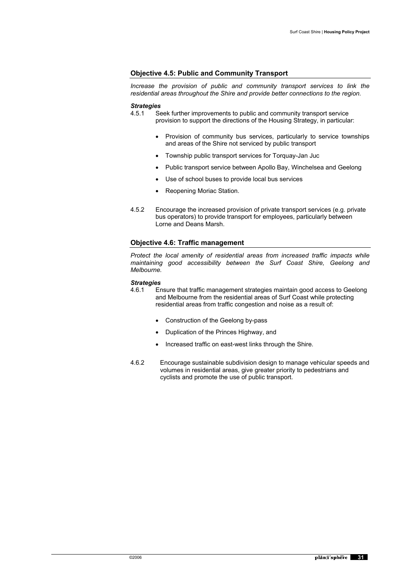### **Objective 4.5: Public and Community Transport**

*Increase the provision of public and community transport services to link the residential areas throughout the Shire and provide better connections to the region.* 

#### *Strategies*

- 4.5.1 Seek further improvements to public and community transport service provision to support the directions of the Housing Strategy, in particular:
	- Provision of community bus services, particularly to service townships and areas of the Shire not serviced by public transport
	- Township public transport services for Torquay-Jan Juc
	- Public transport service between Apollo Bay, Winchelsea and Geelong
	- Use of school buses to provide local bus services
	- Reopening Moriac Station.
- 4.5.2 Encourage the increased provision of private transport services (e.g. private bus operators) to provide transport for employees, particularly between Lorne and Deans Marsh.

### **Objective 4.6: Traffic management**

*Protect the local amenity of residential areas from increased traffic impacts while maintaining good accessibility between the Surf Coast Shire, Geelong and Melbourne.*

- 4.6.1 Ensure that traffic management strategies maintain good access to Geelong and Melbourne from the residential areas of Surf Coast while protecting residential areas from traffic congestion and noise as a result of:
	- Construction of the Geelong by-pass
	- Duplication of the Princes Highway, and
	- Increased traffic on east-west links through the Shire.
- 4.6.2 Encourage sustainable subdivision design to manage vehicular speeds and volumes in residential areas, give greater priority to pedestrians and cyclists and promote the use of public transport.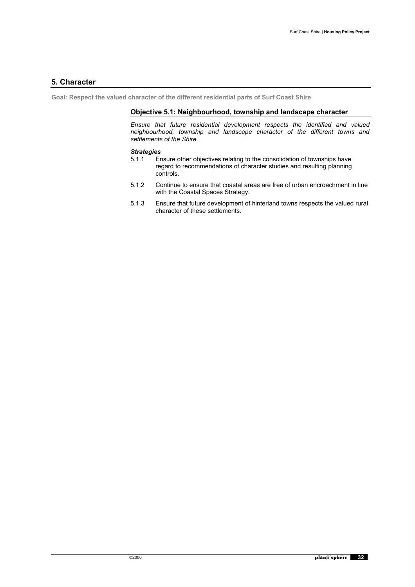# **5. Character**

**Goal: Respect the valued character of the different residential parts of Surf Coast Shire.** 

# **Objective 5.1: Neighbourhood, township and landscape character**

*Ensure that future residential development respects the identified and valued neighbourhood, township and landscape character of the different towns and settlements of the Shire.* 

- Ensure other objectives relating to the consolidation of townships have regard to recommendations of character studies and resulting planning controls.
- 5.1.2 Continue to ensure that coastal areas are free of urban encroachment in line with the Coastal Spaces Strategy.
- 5.1.3 Ensure that future development of hinterland towns respects the valued rural character of these settlements.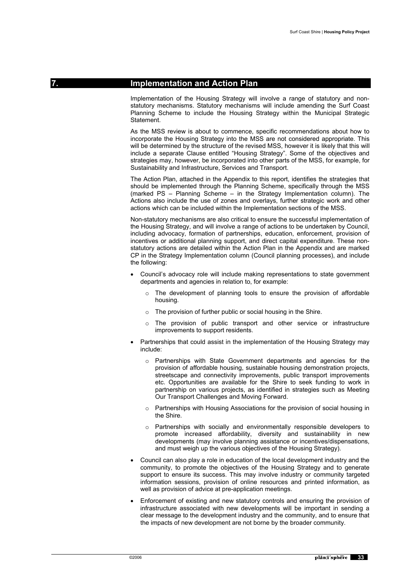### **7. Implementation and Action Plan**

Implementation of the Housing Strategy will involve a range of statutory and nonstatutory mechanisms. Statutory mechanisms will include amending the Surf Coast Planning Scheme to include the Housing Strategy within the Municipal Strategic Statement.

As the MSS review is about to commence, specific recommendations about how to incorporate the Housing Strategy into the MSS are not considered appropriate. This will be determined by the structure of the revised MSS, however it is likely that this will include a separate Clause entitled "Housing Strategy". Some of the objectives and strategies may, however, be incorporated into other parts of the MSS, for example, for Sustainability and Infrastructure, Services and Transport.

The Action Plan, attached in the Appendix to this report, identifies the strategies that should be implemented through the Planning Scheme, specifically through the MSS (marked PS – Planning Scheme – in the Strategy Implementation column). The Actions also include the use of zones and overlays, further strategic work and other actions which can be included within the Implementation sections of the MSS.

Non-statutory mechanisms are also critical to ensure the successful implementation of the Housing Strategy, and will involve a range of actions to be undertaken by Council, including advocacy, formation of partnerships, education, enforcement, provision of incentives or additional planning support, and direct capital expenditure. These nonstatutory actions are detailed within the Action Plan in the Appendix and are marked CP in the Strategy Implementation column (Council planning processes), and include the following:

- Council's advocacy role will include making representations to state government departments and agencies in relation to, for example:
	- o The development of planning tools to ensure the provision of affordable housing.
	- o The provision of further public or social housing in the Shire.
	- $\circ$  The provision of public transport and other service or infrastructure improvements to support residents.
- Partnerships that could assist in the implementation of the Housing Strategy may include:
	- o Partnerships with State Government departments and agencies for the provision of affordable housing, sustainable housing demonstration projects, streetscape and connectivity improvements, public transport improvements etc. Opportunities are available for the Shire to seek funding to work in partnership on various projects, as identified in strategies such as Meeting Our Transport Challenges and Moving Forward.
	- o Partnerships with Housing Associations for the provision of social housing in the Shire.
	- o Partnerships with socially and environmentally responsible developers to promote increased affordability, diversity and sustainability in new developments (may involve planning assistance or incentives/dispensations, and must weigh up the various objectives of the Housing Strategy).
- Council can also play a role in education of the local development industry and the community, to promote the objectives of the Housing Strategy and to generate support to ensure its success. This may involve industry or community targeted information sessions, provision of online resources and printed information, as well as provision of advice at pre-application meetings.
- Enforcement of existing and new statutory controls and ensuring the provision of infrastructure associated with new developments will be important in sending a clear message to the development industry and the community, and to ensure that the impacts of new development are not borne by the broader community.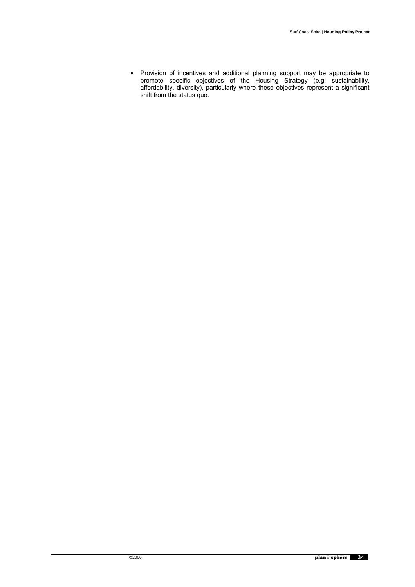• Provision of incentives and additional planning support may be appropriate to promote specific objectives of the Housing Strategy (e.g. sustainability, affordability, diversity), particularly where these objectives represent a significant shift from the status quo.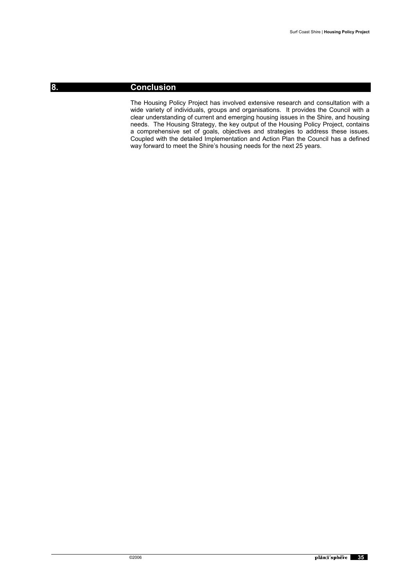# **8. Conclusion**

The Housing Policy Project has involved extensive research and consultation with a wide variety of individuals, groups and organisations. It provides the Council with a clear understanding of current and emerging housing issues in the Shire, and housing needs. The Housing Strategy, the key output of the Housing Policy Project, contains a comprehensive set of goals, objectives and strategies to address these issues. Coupled with the detailed Implementation and Action Plan the Council has a defined way forward to meet the Shire's housing needs for the next 25 years.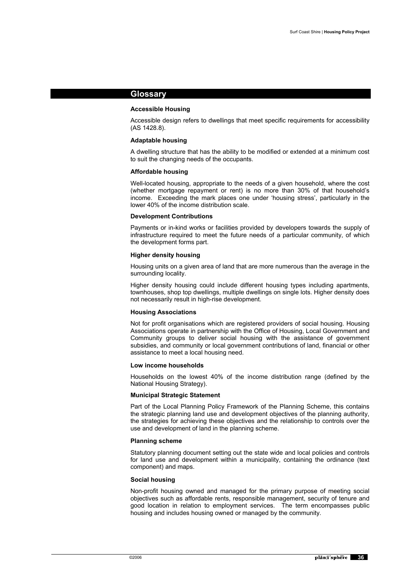# **Glossary**

### **Accessible Housing**

Accessible design refers to dwellings that meet specific requirements for accessibility (AS 1428.8).

#### **Adaptable housing**

A dwelling structure that has the ability to be modified or extended at a minimum cost to suit the changing needs of the occupants.

#### **Affordable housing**

Well-located housing, appropriate to the needs of a given household, where the cost (whether mortgage repayment or rent) is no more than 30% of that household's income. Exceeding the mark places one under 'housing stress', particularly in the lower 40% of the income distribution scale.

#### **Development Contributions**

Payments or in-kind works or facilities provided by developers towards the supply of infrastructure required to meet the future needs of a particular community, of which the development forms part.

#### **Higher density housing**

Housing units on a given area of land that are more numerous than the average in the surrounding locality.

Higher density housing could include different housing types including apartments, townhouses, shop top dwellings, multiple dwellings on single lots. Higher density does not necessarily result in high-rise development.

#### **Housing Associations**

Not for profit organisations which are registered providers of social housing. Housing Associations operate in partnership with the Office of Housing, Local Government and Community groups to deliver social housing with the assistance of government subsidies, and community or local government contributions of land, financial or other assistance to meet a local housing need.

#### **Low income households**

Households on the lowest 40% of the income distribution range (defined by the National Housing Strategy).

#### **Municipal Strategic Statement**

Part of the Local Planning Policy Framework of the Planning Scheme, this contains the strategic planning land use and development objectives of the planning authority, the strategies for achieving these objectives and the relationship to controls over the use and development of land in the planning scheme.

#### **Planning scheme**

Statutory planning document setting out the state wide and local policies and controls for land use and development within a municipality, containing the ordinance (text component) and maps.

#### **Social housing**

Non-profit housing owned and managed for the primary purpose of meeting social objectives such as affordable rents, responsible management, security of tenure and good location in relation to employment services. The term encompasses public housing and includes housing owned or managed by the community.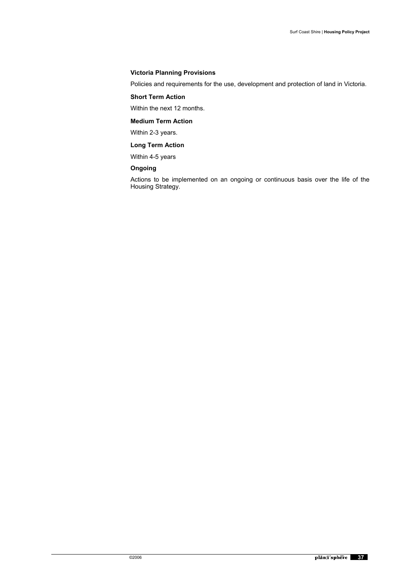### **Victoria Planning Provisions**

Policies and requirements for the use, development and protection of land in Victoria.

# **Short Term Action**

Within the next 12 months.

# **Medium Term Action**

Within 2-3 years.

# **Long Term Action**

Within 4-5 years

### **Ongoing**

Actions to be implemented on an ongoing or continuous basis over the life of the Housing Strategy.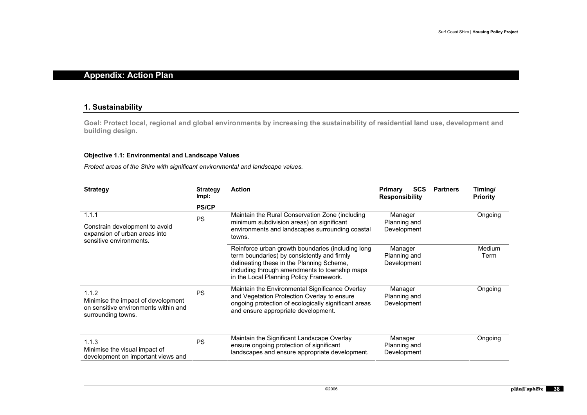# **Appendix: Action Plan**

# **1. Sustainability**

**Goal: Protect local, regional and global environments by increasing the sustainability of residential land use, development and building design.** 

### **Objective 1.1: Environmental and Landscape Values**

*Protect areas of the Shire with significant environmental and landscape values.* 

| <b>Strategy</b>                                                                                           | <b>Strategy</b><br>Impl: | <b>Action</b>                                                                                                                                                                                                                             | <b>SCS</b><br>Primary<br><b>Responsibility</b> | <b>Partners</b> | Timing/<br><b>Priority</b> |
|-----------------------------------------------------------------------------------------------------------|--------------------------|-------------------------------------------------------------------------------------------------------------------------------------------------------------------------------------------------------------------------------------------|------------------------------------------------|-----------------|----------------------------|
|                                                                                                           | <b>PS/CP</b>             |                                                                                                                                                                                                                                           |                                                |                 |                            |
| 1.1.1<br>Constrain development to avoid<br>expansion of urban areas into<br>sensitive environments.       | <b>PS</b>                | Maintain the Rural Conservation Zone (including<br>minimum subdivision areas) on significant<br>environments and landscapes surrounding coastal<br>towns.                                                                                 | Manager<br>Planning and<br>Development         |                 | Ongoing                    |
|                                                                                                           |                          | Reinforce urban growth boundaries (including long<br>term boundaries) by consistently and firmly<br>delineating these in the Planning Scheme,<br>including through amendments to township maps<br>in the Local Planning Policy Framework. | Manager<br>Planning and<br>Development         |                 | <b>Medium</b><br>Term      |
| 1.1.2<br>Minimise the impact of development<br>on sensitive environments within and<br>surrounding towns. | <b>PS</b>                | Maintain the Environmental Significance Overlay<br>and Vegetation Protection Overlay to ensure<br>ongoing protection of ecologically significant areas<br>and ensure appropriate development.                                             | Manager<br>Planning and<br>Development         |                 | Ongoing                    |
| 1.1.3<br>Minimise the visual impact of<br>development on important views and                              | <b>PS</b>                | Maintain the Significant Landscape Overlay<br>ensure ongoing protection of significant<br>landscapes and ensure appropriate development.                                                                                                  | Manager<br>Planning and<br>Development         |                 | Ongoing                    |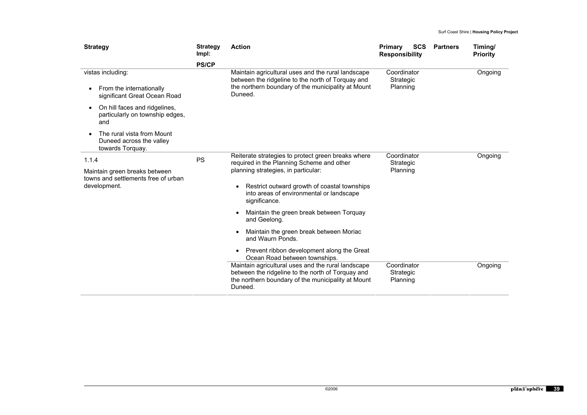| <b>Strategy</b>                                                              | <b>Strategy</b><br>Impl: | <b>Action</b>                                                                                                                                                            | <b>Primary</b><br><b>SCS</b><br><b>Responsibility</b> | <b>Partners</b> | Timing/<br>Priority |
|------------------------------------------------------------------------------|--------------------------|--------------------------------------------------------------------------------------------------------------------------------------------------------------------------|-------------------------------------------------------|-----------------|---------------------|
|                                                                              | <b>PS/CP</b>             |                                                                                                                                                                          |                                                       |                 |                     |
| vistas including:                                                            |                          | Maintain agricultural uses and the rural landscape<br>between the ridgeline to the north of Torquay and                                                                  | Coordinator<br>Strategic                              |                 | Ongoing             |
| From the internationally<br>significant Great Ocean Road                     |                          | the northern boundary of the municipality at Mount<br>Duneed.                                                                                                            | Planning                                              |                 |                     |
| On hill faces and ridgelines,<br>٠<br>particularly on township edges,<br>and |                          |                                                                                                                                                                          |                                                       |                 |                     |
| The rural vista from Mount<br>Duneed across the valley<br>towards Torquay.   |                          |                                                                                                                                                                          |                                                       |                 |                     |
| 1.1.4                                                                        | <b>PS</b>                | Reiterate strategies to protect green breaks where<br>required in the Planning Scheme and other                                                                          | Coordinator<br>Strategic<br>Planning                  |                 | Ongoing             |
| Maintain green breaks between<br>towns and settlements free of urban         |                          | planning strategies, in particular:                                                                                                                                      |                                                       |                 |                     |
| development.                                                                 |                          | Restrict outward growth of coastal townships<br>$\bullet$<br>into areas of environmental or landscape<br>significance.                                                   |                                                       |                 |                     |
|                                                                              |                          | Maintain the green break between Torquay<br>and Geelong.                                                                                                                 |                                                       |                 |                     |
|                                                                              |                          | Maintain the green break between Moriac<br>$\bullet$<br>and Waurn Ponds.                                                                                                 |                                                       |                 |                     |
|                                                                              |                          | Prevent ribbon development along the Great<br>$\bullet$<br>Ocean Road between townships.                                                                                 |                                                       |                 |                     |
|                                                                              |                          | Maintain agricultural uses and the rural landscape<br>between the ridgeline to the north of Torquay and<br>the northern boundary of the municipality at Mount<br>Duneed. | Coordinator<br>Strategic<br>Planning                  |                 | Ongoing             |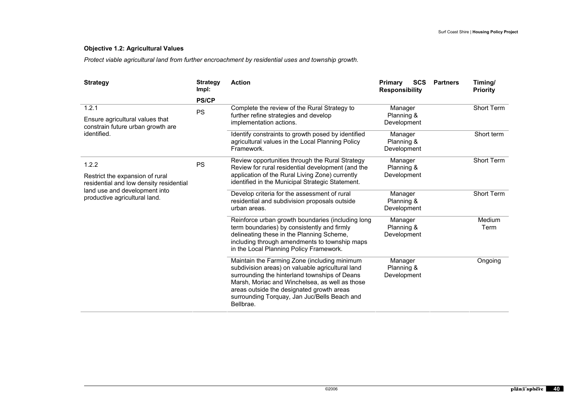## **Objective 1.2: Agricultural Values**

*Protect viable agricultural land from further encroachment by residential uses and township growth.* 

| <b>Strategy</b>                                                                                                                                       | <b>Strategy</b><br>Impl: | <b>Action</b>                                                                                                                                                                                                                                                                                                 | <b>SCS</b><br>Primary<br><b>Responsibility</b>  | <b>Partners</b> | Timing/<br><b>Priority</b> |
|-------------------------------------------------------------------------------------------------------------------------------------------------------|--------------------------|---------------------------------------------------------------------------------------------------------------------------------------------------------------------------------------------------------------------------------------------------------------------------------------------------------------|-------------------------------------------------|-----------------|----------------------------|
|                                                                                                                                                       | <b>PS/CP</b>             |                                                                                                                                                                                                                                                                                                               |                                                 |                 |                            |
| 1.2.1<br>Ensure agricultural values that<br>constrain future urban growth are<br>identified.                                                          | <b>PS</b>                | Complete the review of the Rural Strategy to<br>further refine strategies and develop<br>implementation actions.<br>Identify constraints to growth posed by identified                                                                                                                                        | Manager<br>Planning &<br>Development<br>Manager |                 | Short Term<br>Short term   |
|                                                                                                                                                       |                          | agricultural values in the Local Planning Policy<br>Framework.                                                                                                                                                                                                                                                | Planning &<br>Development                       |                 |                            |
| 1.2.2<br>Restrict the expansion of rural<br>residential and low density residential<br>land use and development into<br>productive agricultural land. | PS                       | Review opportunities through the Rural Strategy<br>Review for rural residential development (and the<br>application of the Rural Living Zone) currently<br>identified in the Municipal Strategic Statement.                                                                                                   | Manager<br>Planning &<br>Development            |                 | <b>Short Term</b>          |
|                                                                                                                                                       |                          | Develop criteria for the assessment of rural<br>residential and subdivision proposals outside<br>urban areas.                                                                                                                                                                                                 | Manager<br>Planning &<br>Development            |                 | Short Term                 |
|                                                                                                                                                       |                          | Reinforce urban growth boundaries (including long<br>term boundaries) by consistently and firmly<br>delineating these in the Planning Scheme,<br>including through amendments to township maps<br>in the Local Planning Policy Framework.                                                                     | Manager<br>Planning &<br>Development            |                 | Medium<br>Term             |
|                                                                                                                                                       |                          | Maintain the Farming Zone (including minimum<br>subdivision areas) on valuable agricultural land<br>surrounding the hinterland townships of Deans<br>Marsh, Moriac and Winchelsea, as well as those<br>areas outside the designated growth areas<br>surrounding Torquay, Jan Juc/Bells Beach and<br>Bellbrae. | Manager<br>Planning &<br>Development            |                 | Ongoing                    |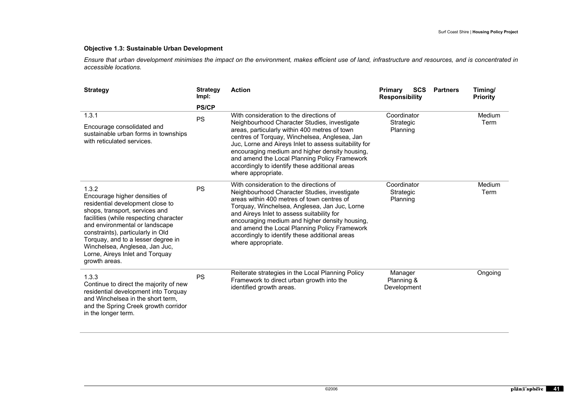### **Objective 1.3: Sustainable Urban Development**

*Ensure that urban development minimises the impact on the environment, makes efficient use of land, infrastructure and resources, and is concentrated in accessible locations.*

| <b>Strategy</b>                                                                                                                                                                                                                                                                                                                                           | <b>Strategy</b><br>Impl: | <b>Action</b>                                                                                                                                                                                                                                                                                                                                                                                                                 | <b>SCS</b><br><b>Primary</b><br><b>Responsibility</b> | <b>Partners</b> | Timing/<br><b>Priority</b> |
|-----------------------------------------------------------------------------------------------------------------------------------------------------------------------------------------------------------------------------------------------------------------------------------------------------------------------------------------------------------|--------------------------|-------------------------------------------------------------------------------------------------------------------------------------------------------------------------------------------------------------------------------------------------------------------------------------------------------------------------------------------------------------------------------------------------------------------------------|-------------------------------------------------------|-----------------|----------------------------|
|                                                                                                                                                                                                                                                                                                                                                           | <b>PS/CP</b>             |                                                                                                                                                                                                                                                                                                                                                                                                                               |                                                       |                 |                            |
| 1.3.1<br>Encourage consolidated and<br>sustainable urban forms in townships<br>with reticulated services.                                                                                                                                                                                                                                                 | <b>PS</b>                | With consideration to the directions of<br>Neighbourhood Character Studies, investigate<br>areas, particularly within 400 metres of town<br>centres of Torquay, Winchelsea, Anglesea, Jan<br>Juc, Lorne and Aireys Inlet to assess suitability for<br>encouraging medium and higher density housing,<br>and amend the Local Planning Policy Framework<br>accordingly to identify these additional areas<br>where appropriate. | Coordinator<br>Strategic<br>Planning                  |                 | Medium<br>Term             |
| 1.3.2<br>Encourage higher densities of<br>residential development close to<br>shops, transport, services and<br>facilities (while respecting character<br>and environmental or landscape<br>constraints), particularly in Old<br>Torquay, and to a lesser degree in<br>Winchelsea, Anglesea, Jan Juc,<br>Lorne, Aireys Inlet and Torquay<br>growth areas. | <b>PS</b>                | With consideration to the directions of<br>Neighbourhood Character Studies, investigate<br>areas within 400 metres of town centres of<br>Torquay, Winchelsea, Anglesea, Jan Juc, Lorne<br>and Aireys Inlet to assess suitability for<br>encouraging medium and higher density housing,<br>and amend the Local Planning Policy Framework<br>accordingly to identify these additional areas<br>where appropriate.               | Coordinator<br><b>Strategic</b><br>Planning           |                 | Medium<br>Term             |
| 1.3.3<br>Continue to direct the majority of new<br>residential development into Torquay<br>and Winchelsea in the short term.<br>and the Spring Creek growth corridor<br>in the longer term.                                                                                                                                                               | <b>PS</b>                | Reiterate strategies in the Local Planning Policy<br>Framework to direct urban growth into the<br>identified growth areas.                                                                                                                                                                                                                                                                                                    | Manager<br>Planning &<br>Development                  |                 | Ongoing                    |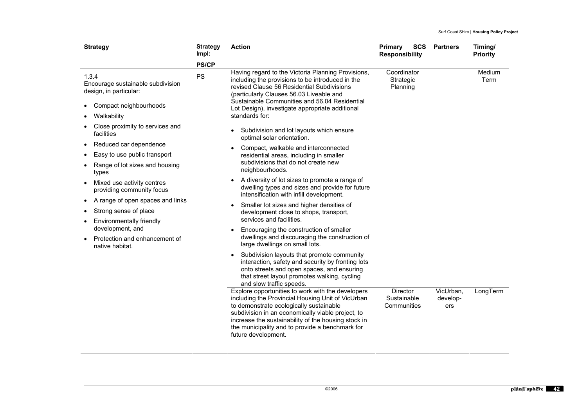|           | <b>Strategy</b>                                                      | <b>Strategy</b><br>Impl: | <b>Action</b>                                                                                                                                                                                                                                                                                                                           | Primary<br>SCS<br><b>Responsibility</b> | <b>Partners</b>              | Timing/<br><b>Priority</b> |
|-----------|----------------------------------------------------------------------|--------------------------|-----------------------------------------------------------------------------------------------------------------------------------------------------------------------------------------------------------------------------------------------------------------------------------------------------------------------------------------|-----------------------------------------|------------------------------|----------------------------|
|           |                                                                      | <b>PS/CP</b>             |                                                                                                                                                                                                                                                                                                                                         |                                         |                              |                            |
|           | 1.3.4<br>Encourage sustainable subdivision<br>design, in particular: | <b>PS</b>                | Having regard to the Victoria Planning Provisions,<br>including the provisions to be introduced in the<br>revised Clause 56 Residential Subdivisions<br>(particularly Clauses 56.03 Liveable and                                                                                                                                        | Coordinator<br>Strategic<br>Planning    |                              | Medium<br>Term             |
|           | Compact neighbourhoods                                               |                          | Sustainable Communities and 56.04 Residential<br>Lot Design), investigate appropriate additional                                                                                                                                                                                                                                        |                                         |                              |                            |
|           | Walkability                                                          |                          | standards for:                                                                                                                                                                                                                                                                                                                          |                                         |                              |                            |
|           | Close proximity to services and<br>facilities                        |                          | Subdivision and lot layouts which ensure<br>$\bullet$<br>optimal solar orientation.                                                                                                                                                                                                                                                     |                                         |                              |                            |
| $\bullet$ | Reduced car dependence                                               |                          | Compact, walkable and interconnected                                                                                                                                                                                                                                                                                                    |                                         |                              |                            |
|           | Easy to use public transport                                         |                          | residential areas, including in smaller                                                                                                                                                                                                                                                                                                 |                                         |                              |                            |
|           | Range of lot sizes and housing<br>types                              |                          | subdivisions that do not create new<br>neighbourhoods.                                                                                                                                                                                                                                                                                  |                                         |                              |                            |
|           | Mixed use activity centres<br>providing community focus              |                          | A diversity of lot sizes to promote a range of<br>dwelling types and sizes and provide for future<br>intensification with infill development.                                                                                                                                                                                           |                                         |                              |                            |
|           | A range of open spaces and links                                     |                          | Smaller lot sizes and higher densities of<br>$\bullet$<br>development close to shops, transport,<br>services and facilities.                                                                                                                                                                                                            |                                         |                              |                            |
| $\bullet$ | Strong sense of place                                                |                          |                                                                                                                                                                                                                                                                                                                                         |                                         |                              |                            |
| $\bullet$ | Environmentally friendly                                             |                          |                                                                                                                                                                                                                                                                                                                                         |                                         |                              |                            |
|           | development, and                                                     |                          | Encouraging the construction of smaller<br>$\bullet$<br>dwellings and discouraging the construction of                                                                                                                                                                                                                                  |                                         |                              |                            |
|           | Protection and enhancement of<br>native habitat.                     |                          | large dwellings on small lots.                                                                                                                                                                                                                                                                                                          |                                         |                              |                            |
|           |                                                                      |                          | Subdivision layouts that promote community<br>interaction, safety and security by fronting lots<br>onto streets and open spaces, and ensuring<br>that street layout promotes walking, cycling<br>and slow traffic speeds.                                                                                                               |                                         |                              |                            |
|           |                                                                      |                          | Explore opportunities to work with the developers<br>including the Provincial Housing Unit of VicUrban<br>to demonstrate ecologically sustainable<br>subdivision in an economically viable project, to<br>increase the sustainability of the housing stock in<br>the municipality and to provide a benchmark for<br>future development. | Director<br>Sustainable<br>Communities  | VicUrban,<br>develop-<br>ers | LongTerm                   |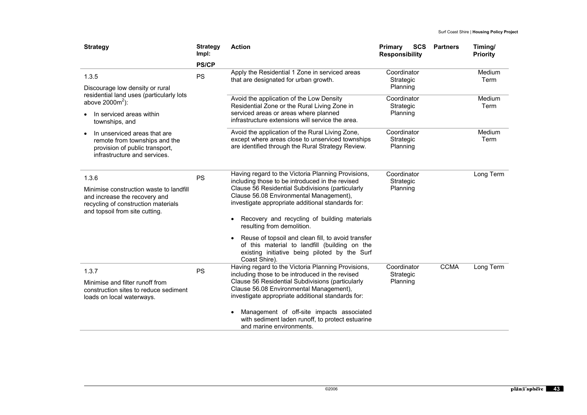| <b>Strategy</b>                                                                                                                                   | <b>Strategy</b><br>Impl: | <b>Action</b>                                                                                                                                                                                       | <b>Primary</b><br>SCS<br><b>Responsibility</b> | <b>Partners</b> | Timing/<br><b>Priority</b> |
|---------------------------------------------------------------------------------------------------------------------------------------------------|--------------------------|-----------------------------------------------------------------------------------------------------------------------------------------------------------------------------------------------------|------------------------------------------------|-----------------|----------------------------|
|                                                                                                                                                   | <b>PS/CP</b>             |                                                                                                                                                                                                     |                                                |                 |                            |
| 1.3.5                                                                                                                                             | <b>PS</b>                | Apply the Residential 1 Zone in serviced areas<br>that are designated for urban growth.                                                                                                             | Coordinator<br>Strategic                       |                 | Medium<br>Term             |
| Discourage low density or rural                                                                                                                   |                          |                                                                                                                                                                                                     | Planning                                       |                 |                            |
| residential land uses (particularly lots<br>above $2000m^2$ ):                                                                                    |                          | Avoid the application of the Low Density<br>Residential Zone or the Rural Living Zone in                                                                                                            | Coordinator<br>Strategic                       |                 | Medium<br>Term             |
| In serviced areas within<br>townships, and                                                                                                        |                          | serviced areas or areas where planned<br>infrastructure extensions will service the area.                                                                                                           | Planning                                       |                 |                            |
| In unserviced areas that are<br>remote from townships and the<br>provision of public transport,<br>infrastructure and services.                   |                          | Avoid the application of the Rural Living Zone,<br>except where areas close to unserviced townships<br>are identified through the Rural Strategy Review.                                            | Coordinator<br>Strategic<br>Planning           |                 | Medium<br>Term             |
| 1.3.6                                                                                                                                             | <b>PS</b>                | Having regard to the Victoria Planning Provisions,                                                                                                                                                  | Coordinator                                    |                 | Long Term                  |
| Minimise construction waste to landfill<br>and increase the recovery and<br>recycling of construction materials<br>and topsoil from site cutting. |                          | including those to be introduced in the revised<br>Clause 56 Residential Subdivisions (particularly<br>Clause 56.08 Environmental Management),<br>investigate appropriate additional standards for: | Strategic<br>Planning                          |                 |                            |
|                                                                                                                                                   |                          | Recovery and recycling of building materials<br>$\bullet$<br>resulting from demolition.                                                                                                             |                                                |                 |                            |
|                                                                                                                                                   |                          | Reuse of topsoil and clean fill, to avoid transfer<br>$\bullet$<br>of this material to landfill (building on the<br>existing initiative being piloted by the Surf<br>Coast Shire).                  |                                                |                 |                            |
| 1.3.7                                                                                                                                             | PS                       | Having regard to the Victoria Planning Provisions,<br>including those to be introduced in the revised                                                                                               | Coordinator<br>Strategic                       | <b>CCMA</b>     | Long Term                  |
| Minimise and filter runoff from<br>construction sites to reduce sediment<br>loads on local waterways.                                             |                          | Clause 56 Residential Subdivisions (particularly<br>Clause 56.08 Environmental Management),<br>investigate appropriate additional standards for:                                                    | Planning                                       |                 |                            |
|                                                                                                                                                   |                          | Management of off-site impacts associated<br>$\bullet$<br>with sediment laden runoff, to protect estuarine<br>and marine environments.                                                              |                                                |                 |                            |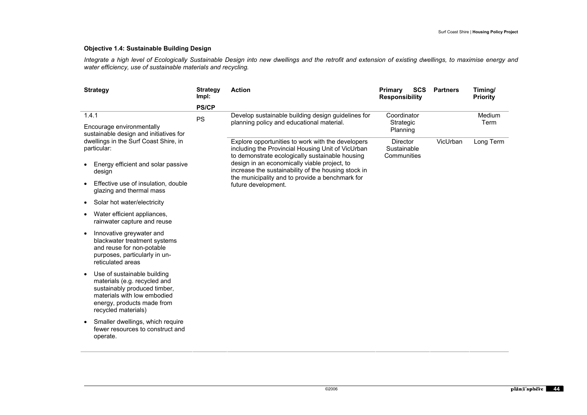### **Objective 1.4: Sustainable Building Design**

*Integrate a high level of Ecologically Sustainable Design into new dwellings and the retrofit and extension of existing dwellings, to maximise energy and water efficiency, use of sustainable materials and recycling.* 

| <b>Strategy</b>                                                                                                                                                                 | <b>Strategy</b><br>Impl: | <b>Action</b>                                                                                                                                                                 | Primary<br><b>SCS</b><br><b>Responsibility</b> | <b>Partners</b> | Timing/<br><b>Priority</b> |
|---------------------------------------------------------------------------------------------------------------------------------------------------------------------------------|--------------------------|-------------------------------------------------------------------------------------------------------------------------------------------------------------------------------|------------------------------------------------|-----------------|----------------------------|
| 1.4.1                                                                                                                                                                           | <b>PS/CP</b>             | Develop sustainable building design guidelines for                                                                                                                            | Coordinator                                    |                 | Medium                     |
| Encourage environmentally<br>sustainable design and initiatives for                                                                                                             | PS                       | planning policy and educational material.                                                                                                                                     | Strategic<br>Planning                          |                 | Term                       |
| dwellings in the Surf Coast Shire, in<br>particular:                                                                                                                            |                          | Explore opportunities to work with the developers<br>including the Provincial Housing Unit of VicUrban<br>to demonstrate ecologically sustainable housing                     | <b>Director</b><br>Sustainable<br>Communities  | VicUrban        | Long Term                  |
| Energy efficient and solar passive<br>design                                                                                                                                    |                          | design in an economically viable project, to<br>increase the sustainability of the housing stock in<br>the municipality and to provide a benchmark for<br>future development. |                                                |                 |                            |
| Effective use of insulation, double<br>$\bullet$<br>glazing and thermal mass                                                                                                    |                          |                                                                                                                                                                               |                                                |                 |                            |
| Solar hot water/electricity<br>$\bullet$                                                                                                                                        |                          |                                                                                                                                                                               |                                                |                 |                            |
| Water efficient appliances,<br>٠<br>rainwater capture and reuse                                                                                                                 |                          |                                                                                                                                                                               |                                                |                 |                            |
| Innovative greywater and<br>$\bullet$<br>blackwater treatment systems<br>and reuse for non-potable<br>purposes, particularly in un-<br>reticulated areas                        |                          |                                                                                                                                                                               |                                                |                 |                            |
| Use of sustainable building<br>materials (e.g. recycled and<br>sustainably produced timber,<br>materials with low embodied<br>energy, products made from<br>recycled materials) |                          |                                                                                                                                                                               |                                                |                 |                            |
| Smaller dwellings, which require<br>fewer resources to construct and<br>operate.                                                                                                |                          |                                                                                                                                                                               |                                                |                 |                            |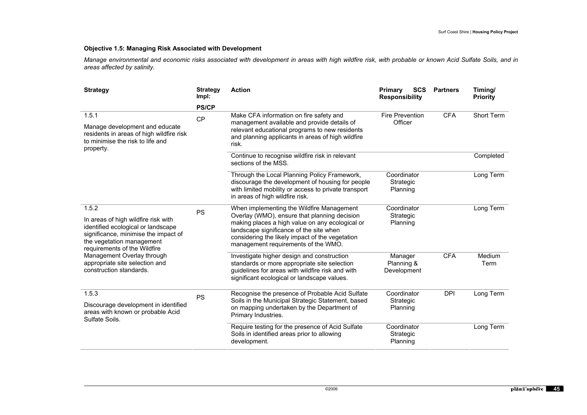## **Objective 1.5: Managing Risk Associated with Development**

*Manage environmental and economic risks associated with development in areas with high wildfire risk, with probable or known Acid Sulfate Soils, and in areas affected by salinity.* 

| <b>Strategy</b>                                                                                                                                                                | <b>Strategy</b><br>Impl: | <b>Action</b>                                                                                                                                                                                                                        | <b>Primary</b><br><b>SCS</b><br><b>Responsibility</b>                                                                  | <b>Partners</b>       | Timing/<br><b>Priority</b> |  |
|--------------------------------------------------------------------------------------------------------------------------------------------------------------------------------|--------------------------|--------------------------------------------------------------------------------------------------------------------------------------------------------------------------------------------------------------------------------------|------------------------------------------------------------------------------------------------------------------------|-----------------------|----------------------------|--|
|                                                                                                                                                                                | <b>PS/CP</b>             |                                                                                                                                                                                                                                      |                                                                                                                        |                       |                            |  |
| 1.5.1                                                                                                                                                                          | <b>CP</b>                | Make CFA information on fire safety and                                                                                                                                                                                              | <b>Fire Prevention</b>                                                                                                 | <b>CFA</b>            | Short Term                 |  |
| Manage development and educate<br>residents in areas of high wildfire risk<br>to minimise the risk to life and<br>property.                                                    |                          | management available and provide details of<br>relevant educational programs to new residents<br>and planning applicants in areas of high wildfire<br>risk.                                                                          | Officer                                                                                                                |                       |                            |  |
|                                                                                                                                                                                |                          | Continue to recognise wildfire risk in relevant<br>sections of the MSS.                                                                                                                                                              |                                                                                                                        |                       | Completed                  |  |
|                                                                                                                                                                                |                          | Through the Local Planning Policy Framework,<br>discourage the development of housing for people<br>with limited mobility or access to private transport<br>in areas of high wildfire risk.                                          | Coordinator<br>Strategic<br>Planning                                                                                   |                       | Long Term                  |  |
| 1.5.2                                                                                                                                                                          | <b>PS</b>                | When implementing the Wildfire Management                                                                                                                                                                                            | Coordinator                                                                                                            |                       | Long Term                  |  |
| In areas of high wildfire risk with<br>identified ecological or landscape<br>significance, minimise the impact of<br>the vegetation management<br>requirements of the Wildfire |                          | Overlay (WMO), ensure that planning decision<br>making places a high value on any ecological or<br>landscape significance of the site when<br>considering the likely impact of the vegetation<br>management requirements of the WMO. | Strategic<br>Planning                                                                                                  |                       |                            |  |
| Management Overlay through                                                                                                                                                     |                          | Investigate higher design and construction                                                                                                                                                                                           | Manager                                                                                                                | <b>CFA</b>            | Medium                     |  |
| appropriate site selection and<br>construction standards.                                                                                                                      |                          | standards or more appropriate site selection<br>guidelines for areas with wildfire risk and with<br>significant ecological or landscape values.                                                                                      | Planning &<br>Development                                                                                              |                       | Term                       |  |
| 1.5.3                                                                                                                                                                          | PS                       | Recognise the presence of Probable Acid Sulfate                                                                                                                                                                                      | Coordinator                                                                                                            | <b>DPI</b>            | Long Term                  |  |
| Discourage development in identified<br>areas with known or probable Acid<br>Sulfate Soils.                                                                                    |                          |                                                                                                                                                                                                                                      | Soils in the Municipal Strategic Statement, based<br>on mapping undertaken by the Department of<br>Primary Industries. | Strategic<br>Planning |                            |  |
|                                                                                                                                                                                |                          | Require testing for the presence of Acid Sulfate<br>Soils in identified areas prior to allowing<br>development.                                                                                                                      | Coordinator<br>Strategic<br>Planning                                                                                   |                       | Long Term                  |  |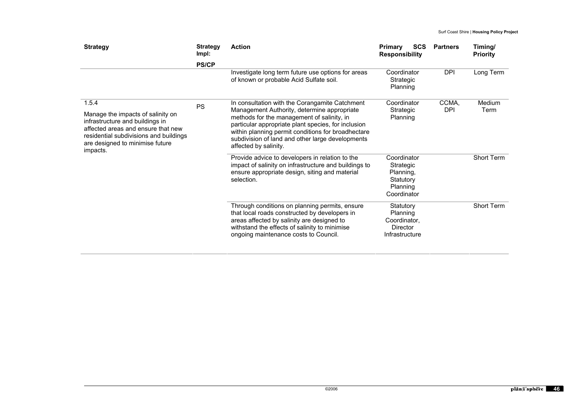| <b>Strategy</b>                                                                                                                                                                                              | <b>Strategy</b><br>lmpl: | <b>Action</b>                                                                                                                                                                                                                                                                                                                         | <b>SCS</b><br><b>Primary</b><br><b>Responsibility</b>                         | <b>Partners</b>     | Timing/<br><b>Priority</b> |
|--------------------------------------------------------------------------------------------------------------------------------------------------------------------------------------------------------------|--------------------------|---------------------------------------------------------------------------------------------------------------------------------------------------------------------------------------------------------------------------------------------------------------------------------------------------------------------------------------|-------------------------------------------------------------------------------|---------------------|----------------------------|
|                                                                                                                                                                                                              | <b>PS/CP</b>             |                                                                                                                                                                                                                                                                                                                                       |                                                                               |                     |                            |
|                                                                                                                                                                                                              |                          | Investigate long term future use options for areas<br>of known or probable Acid Sulfate soil.                                                                                                                                                                                                                                         | Coordinator<br>Strategic<br>Planning                                          | <b>DPI</b>          | Long Term                  |
| 1.5.4<br>Manage the impacts of salinity on<br>infrastructure and buildings in<br>affected areas and ensure that new<br>residential subdivisions and buildings<br>are designed to minimise future<br>impacts. | <b>PS</b>                | In consultation with the Corangamite Catchment<br>Management Authority, determine appropriate<br>methods for the management of salinity, in<br>particular appropriate plant species, for inclusion<br>within planning permit conditions for broadhectare<br>subdivision of land and other large developments<br>affected by salinity. | Coordinator<br>Strategic<br>Planning                                          | CCMA,<br><b>DPI</b> | Medium<br>Term             |
|                                                                                                                                                                                                              |                          | Provide advice to developers in relation to the<br>impact of salinity on infrastructure and buildings to<br>ensure appropriate design, siting and material<br>selection.                                                                                                                                                              | Coordinator<br>Strategic<br>Planning,<br>Statutory<br>Planning<br>Coordinator |                     | Short Term                 |
|                                                                                                                                                                                                              |                          | Through conditions on planning permits, ensure<br>that local roads constructed by developers in<br>areas affected by salinity are designed to<br>withstand the effects of salinity to minimise<br>ongoing maintenance costs to Council.                                                                                               | Statutory<br>Planning<br>Coordinator,<br>Director<br>Infrastructure           |                     | Short Term                 |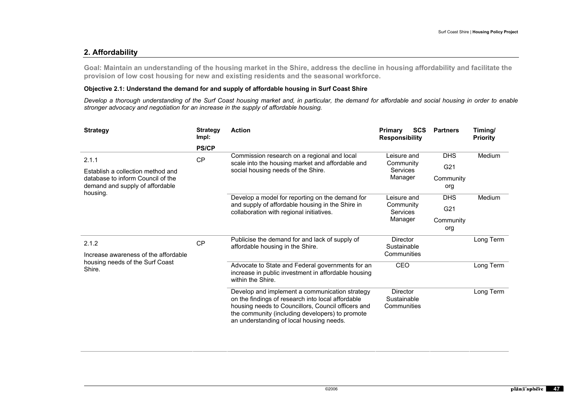# **2. Affordability**

**Goal: Maintain an understanding of the housing market in the Shire, address the decline in housing affordability and facilitate the provision of low cost housing for new and existing residents and the seasonal workforce.** 

# **Objective 2.1: Understand the demand for and supply of affordable housing in Surf Coast Shire**

*Develop a thorough understanding of the Surf Coast housing market and, in particular, the demand for affordable and social housing in order to enable stronger advocacy and negotiation for an increase in the supply of affordable housing.* 

| <b>Strategy</b>                                                                                           | <b>Strategy</b><br>Impl:                                                                     | <b>Action</b>                                                                                                                                                                                                                                            | <b>SCS</b><br><b>Primary</b><br><b>Responsibility</b> | <b>Partners</b>   | Timing/<br><b>Priority</b> |
|-----------------------------------------------------------------------------------------------------------|----------------------------------------------------------------------------------------------|----------------------------------------------------------------------------------------------------------------------------------------------------------------------------------------------------------------------------------------------------------|-------------------------------------------------------|-------------------|----------------------------|
|                                                                                                           | <b>PS/CP</b>                                                                                 |                                                                                                                                                                                                                                                          |                                                       |                   |                            |
| 2.1.1                                                                                                     | CP                                                                                           | Commission research on a regional and local<br>scale into the housing market and affordable and                                                                                                                                                          | Leisure and<br>Community                              | <b>DHS</b><br>G21 | Medium                     |
| Establish a collection method and<br>database to inform Council of the<br>demand and supply of affordable |                                                                                              | social housing needs of the Shire.                                                                                                                                                                                                                       | <b>Services</b><br>Manager                            | Community<br>org  |                            |
| housing.                                                                                                  |                                                                                              | Develop a model for reporting on the demand for                                                                                                                                                                                                          | Leisure and                                           | <b>DHS</b>        | Medium                     |
|                                                                                                           | and supply of affordable housing in the Shire in<br>collaboration with regional initiatives. | Community<br><b>Services</b>                                                                                                                                                                                                                             | G21                                                   |                   |                            |
|                                                                                                           |                                                                                              |                                                                                                                                                                                                                                                          | Manager                                               | Community<br>org  |                            |
| 2.1.2<br>Increase awareness of the affordable                                                             | <b>CP</b>                                                                                    | Publicise the demand for and lack of supply of<br>affordable housing in the Shire.                                                                                                                                                                       | Director<br>Sustainable<br>Communities                |                   | Long Term                  |
| housing needs of the Surf Coast<br>Shire.                                                                 |                                                                                              | Advocate to State and Federal governments for an<br>increase in public investment in affordable housing<br>within the Shire.                                                                                                                             | CEO                                                   |                   | Long Term                  |
|                                                                                                           |                                                                                              | Develop and implement a communication strategy<br>on the findings of research into local affordable<br>housing needs to Councillors, Council officers and<br>the community (including developers) to promote<br>an understanding of local housing needs. | Director<br>Sustainable<br>Communities                |                   | Long Term                  |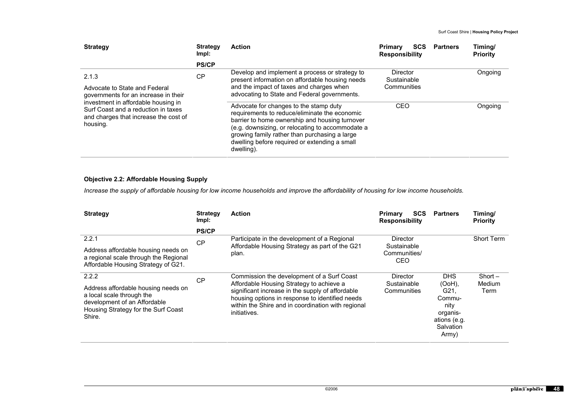| <b>Strategy</b>                                                                                                                                                                                                   | <b>Strategy</b><br>lmpl: | <b>Action</b>                                                                                                                                                                                                                                                                                                 | <b>SCS</b><br><b>Primary</b><br><b>Partners</b><br><b>Responsibility</b> | Timing/<br><b>Priority</b> |
|-------------------------------------------------------------------------------------------------------------------------------------------------------------------------------------------------------------------|--------------------------|---------------------------------------------------------------------------------------------------------------------------------------------------------------------------------------------------------------------------------------------------------------------------------------------------------------|--------------------------------------------------------------------------|----------------------------|
|                                                                                                                                                                                                                   | <b>PS/CP</b>             |                                                                                                                                                                                                                                                                                                               |                                                                          |                            |
| 2.1.3<br>Advocate to State and Federal<br>governments for an increase in their<br>investment in affordable housing in<br>Surf Coast and a reduction in taxes<br>and charges that increase the cost of<br>housing. | <b>CP</b>                | Develop and implement a process or strategy to<br>present information on affordable housing needs<br>and the impact of taxes and charges when<br>advocating to State and Federal governments.                                                                                                                 | Director<br>Sustainable<br>Communities                                   | Ongoing                    |
|                                                                                                                                                                                                                   |                          | Advocate for changes to the stamp duty<br>requirements to reduce/eliminate the economic<br>barrier to home ownership and housing turnover<br>(e.g. downsizing, or relocating to accommodate a<br>growing family rather than purchasing a large<br>dwelling before required or extending a small<br>dwelling). | CEO                                                                      | Ongoing                    |

# **Objective 2.2: Affordable Housing Supply**

*Increase the supply of affordable housing for low income households and improve the affordability of housing for low income households.*

| <b>Strategy</b>                                                                                                                                   | <b>Strategy</b><br>lmpl: | <b>Action</b>                                                                                                                                                                                                         | <b>SCS</b><br><b>Primary</b><br><b>Responsibility</b> | <b>Partners</b>                                                                    | Timing/<br><b>Priority</b> |
|---------------------------------------------------------------------------------------------------------------------------------------------------|--------------------------|-----------------------------------------------------------------------------------------------------------------------------------------------------------------------------------------------------------------------|-------------------------------------------------------|------------------------------------------------------------------------------------|----------------------------|
|                                                                                                                                                   | <b>PS/CP</b>             |                                                                                                                                                                                                                       |                                                       |                                                                                    |                            |
| 2.2.1                                                                                                                                             | <b>CP</b>                | Participate in the development of a Regional                                                                                                                                                                          | Director                                              |                                                                                    | <b>Short Term</b>          |
| Address affordable housing needs on<br>a regional scale through the Regional<br>Affordable Housing Strategy of G21.                               |                          | Affordable Housing Strategy as part of the G21<br>plan.                                                                                                                                                               | Sustainable<br>Communities/<br>CEO                    |                                                                                    |                            |
| 2.2.2                                                                                                                                             | <b>CP</b>                | Commission the development of a Surf Coast                                                                                                                                                                            | <b>Director</b>                                       | <b>DHS</b>                                                                         | $Short -$                  |
| Address affordable housing needs on<br>a local scale through the<br>development of an Affordable<br>Housing Strategy for the Surf Coast<br>Shire. |                          | Affordable Housing Strategy to achieve a<br>significant increase in the supply of affordable<br>housing options in response to identified needs<br>within the Shire and in coordination with regional<br>initiatives. | Sustainable<br>Communities                            | (OoH),<br>G21.<br>Commu-<br>nity<br>organis-<br>ations (e.g.<br>Salvation<br>Army) | Medium<br>Term             |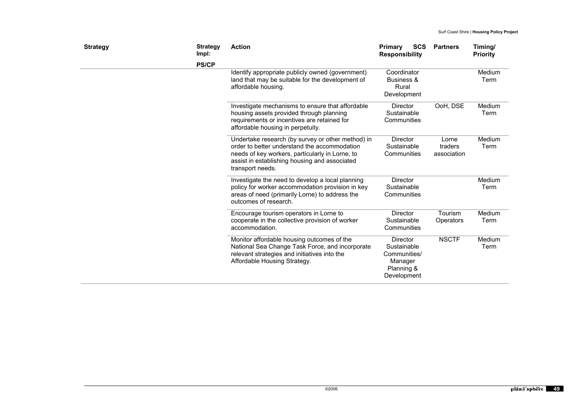| <b>Strategy</b> | <b>Strategy</b><br>Impl:                                                                                                    | <b>Action</b>                                                                                                                                                                                                             | <b>SCS</b><br>Primary<br><b>Responsibility</b>                                  | <b>Partners</b>                 | Timing/<br><b>Priority</b> |
|-----------------|-----------------------------------------------------------------------------------------------------------------------------|---------------------------------------------------------------------------------------------------------------------------------------------------------------------------------------------------------------------------|---------------------------------------------------------------------------------|---------------------------------|----------------------------|
|                 | <b>PS/CP</b>                                                                                                                |                                                                                                                                                                                                                           |                                                                                 |                                 |                            |
|                 | Identify appropriate publicly owned (government)<br>land that may be suitable for the development of<br>affordable housing. | Coordinator<br>Business &<br>Rural<br>Development                                                                                                                                                                         |                                                                                 | Medium<br>Term                  |                            |
|                 |                                                                                                                             | Investigate mechanisms to ensure that affordable<br>housing assets provided through planning<br>requirements or incentives are retained for<br>affordable housing in perpetuity.                                          | <b>Director</b><br>Sustainable<br>Communities                                   | OoH, DSE                        | Medium<br>Term             |
|                 |                                                                                                                             | Undertake research (by survey or other method) in<br>order to better understand the accommodation<br>needs of key workers, particularly in Lorne, to<br>assist in establishing housing and associated<br>transport needs. | <b>Director</b><br>Sustainable<br>Communities                                   | Lorne<br>traders<br>association | Medium<br>Term             |
|                 |                                                                                                                             | Investigate the need to develop a local planning<br>policy for worker accommodation provision in key<br>areas of need (primarily Lorne) to address the<br>outcomes of research.                                           | <b>Director</b><br>Sustainable<br>Communities                                   |                                 | Medium<br>Term             |
|                 |                                                                                                                             | Encourage tourism operators in Lorne to<br>cooperate in the collective provision of worker<br>accommodation.                                                                                                              | <b>Director</b><br>Sustainable<br>Communities                                   | Tourism<br>Operators            | Medium<br>Term             |
|                 |                                                                                                                             | Monitor affordable housing outcomes of the<br>National Sea Change Task Force, and incorporate<br>relevant strategies and initiatives into the<br>Affordable Housing Strategy.                                             | Director<br>Sustainable<br>Communities/<br>Manager<br>Planning &<br>Development | <b>NSCTF</b>                    | Medium<br>Term             |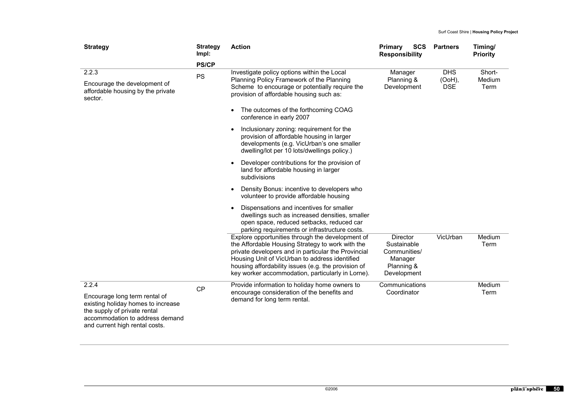| <b>Strategy</b>                                                                                                                                                          | <b>Strategy</b><br>Impl: | <b>Action</b>                                                                                                                                                                                                                                                                                                             | Primary<br>SCS<br><b>Responsibility</b>                                                | <b>Partners</b>      | Timing/<br><b>Priority</b> |
|--------------------------------------------------------------------------------------------------------------------------------------------------------------------------|--------------------------|---------------------------------------------------------------------------------------------------------------------------------------------------------------------------------------------------------------------------------------------------------------------------------------------------------------------------|----------------------------------------------------------------------------------------|----------------------|----------------------------|
|                                                                                                                                                                          | <b>PS/CP</b>             |                                                                                                                                                                                                                                                                                                                           |                                                                                        |                      |                            |
| 2.2.3                                                                                                                                                                    | <b>PS</b>                | Investigate policy options within the Local                                                                                                                                                                                                                                                                               | Manager                                                                                | <b>DHS</b>           | Short-                     |
| Encourage the development of<br>affordable housing by the private<br>sector.                                                                                             |                          | Planning Policy Framework of the Planning<br>Scheme to encourage or potentially require the<br>provision of affordable housing such as:                                                                                                                                                                                   | Planning &<br>Development                                                              | (OoH),<br><b>DSE</b> | Medium<br>Term             |
|                                                                                                                                                                          |                          | The outcomes of the forthcoming COAG<br>conference in early 2007                                                                                                                                                                                                                                                          |                                                                                        |                      |                            |
|                                                                                                                                                                          |                          | Inclusionary zoning: requirement for the<br>$\bullet$<br>provision of affordable housing in larger<br>developments (e.g. VicUrban's one smaller<br>dwelling/lot per 10 lots/dwellings policy.)                                                                                                                            |                                                                                        |                      |                            |
|                                                                                                                                                                          |                          | Developer contributions for the provision of<br>$\bullet$<br>land for affordable housing in larger<br>subdivisions                                                                                                                                                                                                        |                                                                                        |                      |                            |
|                                                                                                                                                                          |                          | Density Bonus: incentive to developers who<br>$\bullet$<br>volunteer to provide affordable housing                                                                                                                                                                                                                        |                                                                                        |                      |                            |
|                                                                                                                                                                          |                          | Dispensations and incentives for smaller<br>$\bullet$<br>dwellings such as increased densities, smaller<br>open space, reduced setbacks, reduced car<br>parking requirements or infrastructure costs.                                                                                                                     |                                                                                        |                      |                            |
|                                                                                                                                                                          |                          | Explore opportunities through the development of<br>the Affordable Housing Strategy to work with the<br>private developers and in particular the Provincial<br>Housing Unit of VicUrban to address identified<br>housing affordability issues (e.g. the provision of<br>key worker accommodation, particularly in Lorne). | <b>Director</b><br>Sustainable<br>Communities/<br>Manager<br>Planning &<br>Development | VicUrban             | Medium<br>Term             |
| 2.2.4                                                                                                                                                                    | <b>CP</b>                | Provide information to holiday home owners to                                                                                                                                                                                                                                                                             | Communications                                                                         |                      | Medium                     |
| Encourage long term rental of<br>existing holiday homes to increase<br>the supply of private rental<br>accommodation to address demand<br>and current high rental costs. |                          | encourage consideration of the benefits and<br>demand for long term rental.                                                                                                                                                                                                                                               | Coordinator                                                                            |                      | Term                       |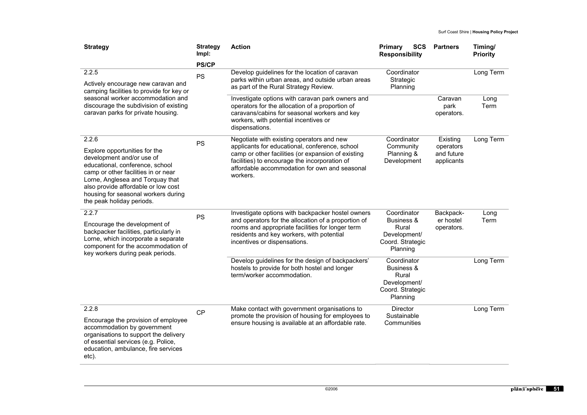| <b>Strategy</b>                                                                                                                                                                                                                                                                              | <b>Strategy</b><br>Impl: | <b>Action</b>                                                                                                                                                                                                                                                   | Primary<br><b>SCS</b><br><b>Responsibility</b>                                     | <b>Partners</b>                                   | Timing/<br><b>Priority</b> |
|----------------------------------------------------------------------------------------------------------------------------------------------------------------------------------------------------------------------------------------------------------------------------------------------|--------------------------|-----------------------------------------------------------------------------------------------------------------------------------------------------------------------------------------------------------------------------------------------------------------|------------------------------------------------------------------------------------|---------------------------------------------------|----------------------------|
|                                                                                                                                                                                                                                                                                              | <b>PS/CP</b>             |                                                                                                                                                                                                                                                                 |                                                                                    |                                                   |                            |
| 2.2.5<br>Actively encourage new caravan and<br>camping facilities to provide for key or                                                                                                                                                                                                      | PS                       | Develop guidelines for the location of caravan<br>parks within urban areas, and outside urban areas<br>as part of the Rural Strategy Review.                                                                                                                    | Coordinator<br>Strategic<br>Planning                                               |                                                   | Long Term                  |
| seasonal worker accommodation and<br>discourage the subdivision of existing<br>caravan parks for private housing.                                                                                                                                                                            |                          | Investigate options with caravan park owners and<br>operators for the allocation of a proportion of<br>caravans/cabins for seasonal workers and key<br>workers, with potential incentives or<br>dispensations.                                                  |                                                                                    | Caravan<br>park<br>operators.                     | Long<br>Term               |
| 2.2.6<br>Explore opportunities for the<br>development and/or use of<br>educational, conference, school<br>camp or other facilities in or near<br>Lorne, Anglesea and Torquay that<br>also provide affordable or low cost<br>housing for seasonal workers during<br>the peak holiday periods. | <b>PS</b>                | Negotiate with existing operators and new<br>applicants for educational, conference, school<br>camp or other facilities (or expansion of existing<br>facilities) to encourage the incorporation of<br>affordable accommodation for own and seasonal<br>workers. | Coordinator<br>Community<br>Planning &<br>Development                              | Existing<br>operators<br>and future<br>applicants | Long Term                  |
| 2.2.7<br>Encourage the development of<br>backpacker facilities, particularly in<br>Lorne, which incorporate a separate<br>component for the accommodation of<br>key workers during peak periods.                                                                                             | PS                       | Investigate options with backpacker hostel owners<br>and operators for the allocation of a proportion of<br>rooms and appropriate facilities for longer term<br>residents and key workers, with potential<br>incentives or dispensations.                       | Coordinator<br>Business &<br>Rural<br>Development/<br>Coord. Strategic<br>Planning | Backpack-<br>er hostel<br>operators.              | Long<br>Term               |
|                                                                                                                                                                                                                                                                                              |                          | Develop guidelines for the design of backpackers'<br>hostels to provide for both hostel and longer<br>term/worker accommodation.                                                                                                                                | Coordinator<br>Business &<br>Rural<br>Development/<br>Coord. Strategic<br>Planning |                                                   | Long Term                  |
| 2.2.8<br>Encourage the provision of employee<br>accommodation by government<br>organisations to support the delivery<br>of essential services (e.g. Police,<br>education, ambulance, fire services<br>etc).                                                                                  | CP                       | Make contact with government organisations to<br>promote the provision of housing for employees to<br>ensure housing is available at an affordable rate.                                                                                                        | <b>Director</b><br>Sustainable<br>Communities                                      |                                                   | Long Term                  |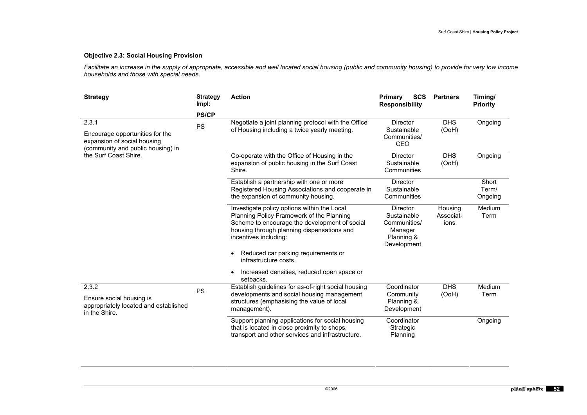## **Objective 2.3: Social Housing Provision**

Facilitate an increase in the supply of appropriate, accessible and well located social housing (public and community housing) to provide for very low income *households and those with special needs.* 

| <b>Strategy</b>                                                                                                                       | <b>Strategy</b><br>Impl: | <b>Action</b>                                                                                                                                                                                                    | <b>SCS</b><br><b>Primary</b><br><b>Responsibility</b>                           | <b>Partners</b>              | Timing/<br><b>Priority</b> |
|---------------------------------------------------------------------------------------------------------------------------------------|--------------------------|------------------------------------------------------------------------------------------------------------------------------------------------------------------------------------------------------------------|---------------------------------------------------------------------------------|------------------------------|----------------------------|
|                                                                                                                                       | <b>PS/CP</b>             |                                                                                                                                                                                                                  |                                                                                 |                              |                            |
| 2.3.1<br>Encourage opportunities for the<br>expansion of social housing<br>(community and public housing) in<br>the Surf Coast Shire. | <b>PS</b>                | Negotiate a joint planning protocol with the Office<br>of Housing including a twice yearly meeting.                                                                                                              | Director<br>Sustainable<br>Communities/<br>CEO                                  | <b>DHS</b><br>(OoH)          | Ongoing                    |
|                                                                                                                                       |                          | Co-operate with the Office of Housing in the<br>expansion of public housing in the Surf Coast<br>Shire.                                                                                                          | Director<br>Sustainable<br>Communities                                          | <b>DHS</b><br>(OoH)          | Ongoing                    |
|                                                                                                                                       |                          | Establish a partnership with one or more<br>Registered Housing Associations and cooperate in<br>the expansion of community housing.                                                                              | Director<br>Sustainable<br>Communities                                          |                              | Short<br>Term/<br>Ongoing  |
|                                                                                                                                       |                          | Investigate policy options within the Local<br>Planning Policy Framework of the Planning<br>Scheme to encourage the development of social<br>housing through planning dispensations and<br>incentives including: | Director<br>Sustainable<br>Communities/<br>Manager<br>Planning &<br>Development | Housing<br>Associat-<br>ions | Medium<br>Term             |
|                                                                                                                                       |                          | Reduced car parking requirements or<br>infrastructure costs.                                                                                                                                                     |                                                                                 |                              |                            |
|                                                                                                                                       |                          | Increased densities, reduced open space or<br>$\bullet$<br>setbacks.                                                                                                                                             |                                                                                 |                              |                            |
| 2.3.2<br>Ensure social housing is<br>appropriately located and established<br>in the Shire.                                           | <b>PS</b>                | Establish guidelines for as-of-right social housing<br>developments and social housing management<br>structures (emphasising the value of local<br>management).                                                  | Coordinator<br>Community<br>Planning &<br>Development                           | <b>DHS</b><br>(OoH)          | Medium<br>Term             |
|                                                                                                                                       |                          | Support planning applications for social housing<br>that is located in close proximity to shops,<br>transport and other services and infrastructure.                                                             | Coordinator<br>Strategic<br>Planning                                            |                              | Ongoing                    |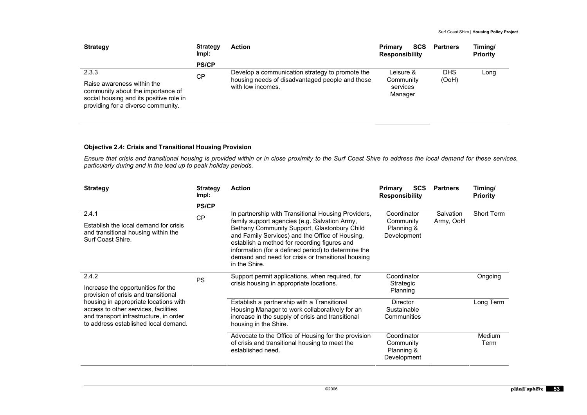| <b>Strategy</b>                                                                                                                                           | <b>Strategy</b><br>lmpl: | <b>Action</b>                                                                                                           | <b>Primary</b><br><b>Responsibility</b>       | <b>SCS</b> | <b>Partners</b>     | Timing/<br><b>Priority</b> |
|-----------------------------------------------------------------------------------------------------------------------------------------------------------|--------------------------|-------------------------------------------------------------------------------------------------------------------------|-----------------------------------------------|------------|---------------------|----------------------------|
|                                                                                                                                                           | <b>PS/CP</b>             |                                                                                                                         |                                               |            |                     |                            |
| 2.3.3<br>Raise awareness within the<br>community about the importance of<br>social housing and its positive role in<br>providing for a diverse community. | СP                       | Develop a communication strategy to promote the<br>housing needs of disadvantaged people and those<br>with low incomes. | Leisure &<br>Community<br>services<br>Manager |            | <b>DHS</b><br>(OoH) | Long                       |

### **Objective 2.4: Crisis and Transitional Housing Provision**

*Ensure that crisis and transitional housing is provided within or in close proximity to the Surf Coast Shire to address the local demand for these services, particularly during and in the lead up to peak holiday periods.* 

| <b>Strategy</b>                                                                                                                                                                                                                                        | <b>Strategy</b><br>lmpl: | <b>Action</b>                                                                                                                                                                                                                                                                                                                                                                         | <b>SCS</b><br>Primary<br><b>Responsibility</b>        | <b>Partners</b>        | Timing/<br><b>Priority</b> |
|--------------------------------------------------------------------------------------------------------------------------------------------------------------------------------------------------------------------------------------------------------|--------------------------|---------------------------------------------------------------------------------------------------------------------------------------------------------------------------------------------------------------------------------------------------------------------------------------------------------------------------------------------------------------------------------------|-------------------------------------------------------|------------------------|----------------------------|
| 2.4.1<br>Establish the local demand for crisis<br>and transitional housing within the<br>Surf Coast Shire.                                                                                                                                             | <b>PS/CP</b><br>CP       | In partnership with Transitional Housing Providers,<br>family support agencies (e.g. Salvation Army,<br>Bethany Community Support, Glastonbury Child<br>and Family Services) and the Office of Housing,<br>establish a method for recording figures and<br>information (for a defined period) to determine the<br>demand and need for crisis or transitional housing<br>in the Shire. | Coordinator<br>Community<br>Planning &<br>Development | Salvation<br>Army, OoH | Short Term                 |
| 2.4.2<br>Increase the opportunities for the<br>provision of crisis and transitional<br>housing in appropriate locations with<br>access to other services, facilities<br>and transport infrastructure, in order<br>to address established local demand. | <b>PS</b>                | Support permit applications, when required, for<br>crisis housing in appropriate locations.                                                                                                                                                                                                                                                                                           | Coordinator<br>Strategic<br>Planning                  |                        | Ongoing                    |
|                                                                                                                                                                                                                                                        |                          | Establish a partnership with a Transitional<br>Housing Manager to work collaboratively for an<br>increase in the supply of crisis and transitional<br>housing in the Shire.                                                                                                                                                                                                           | Director<br>Sustainable<br>Communities                |                        | Long Term                  |
|                                                                                                                                                                                                                                                        |                          | Advocate to the Office of Housing for the provision<br>of crisis and transitional housing to meet the<br>established need.                                                                                                                                                                                                                                                            | Coordinator<br>Community<br>Planning &<br>Development |                        | Medium<br>Term             |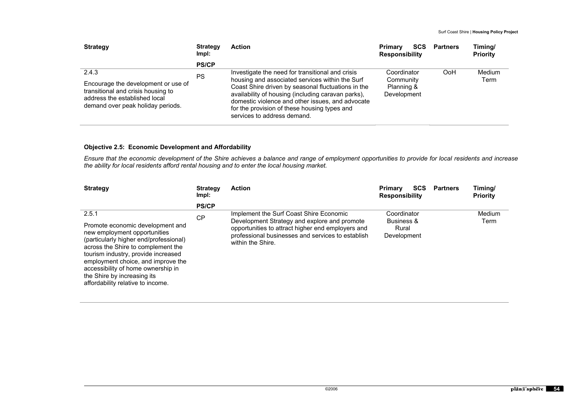| <b>Strategy</b>                                                                                                                                          | <b>Strategy</b><br>Impl: | <b>Action</b>                                                                                                                                                                                                                                                                                                                                      | <b>Primary</b><br><b>Responsibility</b>               | <b>SCS</b> | <b>Partners</b> | Timing/<br><b>Priority</b> |
|----------------------------------------------------------------------------------------------------------------------------------------------------------|--------------------------|----------------------------------------------------------------------------------------------------------------------------------------------------------------------------------------------------------------------------------------------------------------------------------------------------------------------------------------------------|-------------------------------------------------------|------------|-----------------|----------------------------|
|                                                                                                                                                          | <b>PS/CP</b>             |                                                                                                                                                                                                                                                                                                                                                    |                                                       |            |                 |                            |
| 2.4.3<br>Encourage the development or use of<br>transitional and crisis housing to<br>address the established local<br>demand over peak holiday periods. | PS                       | Investigate the need for transitional and crisis<br>housing and associated services within the Surf<br>Coast Shire driven by seasonal fluctuations in the<br>availability of housing (including caravan parks).<br>domestic violence and other issues, and advocate<br>for the provision of these housing types and<br>services to address demand. | Coordinator<br>Community<br>Planning &<br>Development |            | OoH             | Medium<br>Term             |

### **Objective 2.5: Economic Development and Affordability**

*Ensure that the economic development of the Shire achieves a balance and range of employment opportunities to provide for local residents and increase the ability for local residents afford rental housing and to enter the local housing market.* 

| <b>Strategy</b>                                                                                                                                                                                                                                                                                                                                  | <b>Strategy</b><br>lmpl: | <b>Action</b>                                                                                                                                                                                                          | <b>SCS</b><br><b>Partners</b><br><b>Primary</b><br><b>Responsibility</b> | Timing/<br><b>Priority</b> |
|--------------------------------------------------------------------------------------------------------------------------------------------------------------------------------------------------------------------------------------------------------------------------------------------------------------------------------------------------|--------------------------|------------------------------------------------------------------------------------------------------------------------------------------------------------------------------------------------------------------------|--------------------------------------------------------------------------|----------------------------|
|                                                                                                                                                                                                                                                                                                                                                  | <b>PS/CP</b>             |                                                                                                                                                                                                                        |                                                                          |                            |
| 2.5.1<br>Promote economic development and<br>new employment opportunities<br>(particularly higher end/professional)<br>across the Shire to complement the<br>tourism industry, provide increased<br>employment choice, and improve the<br>accessibility of home ownership in<br>the Shire by increasing its<br>affordability relative to income. | <b>CP</b>                | Implement the Surf Coast Shire Economic<br>Development Strategy and explore and promote<br>opportunities to attract higher end employers and<br>professional businesses and services to establish<br>within the Shire. | Coordinator<br>Business &<br>Rural<br>Development                        | Medium<br>Term             |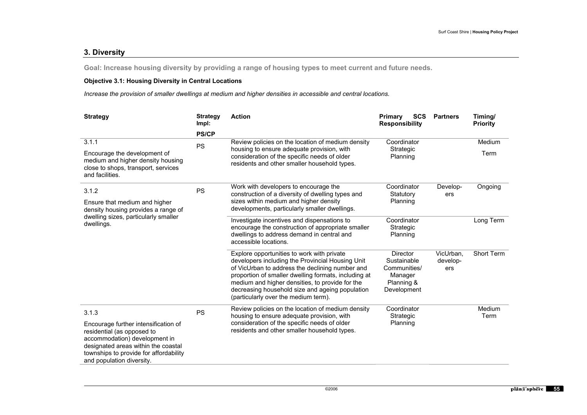# **3. Diversity**

**Goal: Increase housing diversity by providing a range of housing types to meet current and future needs.** 

# **Objective 3.1: Housing Diversity in Central Locations**

*Increase the provision of smaller dwellings at medium and higher densities in accessible and central locations.* 

| <b>Strategy</b>                                                                                                                                                                                                   | <b>Strategy</b><br>Impl: | <b>Action</b>                                                                                                                                                                                                                                                                                                                                           | <b>SCS</b><br>Primary<br><b>Responsibility</b>                                         | <b>Partners</b>              | Timing/<br><b>Priority</b> |
|-------------------------------------------------------------------------------------------------------------------------------------------------------------------------------------------------------------------|--------------------------|---------------------------------------------------------------------------------------------------------------------------------------------------------------------------------------------------------------------------------------------------------------------------------------------------------------------------------------------------------|----------------------------------------------------------------------------------------|------------------------------|----------------------------|
|                                                                                                                                                                                                                   | <b>PS/CP</b>             |                                                                                                                                                                                                                                                                                                                                                         |                                                                                        |                              |                            |
| 3.1.1                                                                                                                                                                                                             | <b>PS</b>                | Review policies on the location of medium density                                                                                                                                                                                                                                                                                                       | Coordinator                                                                            |                              | Medium                     |
| Encourage the development of<br>medium and higher density housing<br>close to shops, transport, services<br>and facilities.                                                                                       |                          | housing to ensure adequate provision, with<br>consideration of the specific needs of older<br>residents and other smaller household types.                                                                                                                                                                                                              | Strategic<br>Planning                                                                  |                              | Term                       |
| 3.1.2                                                                                                                                                                                                             | <b>PS</b>                | Work with developers to encourage the<br>construction of a diversity of dwelling types and                                                                                                                                                                                                                                                              | Coordinator<br>Statutory                                                               | Develop-<br>ers              | Ongoing                    |
| Ensure that medium and higher<br>density housing provides a range of<br>dwelling sizes, particularly smaller<br>dwellings.                                                                                        |                          | sizes within medium and higher density<br>developments, particularly smaller dwellings.                                                                                                                                                                                                                                                                 | Planning                                                                               |                              |                            |
|                                                                                                                                                                                                                   |                          | Investigate incentives and dispensations to<br>encourage the construction of appropriate smaller<br>dwellings to address demand in central and<br>accessible locations.                                                                                                                                                                                 | Coordinator<br>Strategic<br>Planning                                                   |                              | Long Term                  |
|                                                                                                                                                                                                                   |                          | Explore opportunities to work with private<br>developers including the Provincial Housing Unit<br>of VicUrban to address the declining number and<br>proportion of smaller dwelling formats, including at<br>medium and higher densities, to provide for the<br>decreasing household size and ageing population<br>(particularly over the medium term). | <b>Director</b><br>Sustainable<br>Communities/<br>Manager<br>Planning &<br>Development | VicUrban,<br>develop-<br>ers | <b>Short Term</b>          |
| 3.1.3                                                                                                                                                                                                             | <b>PS</b>                | Review policies on the location of medium density<br>housing to ensure adequate provision, with                                                                                                                                                                                                                                                         | Coordinator<br>Strategic                                                               |                              | Medium<br>Term             |
| Encourage further intensification of<br>residential (as opposed to<br>accommodation) development in<br>designated areas within the coastal<br>townships to provide for affordability<br>and population diversity. |                          | consideration of the specific needs of older<br>residents and other smaller household types.                                                                                                                                                                                                                                                            | Planning                                                                               |                              |                            |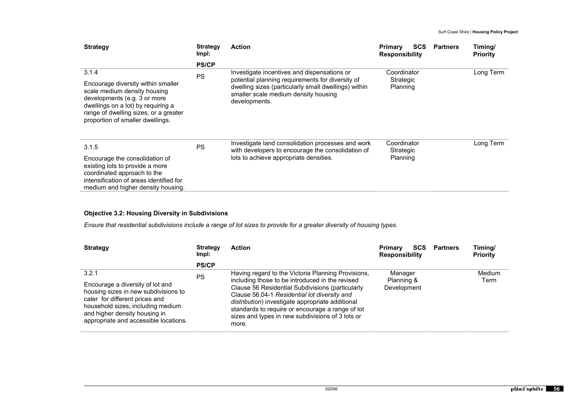| <b>Strategy</b>                                                                                                                                                                                                                | <b>Strategy</b><br>lmpl: | <b>Action</b>                                                                                                                                                                                                    | <b>Primary</b><br><b>Responsibility</b> | <b>SCS</b> | <b>Partners</b> | Timing/<br><b>Priority</b> |
|--------------------------------------------------------------------------------------------------------------------------------------------------------------------------------------------------------------------------------|--------------------------|------------------------------------------------------------------------------------------------------------------------------------------------------------------------------------------------------------------|-----------------------------------------|------------|-----------------|----------------------------|
|                                                                                                                                                                                                                                | <b>PS/CP</b>             |                                                                                                                                                                                                                  |                                         |            |                 |                            |
| 3.1.4<br>Encourage diversity within smaller<br>scale medium density housing<br>developments (e.g. 3 or more<br>dwellings on a lot) by requiring a<br>range of dwelling sizes, or a greater<br>proportion of smaller dwellings. | <b>PS</b>                | Investigate incentives and dispensations or<br>potential planning requirements for diversity of<br>dwelling sizes (particularly small dwellings) within<br>smaller scale medium density housing<br>developments. | Coordinator<br>Strategic<br>Planning    |            |                 | Long Term                  |
| 3.1.5<br>Encourage the consolidation of<br>existing lots to provide a more<br>coordinated approach to the<br>intensification of areas identified for<br>medium and higher density housing.                                     | <b>PS</b>                | Investigate land consolidation processes and work<br>with developers to encourage the consolidation of<br>lots to achieve appropriate densities.                                                                 | Coordinator<br>Strategic<br>Planning    |            |                 | Long Term                  |

# **Objective 3.2: Housing Diversity in Subdivisions**

*Ensure that residential subdivisions include a range of lot sizes to provide for a greater diversity of housing types.* 

| <b>Strategy</b>                                                                                                                                                                                                                    | <b>Strategy</b><br>lmpl: | <b>Action</b>                                                                                                                                                                                                                                                                                                                                                                  | <b>Primary</b><br><b>Responsibility</b> | <b>SCS</b> | Partners | Timing/<br><b>Priority</b> |
|------------------------------------------------------------------------------------------------------------------------------------------------------------------------------------------------------------------------------------|--------------------------|--------------------------------------------------------------------------------------------------------------------------------------------------------------------------------------------------------------------------------------------------------------------------------------------------------------------------------------------------------------------------------|-----------------------------------------|------------|----------|----------------------------|
|                                                                                                                                                                                                                                    | <b>PS/CP</b>             |                                                                                                                                                                                                                                                                                                                                                                                |                                         |            |          |                            |
| 3.2.1<br>Encourage a diversity of lot and<br>housing sizes in new subdivisions to<br>cater for different prices and<br>household sizes, including medium<br>and higher density housing in<br>appropriate and accessible locations. | PS                       | Having regard to the Victoria Planning Provisions,<br>including those to be introduced in the revised<br>Clause 56 Residential Subdivisions (particularly<br>Clause 56.04-1 Residential lot diversity and<br>distribution) investigate appropriate additional<br>standards to require or encourage a range of lot<br>sizes and types in new subdivisions of 3 lots or<br>more. | Manager<br>Planning &<br>Development    |            |          | <b>Medium</b><br>Term      |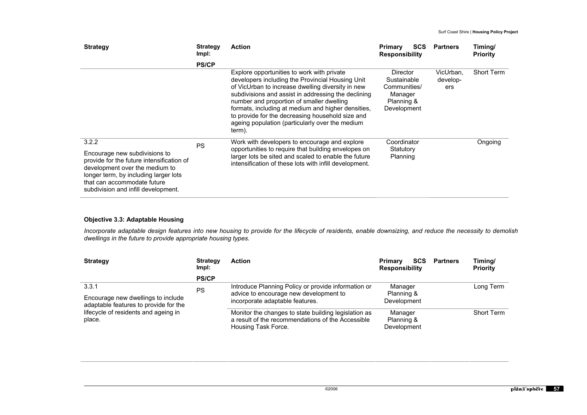| <b>Strategy</b>                                                                                                                                                                                                                      | <b>Strategy</b><br>Impl: | <b>Action</b>                                                                                                                                                                                                                                                                                                                                                                                                                  | <b>SCS</b><br>Primary<br><b>Responsibility</b>                                         | <b>Partners</b>              | Timing/<br><b>Priority</b> |
|--------------------------------------------------------------------------------------------------------------------------------------------------------------------------------------------------------------------------------------|--------------------------|--------------------------------------------------------------------------------------------------------------------------------------------------------------------------------------------------------------------------------------------------------------------------------------------------------------------------------------------------------------------------------------------------------------------------------|----------------------------------------------------------------------------------------|------------------------------|----------------------------|
|                                                                                                                                                                                                                                      | <b>PS/CP</b>             |                                                                                                                                                                                                                                                                                                                                                                                                                                |                                                                                        |                              |                            |
|                                                                                                                                                                                                                                      |                          | Explore opportunities to work with private<br>developers including the Provincial Housing Unit<br>of VicUrban to increase dwelling diversity in new<br>subdivisions and assist in addressing the declining<br>number and proportion of smaller dwelling<br>formats, including at medium and higher densities,<br>to provide for the decreasing household size and<br>ageing population (particularly over the medium<br>term). | <b>Director</b><br>Sustainable<br>Communities/<br>Manager<br>Planning &<br>Development | VicUrban,<br>develop-<br>ers | <b>Short Term</b>          |
| 3.2.2<br>Encourage new subdivisions to<br>provide for the future intensification of<br>development over the medium to<br>longer term, by including larger lots<br>that can accommodate future<br>subdivision and infill development. | <b>PS</b>                | Work with developers to encourage and explore<br>opportunities to require that building envelopes on<br>larger lots be sited and scaled to enable the future<br>intensification of these lots with infill development.                                                                                                                                                                                                         | Coordinator<br>Statutory<br>Planning                                                   |                              | Ongoing                    |

# **Objective 3.3: Adaptable Housing**

*Incorporate adaptable design features into new housing to provide for the lifecycle of residents, enable downsizing, and reduce the necessity to demolish dwellings in the future to provide appropriate housing types.* 

| <b>Strategy</b>                                                                      | <b>Strategy</b><br>Impl: | <b>Action</b>                                                                                                                    | <b>SCS</b><br><b>Primary</b><br><b>Responsibility</b> | <b>Partners</b> | Timing/<br><b>Priority</b> |
|--------------------------------------------------------------------------------------|--------------------------|----------------------------------------------------------------------------------------------------------------------------------|-------------------------------------------------------|-----------------|----------------------------|
|                                                                                      | <b>PS/CP</b>             |                                                                                                                                  |                                                       |                 |                            |
| 3.3.1<br>Encourage new dwellings to include<br>adaptable features to provide for the | PS                       | Introduce Planning Policy or provide information or<br>advice to encourage new development to<br>incorporate adaptable features. | Manager<br>Planning &<br>Development                  |                 | Long Term                  |
| lifecycle of residents and ageing in<br>place.                                       |                          | Monitor the changes to state building legislation as<br>a result of the recommendations of the Accessible<br>Housing Task Force. | Manager<br>Planning &<br>Development                  |                 | <b>Short Term</b>          |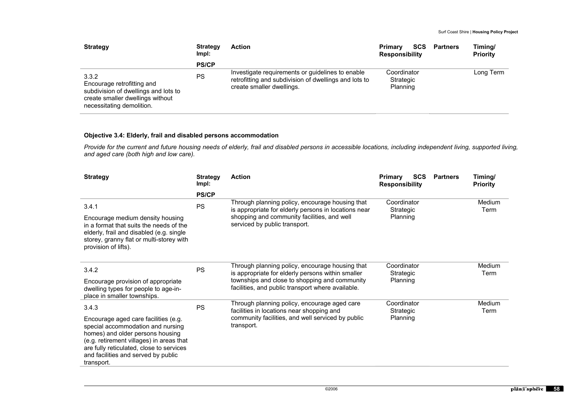| <b>Strategy</b>                                                                                                                              | <b>Strategy</b><br>Impl: | <b>Action</b>                                                                                                                          | <b>SCS</b><br><b>Primary</b><br><b>Responsibility</b> | <b>Partners</b> | Timing/<br><b>Priority</b> |
|----------------------------------------------------------------------------------------------------------------------------------------------|--------------------------|----------------------------------------------------------------------------------------------------------------------------------------|-------------------------------------------------------|-----------------|----------------------------|
|                                                                                                                                              | <b>PS/CP</b>             |                                                                                                                                        |                                                       |                 |                            |
| 3.3.2<br>Encourage retrofitting and<br>subdivision of dwellings and lots to<br>create smaller dwellings without<br>necessitating demolition. | PS                       | Investigate requirements or guidelines to enable<br>retrofitting and subdivision of dwellings and lots to<br>create smaller dwellings. | Coordinator<br>Strategic<br>Planning                  |                 | Long Term                  |

## **Objective 3.4: Elderly, frail and disabled persons accommodation**

*Provide for the current and future housing needs of elderly, frail and disabled persons in accessible locations, including independent living, supported living, and aged care (both high and low care).* 

| <b>Strategy</b>                                                                                                                                                                                                                                                     | <b>Strategy</b><br>Impl: | <b>Action</b>                                                                                                                                                                                              | <b>SCS</b><br>Primary<br><b>Responsibility</b> | <b>Partners</b> | Timing/<br><b>Priority</b> |
|---------------------------------------------------------------------------------------------------------------------------------------------------------------------------------------------------------------------------------------------------------------------|--------------------------|------------------------------------------------------------------------------------------------------------------------------------------------------------------------------------------------------------|------------------------------------------------|-----------------|----------------------------|
|                                                                                                                                                                                                                                                                     | <b>PS/CP</b>             |                                                                                                                                                                                                            |                                                |                 |                            |
| 3.4.1<br>Encourage medium density housing<br>in a format that suits the needs of the<br>elderly, frail and disabled (e.g. single<br>storey, granny flat or multi-storey with<br>provision of lifts).                                                                | <b>PS</b>                | Through planning policy, encourage housing that<br>is appropriate for elderly persons in locations near<br>shopping and community facilities, and well<br>serviced by public transport.                    | Coordinator<br>Strategic<br>Planning           |                 | Medium<br>Term             |
| 3.4.2<br>Encourage provision of appropriate<br>dwelling types for people to age-in-<br>place in smaller townships.                                                                                                                                                  | <b>PS</b>                | Through planning policy, encourage housing that<br>is appropriate for elderly persons within smaller<br>townships and close to shopping and community<br>facilities, and public transport where available. | Coordinator<br>Strategic<br>Planning           |                 | Medium<br>Term             |
| 3.4.3<br>Encourage aged care facilities (e.g.<br>special accommodation and nursing<br>homes) and older persons housing<br>(e.g. retirement villages) in areas that<br>are fully reticulated, close to services<br>and facilities and served by public<br>transport. | <b>PS</b>                | Through planning policy, encourage aged care<br>facilities in locations near shopping and<br>community facilities, and well serviced by public<br>transport.                                               | Coordinator<br>Strategic<br>Planning           |                 | Medium<br>Term             |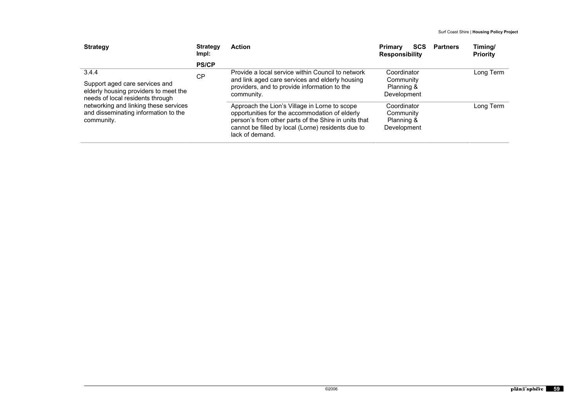| <b>Strategy</b>                                                                                                                                                          | <b>Strategy</b><br>lmpl: | <b>Action</b>                                                                                                                                                                                                                    | <b>SCS</b><br><b>Partners</b><br>Primary<br><b>Responsibility</b> | Timing/<br><b>Priority</b> |
|--------------------------------------------------------------------------------------------------------------------------------------------------------------------------|--------------------------|----------------------------------------------------------------------------------------------------------------------------------------------------------------------------------------------------------------------------------|-------------------------------------------------------------------|----------------------------|
|                                                                                                                                                                          | <b>PS/CP</b>             |                                                                                                                                                                                                                                  |                                                                   |                            |
| 3.4.4                                                                                                                                                                    | СP                       | Provide a local service within Council to network                                                                                                                                                                                | Coordinator                                                       | Long Term                  |
| Support aged care services and                                                                                                                                           |                          | and link aged care services and elderly housing                                                                                                                                                                                  | Community                                                         |                            |
| elderly housing providers to meet the<br>needs of local residents through<br>networking and linking these services<br>and disseminating information to the<br>community. |                          | providers, and to provide information to the<br>community.                                                                                                                                                                       | Planning &<br>Development                                         |                            |
|                                                                                                                                                                          |                          | Approach the Lion's Village in Lorne to scope<br>opportunities for the accommodation of elderly<br>person's from other parts of the Shire in units that<br>cannot be filled by local (Lorne) residents due to<br>lack of demand. | Coordinator<br>Community<br>Planning &<br>Development             | Long Term                  |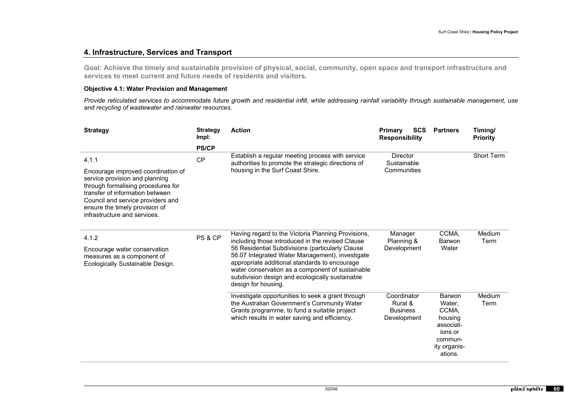# **4. Infrastructure, Services and Transport**

**Goal: Achieve the timely and sustainable provision of physical, social, community, open space and transport infrastructure and services to meet current and future needs of residents and visitors.** 

# **Objective 4.1: Water Provision and Management**

*Provide reticulated services to accommodate future growth and residential infill, while addressing rainfall variability through sustainable management, use and recycling of wastewater and rainwater resources.* 

| <b>Strategy</b>                                                                                                                                                                                                | <b>Strategy</b><br>Impl: | <b>Action</b>                                                                                                                                                                                                                                                                      | <b>SCS</b><br><b>Primary</b><br><b>Responsibility</b>    | <b>Partners</b>                                                                                    | Timing/<br>Priority |
|----------------------------------------------------------------------------------------------------------------------------------------------------------------------------------------------------------------|--------------------------|------------------------------------------------------------------------------------------------------------------------------------------------------------------------------------------------------------------------------------------------------------------------------------|----------------------------------------------------------|----------------------------------------------------------------------------------------------------|---------------------|
|                                                                                                                                                                                                                | <b>PS/CP</b>             |                                                                                                                                                                                                                                                                                    |                                                          |                                                                                                    |                     |
| 4.1.1<br>Encourage improved coordination of                                                                                                                                                                    | CP                       | Establish a regular meeting process with service<br>authorities to promote the strategic directions of<br>housing in the Surf Coast Shire.                                                                                                                                         | <b>Director</b><br>Sustainable<br>Communities            |                                                                                                    | Short Term          |
| service provision and planning<br>through formalising procedures for<br>transfer of information between<br>Council and service providers and<br>ensure the timely provision of<br>infrastructure and services. |                          |                                                                                                                                                                                                                                                                                    |                                                          |                                                                                                    |                     |
| 4.1.2                                                                                                                                                                                                          | PS & CP                  | Having regard to the Victoria Planning Provisions,<br>including those introduced in the revised Clause                                                                                                                                                                             | Manager<br>Planning &                                    | CCMA,<br>Barwon                                                                                    | Medium<br>Term      |
| Encourage water conservation<br>measures as a component of<br>Ecologically Sustainable Design.                                                                                                                 |                          | 56 Residential Subdivisions (particularly Clause<br>56.07 Integrated Water Management), investigate<br>appropriate additional standards to encourage<br>water conservation as a component of sustainable<br>subdivision design and ecologically sustainable<br>design for housing. | Development                                              | Water                                                                                              |                     |
|                                                                                                                                                                                                                |                          | Investigate opportunities to seek a grant through<br>the Australian Government's Community Water<br>Grants programme, to fund a suitable project<br>which results in water saving and efficiency.                                                                                  | Coordinator<br>Rural &<br><b>Business</b><br>Development | Barwon<br>Water,<br>CCMA.<br>housing<br>associat-<br>ions or<br>commun-<br>ity organis-<br>ations. | Medium<br>Term      |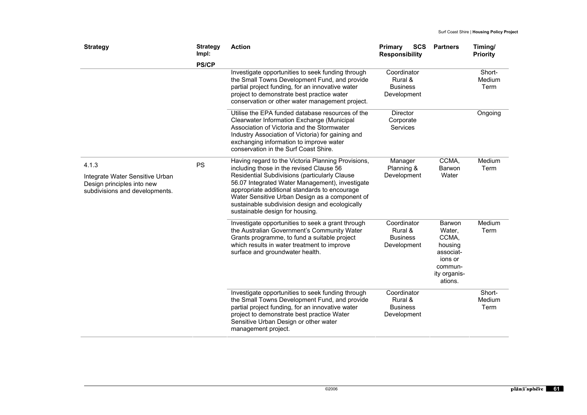| <b>Strategy</b>                                                                                 | <b>Strategy</b><br>Impl: | <b>Action</b>                                                                                                                                                                                                                                                                             | SCS<br>Primary<br><b>Responsibility</b>                  | <b>Partners</b>                                                                                    | Timing/<br><b>Priority</b> |
|-------------------------------------------------------------------------------------------------|--------------------------|-------------------------------------------------------------------------------------------------------------------------------------------------------------------------------------------------------------------------------------------------------------------------------------------|----------------------------------------------------------|----------------------------------------------------------------------------------------------------|----------------------------|
|                                                                                                 | <b>PS/CP</b>             |                                                                                                                                                                                                                                                                                           |                                                          |                                                                                                    |                            |
|                                                                                                 |                          | Investigate opportunities to seek funding through<br>the Small Towns Development Fund, and provide<br>partial project funding, for an innovative water<br>project to demonstrate best practice water<br>conservation or other water management project.                                   | Coordinator<br>Rural &<br><b>Business</b><br>Development |                                                                                                    | Short-<br>Medium<br>Term   |
|                                                                                                 |                          | Utilise the EPA funded database resources of the<br>Clearwater Information Exchange (Municipal<br>Association of Victoria and the Stormwater<br>Industry Association of Victoria) for gaining and<br>exchanging information to improve water<br>conservation in the Surf Coast Shire.     | <b>Director</b><br>Corporate<br>Services                 |                                                                                                    | Ongoing                    |
| 4.1.3                                                                                           | PS                       | Having regard to the Victoria Planning Provisions,<br>including those in the revised Clause 56                                                                                                                                                                                            | Manager<br>Planning &                                    | CCMA,<br>Barwon                                                                                    | Medium<br>Term             |
| Integrate Water Sensitive Urban<br>Design principles into new<br>subdivisions and developments. |                          | Residential Subdivisions (particularly Clause<br>56.07 Integrated Water Management), investigate<br>appropriate additional standards to encourage<br>Water Sensitive Urban Design as a component of<br>sustainable subdivision design and ecologically<br>sustainable design for housing. | Development                                              | Water                                                                                              |                            |
|                                                                                                 |                          | Investigate opportunities to seek a grant through<br>the Australian Government's Community Water<br>Grants programme, to fund a suitable project<br>which results in water treatment to improve<br>surface and groundwater health.                                                        | Coordinator<br>Rural &<br><b>Business</b><br>Development | Barwon<br>Water,<br>CCMA,<br>housing<br>associat-<br>ions or<br>commun-<br>ity organis-<br>ations. | Medium<br>Term             |
|                                                                                                 |                          | Investigate opportunities to seek funding through<br>the Small Towns Development Fund, and provide<br>partial project funding, for an innovative water<br>project to demonstrate best practice Water<br>Sensitive Urban Design or other water<br>management project.                      | Coordinator<br>Rural &<br><b>Business</b><br>Development |                                                                                                    | Short-<br>Medium<br>Term   |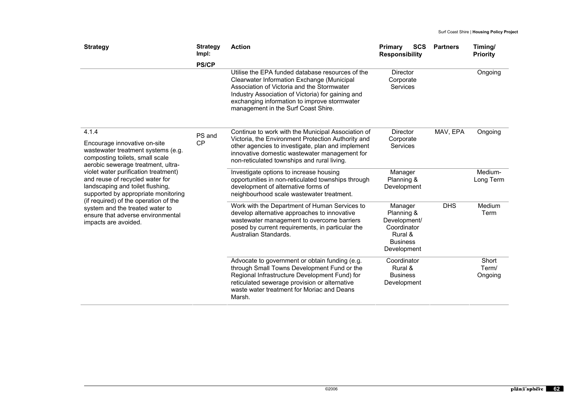| <b>Strategy</b>                                                                                                                                                                                                                                                                                                                                                                                                                                     | <b>Strategy</b><br>Impl: | <b>Action</b>                                                                                                                                                                                                                                                                            | <b>Primary</b><br><b>SCS</b><br><b>Responsibility</b>                                             | <b>Partners</b> | Timing/<br><b>Priority</b> |
|-----------------------------------------------------------------------------------------------------------------------------------------------------------------------------------------------------------------------------------------------------------------------------------------------------------------------------------------------------------------------------------------------------------------------------------------------------|--------------------------|------------------------------------------------------------------------------------------------------------------------------------------------------------------------------------------------------------------------------------------------------------------------------------------|---------------------------------------------------------------------------------------------------|-----------------|----------------------------|
|                                                                                                                                                                                                                                                                                                                                                                                                                                                     | <b>PS/CP</b>             | Utilise the EPA funded database resources of the<br>Clearwater Information Exchange (Municipal<br>Association of Victoria and the Stormwater<br>Industry Association of Victoria) for gaining and<br>exchanging information to improve stormwater<br>management in the Surf Coast Shire. | <b>Director</b><br>Corporate<br><b>Services</b>                                                   |                 | Ongoing                    |
| 4.1.4<br>Encourage innovative on-site<br>wastewater treatment systems (e.g.<br>composting toilets, small scale<br>aerobic sewerage treatment, ultra-<br>violet water purification treatment)<br>and reuse of recycled water for<br>landscaping and toilet flushing,<br>supported by appropriate monitoring<br>(if required) of the operation of the<br>system and the treated water to<br>ensure that adverse environmental<br>impacts are avoided. | PS and<br>CP             | Continue to work with the Municipal Association of<br>Victoria, the Environment Protection Authority and<br>other agencies to investigate, plan and implement<br>innovative domestic wastewater management for<br>non-reticulated townships and rural living.                            | Director<br>Corporate<br>Services                                                                 | MAV, EPA        | Ongoing                    |
|                                                                                                                                                                                                                                                                                                                                                                                                                                                     |                          | Investigate options to increase housing<br>opportunities in non-reticulated townships through<br>development of alternative forms of<br>neighbourhood scale wastewater treatment.                                                                                                        | Manager<br>Planning &<br>Development                                                              |                 | Medium-<br>Long Term       |
|                                                                                                                                                                                                                                                                                                                                                                                                                                                     |                          | Work with the Department of Human Services to<br>develop alternative approaches to innovative<br>wastewater management to overcome barriers<br>posed by current requirements, in particular the<br>Australian Standards.                                                                 | Manager<br>Planning &<br>Development/<br>Coordinator<br>Rural &<br><b>Business</b><br>Development | <b>DHS</b>      | Medium<br>Term             |
|                                                                                                                                                                                                                                                                                                                                                                                                                                                     |                          | Advocate to government or obtain funding (e.g.<br>through Small Towns Development Fund or the<br>Regional Infrastructure Development Fund) for<br>reticulated sewerage provision or alternative<br>waste water treatment for Moriac and Deans<br>Marsh.                                  | Coordinator<br>Rural &<br><b>Business</b><br>Development                                          |                 | Short<br>Term/<br>Ongoing  |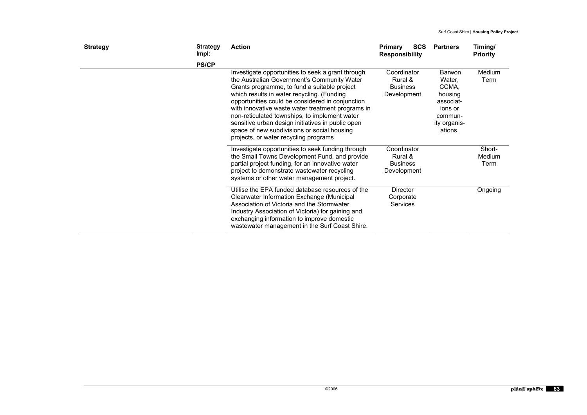| <b>Strategy</b> | <b>Strategy</b><br>Impl: | <b>Action</b>                                                                                                                                                                                                                                                                                                                                     | <b>SCS</b><br><b>Primary</b><br><b>Responsibility</b>    | <b>Partners</b>                                                       | Timing/<br><b>Priority</b> |
|-----------------|--------------------------|---------------------------------------------------------------------------------------------------------------------------------------------------------------------------------------------------------------------------------------------------------------------------------------------------------------------------------------------------|----------------------------------------------------------|-----------------------------------------------------------------------|----------------------------|
|                 | <b>PS/CP</b>             | Investigate opportunities to seek a grant through<br>the Australian Government's Community Water<br>Grants programme, to fund a suitable project                                                                                                                                                                                                  | Coordinator<br>Rural &<br><b>Business</b>                | Barwon<br>Water,<br>CCMA.                                             | Medium<br>Term             |
|                 |                          | which results in water recycling. (Funding<br>opportunities could be considered in conjunction<br>with innovative waste water treatment programs in<br>non-reticulated townships, to implement water<br>sensitive urban design initiatives in public open<br>space of new subdivisions or social housing<br>projects, or water recycling programs | Development                                              | housing<br>associat-<br>ions or<br>commun-<br>ity organis-<br>ations. |                            |
|                 |                          | Investigate opportunities to seek funding through<br>the Small Towns Development Fund, and provide<br>partial project funding, for an innovative water<br>project to demonstrate wastewater recycling<br>systems or other water management project.                                                                                               | Coordinator<br>Rural &<br><b>Business</b><br>Development |                                                                       | Short-<br>Medium<br>Term   |
|                 |                          | Utilise the EPA funded database resources of the<br>Clearwater Information Exchange (Municipal<br>Association of Victoria and the Stormwater<br>Industry Association of Victoria) for gaining and<br>exchanging information to improve domestic<br>wastewater management in the Surf Coast Shire.                                                 | <b>Director</b><br>Corporate<br>Services                 |                                                                       | Ongoing                    |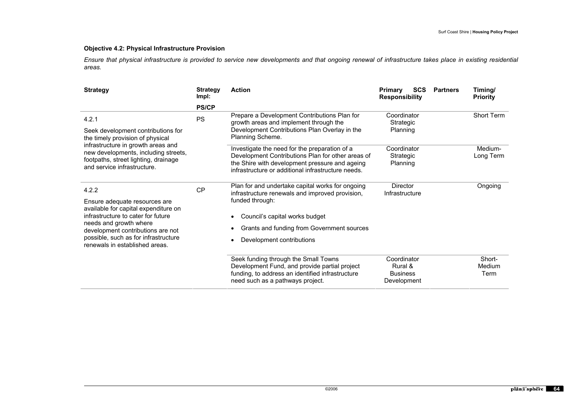### **Objective 4.2: Physical Infrastructure Provision**

*Ensure that physical infrastructure is provided to service new developments and that ongoing renewal of infrastructure takes place in existing residential areas.*

| <b>Strategy</b>                                                                                                                                                                                                                                               | <b>Strategy</b><br>Impl: | <b>Action</b>                                                                                                                                                                                                                                    | <b>SCS</b><br><b>Primary</b><br><b>Responsibility</b>    | <b>Partners</b> | Timing/<br><b>Priority</b> |
|---------------------------------------------------------------------------------------------------------------------------------------------------------------------------------------------------------------------------------------------------------------|--------------------------|--------------------------------------------------------------------------------------------------------------------------------------------------------------------------------------------------------------------------------------------------|----------------------------------------------------------|-----------------|----------------------------|
|                                                                                                                                                                                                                                                               | <b>PS/CP</b>             |                                                                                                                                                                                                                                                  |                                                          |                 |                            |
| 4.2.1<br>Seek development contributions for<br>the timely provision of physical<br>infrastructure in growth areas and<br>new developments, including streets,<br>footpaths, street lighting, drainage<br>and service infrastructure.                          | <b>PS</b>                | Prepare a Development Contributions Plan for<br>growth areas and implement through the<br>Development Contributions Plan Overlay in the<br>Planning Scheme.                                                                                      | Coordinator<br>Strategic<br>Planning                     |                 | Short Term                 |
|                                                                                                                                                                                                                                                               |                          | Investigate the need for the preparation of a<br>Development Contributions Plan for other areas of<br>the Shire with development pressure and ageing<br>infrastructure or additional infrastructure needs.                                       | Coordinator<br>Strategic<br>Planning                     |                 | Medium-<br>Long Term       |
| 4.2.2<br>Ensure adequate resources are<br>available for capital expenditure on<br>infrastructure to cater for future<br>needs and growth where<br>development contributions are not<br>possible, such as for infrastructure<br>renewals in established areas. | <b>CP</b>                | Plan for and undertake capital works for ongoing<br>infrastructure renewals and improved provision,<br>funded through:<br>Council's capital works budget<br>Grants and funding from Government sources<br>Development contributions<br>$\bullet$ | Director<br>Infrastructure                               |                 | Ongoing                    |
|                                                                                                                                                                                                                                                               |                          | Seek funding through the Small Towns<br>Development Fund, and provide partial project<br>funding, to address an identified infrastructure<br>need such as a pathways project.                                                                    | Coordinator<br>Rural &<br><b>Business</b><br>Development |                 | Short-<br>Medium<br>Term   |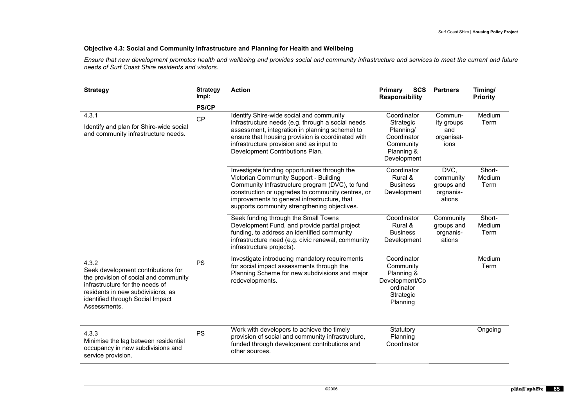#### **Objective 4.3: Social and Community Infrastructure and Planning for Health and Wellbeing**

*Ensure that new development promotes health and wellbeing and provides social and community infrastructure and services to meet the current and future needs of Surf Coast Shire residents and visitors.* 

| <b>Strategy</b>                                                                                                                                                                                                  | <b>Strategy</b><br>Impl: | <b>Action</b>                                                                                                                                                                                                                                                                                   | <b>SCS</b><br>Primary<br><b>Responsibility</b>                                                 | <b>Partners</b>                                        | Timing/<br><b>Priority</b> |
|------------------------------------------------------------------------------------------------------------------------------------------------------------------------------------------------------------------|--------------------------|-------------------------------------------------------------------------------------------------------------------------------------------------------------------------------------------------------------------------------------------------------------------------------------------------|------------------------------------------------------------------------------------------------|--------------------------------------------------------|----------------------------|
|                                                                                                                                                                                                                  | <b>PS/CP</b>             |                                                                                                                                                                                                                                                                                                 |                                                                                                |                                                        |                            |
| 4.3.1                                                                                                                                                                                                            | CP                       | Identify Shire-wide social and community                                                                                                                                                                                                                                                        | Coordinator                                                                                    | Commun-                                                | Medium                     |
| Identify and plan for Shire-wide social<br>and community infrastructure needs.                                                                                                                                   |                          | infrastructure needs (e.g. through a social needs<br>assessment, integration in planning scheme) to<br>ensure that housing provision is coordinated with<br>infrastructure provision and as input to<br>Development Contributions Plan.                                                         | Strategic<br>Planning/<br>Coordinator<br>Community<br>Planning &<br>Development                | ity groups<br>and<br>organisat-<br>ions                | Term                       |
|                                                                                                                                                                                                                  |                          | Investigate funding opportunities through the<br>Victorian Community Support - Building<br>Community Infrastructure program (DVC), to fund<br>construction or upgrades to community centres, or<br>improvements to general infrastructure, that<br>supports community strengthening objectives. | Coordinator<br>Rural &<br><b>Business</b><br>Development                                       | DVC,<br>community<br>groups and<br>orgnanis-<br>ations | Short-<br>Medium<br>Term   |
|                                                                                                                                                                                                                  |                          | Seek funding through the Small Towns<br>Development Fund, and provide partial project<br>funding, to address an identified community<br>infrastructure need (e.g. civic renewal, community<br>infrastructure projects).                                                                         | Coordinator<br>Rural &<br><b>Business</b><br>Development                                       | Community<br>groups and<br>orgnanis-<br>ations         | Short-<br>Medium<br>Term   |
| 4.3.2<br>Seek development contributions for<br>the provision of social and community<br>infrastructure for the needs of<br>residents in new subdivisions, as<br>identified through Social Impact<br>Assessments. | <b>PS</b>                | Investigate introducing mandatory requirements<br>for social impact assessments through the<br>Planning Scheme for new subdivisions and major<br>redevelopments.                                                                                                                                | Coordinator<br>Community<br>Planning &<br>Development/Co<br>ordinator<br>Strategic<br>Planning |                                                        | Medium<br>Term             |
| 4.3.3<br>Minimise the lag between residential<br>occupancy in new subdivisions and<br>service provision.                                                                                                         | <b>PS</b>                | Work with developers to achieve the timely<br>provision of social and community infrastructure,<br>funded through development contributions and<br>other sources.                                                                                                                               | Statutory<br>Planning<br>Coordinator                                                           |                                                        | Ongoing                    |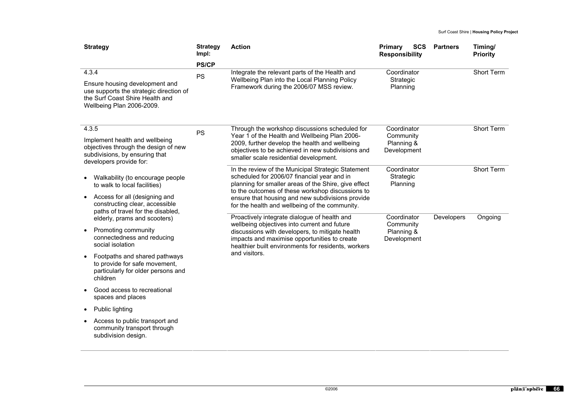| <b>Strategy</b>                                                                                                                                                                                                                                                                                                                                                                                                               | <b>Strategy</b><br>Impl: | <b>Action</b>                                                                                                                                                                                                                                                                                                       | Primary<br><b>SCS</b><br><b>Responsibility</b>        | <b>Partners</b> | Timing/<br><b>Priority</b> |
|-------------------------------------------------------------------------------------------------------------------------------------------------------------------------------------------------------------------------------------------------------------------------------------------------------------------------------------------------------------------------------------------------------------------------------|--------------------------|---------------------------------------------------------------------------------------------------------------------------------------------------------------------------------------------------------------------------------------------------------------------------------------------------------------------|-------------------------------------------------------|-----------------|----------------------------|
|                                                                                                                                                                                                                                                                                                                                                                                                                               | <b>PS/CP</b>             |                                                                                                                                                                                                                                                                                                                     |                                                       |                 |                            |
| 4.3.4<br>Ensure housing development and<br>use supports the strategic direction of<br>the Surf Coast Shire Health and<br>Wellbeing Plan 2006-2009.                                                                                                                                                                                                                                                                            | <b>PS</b>                | Integrate the relevant parts of the Health and<br>Wellbeing Plan into the Local Planning Policy<br>Framework during the 2006/07 MSS review.                                                                                                                                                                         | Coordinator<br>Strategic<br>Planning                  |                 | Short Term                 |
| 4.3.5<br>Implement health and wellbeing<br>objectives through the design of new<br>subdivisions, by ensuring that<br>developers provide for:                                                                                                                                                                                                                                                                                  | PS                       | Through the workshop discussions scheduled for<br>Year 1 of the Health and Wellbeing Plan 2006-<br>2009, further develop the health and wellbeing<br>objectives to be achieved in new subdivisions and<br>smaller scale residential development.                                                                    | Coordinator<br>Community<br>Planning &<br>Development |                 | Short Term                 |
| Walkability (to encourage people<br>to walk to local facilities)<br>Access for all (designing and<br>constructing clear, accessible                                                                                                                                                                                                                                                                                           |                          | In the review of the Municipal Strategic Statement<br>scheduled for 2006/07 financial year and in<br>planning for smaller areas of the Shire, give effect<br>to the outcomes of these workshop discussions to<br>ensure that housing and new subdivisions provide<br>for the health and wellbeing of the community. | Coordinator<br>Strategic<br>Planning                  |                 | Short Term                 |
| paths of travel for the disabled,<br>elderly, prams and scooters)<br>Promoting community<br>connectedness and reducing<br>social isolation<br>Footpaths and shared pathways<br>to provide for safe movement,<br>particularly for older persons and<br>children<br>Good access to recreational<br>spaces and places<br>Public lighting<br>Access to public transport and<br>community transport through<br>subdivision design. |                          | Proactively integrate dialogue of health and<br>wellbeing objectives into current and future<br>discussions with developers, to mitigate health<br>impacts and maximise opportunities to create<br>healthier built environments for residents, workers<br>and visitors.                                             | Coordinator<br>Community<br>Planning &<br>Development | Developers      | Ongoing                    |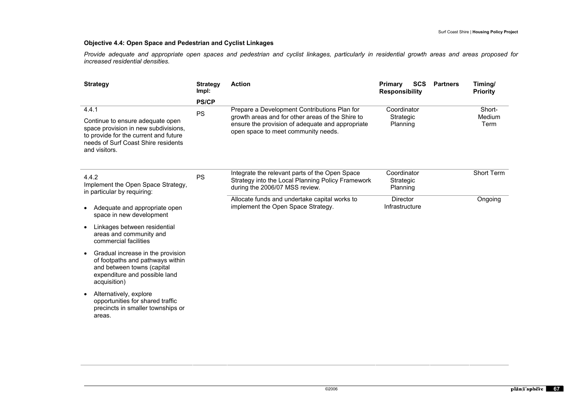## **Objective 4.4: Open Space and Pedestrian and Cyclist Linkages**

*Provide adequate and appropriate open spaces and pedestrian and cyclist linkages, particularly in residential growth areas and areas proposed for increased residential densities.* 

| <b>Strategy</b>                                                                                                                                                           | <b>Strategy</b><br>Impl: | <b>Action</b>                                                                                                                               | <b>SCS</b><br>Primary<br><b>Responsibility</b> | <b>Partners</b> | Timing/<br>Priority |
|---------------------------------------------------------------------------------------------------------------------------------------------------------------------------|--------------------------|---------------------------------------------------------------------------------------------------------------------------------------------|------------------------------------------------|-----------------|---------------------|
|                                                                                                                                                                           | <b>PS/CP</b>             |                                                                                                                                             |                                                |                 |                     |
| 4.4.1                                                                                                                                                                     | <b>PS</b>                | Prepare a Development Contributions Plan for                                                                                                | Coordinator                                    |                 | Short-              |
| Continue to ensure adequate open<br>space provision in new subdivisions,<br>to provide for the current and future<br>needs of Surf Coast Shire residents<br>and visitors. |                          | growth areas and for other areas of the Shire to<br>ensure the provision of adequate and appropriate<br>open space to meet community needs. | Strategic<br>Planning                          |                 | Medium<br>Term      |
| 4.4.2<br>Implement the Open Space Strategy,<br>in particular by requiring:                                                                                                | <b>PS</b>                | Integrate the relevant parts of the Open Space<br>Strategy into the Local Planning Policy Framework<br>during the 2006/07 MSS review.       | Coordinator<br>Strategic<br>Planning           |                 | Short Term          |
|                                                                                                                                                                           |                          | Allocate funds and undertake capital works to<br>implement the Open Space Strategy.                                                         | Director<br>Infrastructure                     |                 | Ongoing             |
| Adequate and appropriate open<br>space in new development                                                                                                                 |                          |                                                                                                                                             |                                                |                 |                     |
| Linkages between residential<br>areas and community and<br>commercial facilities                                                                                          |                          |                                                                                                                                             |                                                |                 |                     |
| Gradual increase in the provision<br>of footpaths and pathways within<br>and between towns (capital<br>expenditure and possible land<br>acquisition)                      |                          |                                                                                                                                             |                                                |                 |                     |
| Alternatively, explore<br>opportunities for shared traffic<br>precincts in smaller townships or<br>areas.                                                                 |                          |                                                                                                                                             |                                                |                 |                     |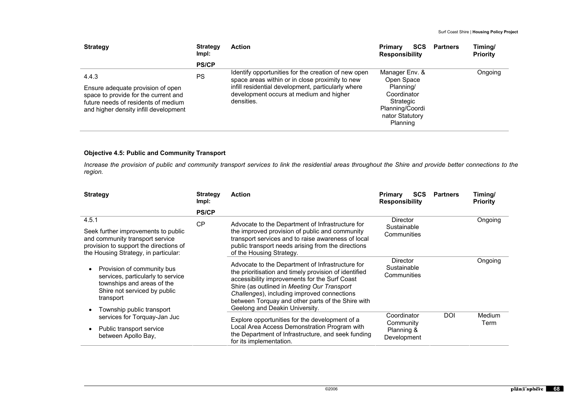| <b>Strategy</b>                                                                                                                                                    | Strategy<br>lmpl: | <b>Action</b>                                                                                                                                                                                                         | <b>SCS</b><br><b>Primary</b><br><b>Responsibility</b>                                                                   | <b>Partners</b> | Timing/<br><b>Priority</b> |
|--------------------------------------------------------------------------------------------------------------------------------------------------------------------|-------------------|-----------------------------------------------------------------------------------------------------------------------------------------------------------------------------------------------------------------------|-------------------------------------------------------------------------------------------------------------------------|-----------------|----------------------------|
|                                                                                                                                                                    | <b>PS/CP</b>      |                                                                                                                                                                                                                       |                                                                                                                         |                 |                            |
| 4.4.3<br>Ensure adequate provision of open<br>space to provide for the current and<br>future needs of residents of medium<br>and higher density infill development | PS                | Identify opportunities for the creation of new open<br>space areas within or in close proximity to new<br>infill residential development, particularly where<br>development occurs at medium and higher<br>densities. | Manager Env. &<br>Open Space<br>Planning/<br>Coordinator<br>Strategic<br>Planning/Coordi<br>nator Statutory<br>Planning |                 | Ongoing                    |

### **Objective 4.5: Public and Community Transport**

*Increase the provision of public and community transport services to link the residential areas throughout the Shire and provide better connections to the region.* 

| <b>Strategy</b>                                                                                                                                                   | <b>Strategy</b><br>lmpl: | <b>Action</b>                                                                                                                                                                                                                                                                                                                                   | <b>SCS</b><br><b>Primary</b><br><b>Responsibility</b> | <b>Partners</b> | Timing/<br><b>Priority</b> |
|-------------------------------------------------------------------------------------------------------------------------------------------------------------------|--------------------------|-------------------------------------------------------------------------------------------------------------------------------------------------------------------------------------------------------------------------------------------------------------------------------------------------------------------------------------------------|-------------------------------------------------------|-----------------|----------------------------|
|                                                                                                                                                                   | <b>PS/CP</b>             |                                                                                                                                                                                                                                                                                                                                                 |                                                       |                 |                            |
| 4.5.1<br>Seek further improvements to public<br>and community transport service<br>provision to support the directions of<br>the Housing Strategy, in particular: | <b>CP</b>                | Advocate to the Department of Infrastructure for<br>the improved provision of public and community<br>transport services and to raise awareness of local<br>public transport needs arising from the directions<br>of the Housing Strategy.                                                                                                      | Director<br>Sustainable<br>Communities                |                 | Ongoing                    |
| Provision of community bus<br>services, particularly to service<br>townships and areas of the<br>Shire not serviced by public<br>transport                        |                          | Advocate to the Department of Infrastructure for<br>the prioritisation and timely provision of identified<br>accessibility improvements for the Surf Coast<br>Shire (as outlined in Meeting Our Transport<br>Challenges), including improved connections<br>between Torquay and other parts of the Shire with<br>Geelong and Deakin University. | Director<br>Sustainable<br>Communities                |                 | Ongoing                    |
| Township public transport<br>services for Torquay-Jan Juc<br>Public transport service<br>between Apollo Bay.                                                      |                          | Explore opportunities for the development of a<br>Local Area Access Demonstration Program with<br>the Department of Infrastructure, and seek funding<br>for its implementation.                                                                                                                                                                 | Coordinator<br>Community<br>Planning &<br>Development | <b>DOI</b>      | Medium<br>Term             |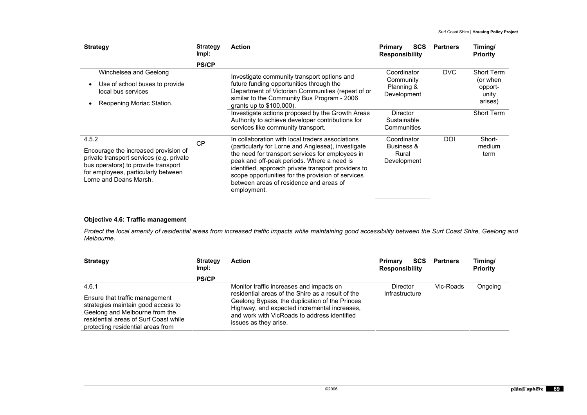| <b>Strategy</b>                                                                                                                                                                                   | <b>Strategy</b><br>lmpl: | <b>Action</b>                                                                                                                                                                                                                                                                                                                                                                  | <b>SCS</b><br>Primary<br><b>Responsibility</b>        | <b>Partners</b> | Timing/<br><b>Priority</b>                 |
|---------------------------------------------------------------------------------------------------------------------------------------------------------------------------------------------------|--------------------------|--------------------------------------------------------------------------------------------------------------------------------------------------------------------------------------------------------------------------------------------------------------------------------------------------------------------------------------------------------------------------------|-------------------------------------------------------|-----------------|--------------------------------------------|
|                                                                                                                                                                                                   | <b>PS/CP</b>             |                                                                                                                                                                                                                                                                                                                                                                                |                                                       |                 |                                            |
| Winchelsea and Geelong<br>Use of school buses to provide<br>local bus services                                                                                                                    |                          | Investigate community transport options and<br>future funding opportunities through the<br>Department of Victorian Communities (repeat of or<br>similar to the Community Bus Program - 2006                                                                                                                                                                                    | Coordinator<br>Community<br>Planning &<br>Development | DVC             | Short Term<br>(or when<br>opport-<br>unity |
| Reopening Moriac Station.                                                                                                                                                                         |                          | grants up to \$100,000).<br>Investigate actions proposed by the Growth Areas<br>Authority to achieve developer contributions for<br>services like community transport.                                                                                                                                                                                                         | Director<br>Sustainable<br>Communities                |                 | arises)<br>Short Term                      |
| 4.5.2<br>Encourage the increased provision of<br>private transport services (e.g. private<br>bus operators) to provide transport<br>for employees, particularly between<br>Lorne and Deans Marsh. | CP                       | In collaboration with local traders associations<br>(particularly for Lorne and Anglesea), investigate<br>the need for transport services for employees in<br>peak and off-peak periods. Where a need is<br>identified, approach private transport providers to<br>scope opportunities for the provision of services<br>between areas of residence and areas of<br>employment. | Coordinator<br>Business &<br>Rural<br>Development     | <b>DOI</b>      | Short-<br>medium<br>term                   |

## **Objective 4.6: Traffic management**

*Protect the local amenity of residential areas from increased traffic impacts while maintaining good accessibility between the Surf Coast Shire, Geelong and Melbourne.*

| <b>Strategy</b>                                                                                                                                                                               | <b>Strategy</b><br>lmpl: | <b>Action</b>                                                                                                                                                                                                                                                            | <b>Primary</b><br><b>Responsibility</b> | <b>SCS</b> | <b>Partners</b> | Timing/<br><b>Priority</b> |
|-----------------------------------------------------------------------------------------------------------------------------------------------------------------------------------------------|--------------------------|--------------------------------------------------------------------------------------------------------------------------------------------------------------------------------------------------------------------------------------------------------------------------|-----------------------------------------|------------|-----------------|----------------------------|
|                                                                                                                                                                                               | <b>PS/CP</b>             |                                                                                                                                                                                                                                                                          |                                         |            |                 |                            |
| 4.6.1<br>Ensure that traffic management<br>strategies maintain good access to<br>Geelong and Melbourne from the<br>residential areas of Surf Coast while<br>protecting residential areas from |                          | Monitor traffic increases and impacts on<br>residential areas of the Shire as a result of the<br>Geelong Bypass, the duplication of the Princes<br>Highway, and expected incremental increases,<br>and work with VicRoads to address identified<br>issues as they arise. | Director<br>Infrastructure              |            | Vic-Roads       | Ongoing                    |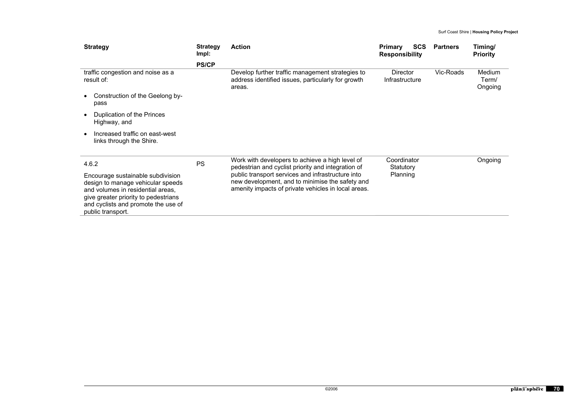| <b>Strategy</b>                                                                                                                                                                                                 | <b>Strategy</b><br>Impl: | <b>Action</b>                                                                                                                                               | <b>SCS</b><br>Primary<br><b>Responsibility</b> | <b>Partners</b> | Timing/<br><b>Priority</b> |
|-----------------------------------------------------------------------------------------------------------------------------------------------------------------------------------------------------------------|--------------------------|-------------------------------------------------------------------------------------------------------------------------------------------------------------|------------------------------------------------|-----------------|----------------------------|
|                                                                                                                                                                                                                 | <b>PS/CP</b>             |                                                                                                                                                             |                                                |                 |                            |
| traffic congestion and noise as a<br>result of:                                                                                                                                                                 |                          | Develop further traffic management strategies to<br>address identified issues, particularly for growth<br>areas.                                            | <b>Director</b><br>Infrastructure              | Vic-Roads       | Medium<br>Term/<br>Ongoing |
| Construction of the Geelong by-<br>pass                                                                                                                                                                         |                          |                                                                                                                                                             |                                                |                 |                            |
| Duplication of the Princes<br>Highway, and                                                                                                                                                                      |                          |                                                                                                                                                             |                                                |                 |                            |
| Increased traffic on east-west<br>links through the Shire.                                                                                                                                                      |                          |                                                                                                                                                             |                                                |                 |                            |
| 4.6.2                                                                                                                                                                                                           | <b>PS</b>                | Work with developers to achieve a high level of<br>pedestrian and cyclist priority and integration of                                                       | Coordinator<br>Statutory                       |                 | Ongoing                    |
| Encourage sustainable subdivision<br>design to manage vehicular speeds<br>and volumes in residential areas.<br>give greater priority to pedestrians<br>and cyclists and promote the use of<br>public transport. |                          | public transport services and infrastructure into<br>new development, and to minimise the safety and<br>amenity impacts of private vehicles in local areas. | Planning                                       |                 |                            |